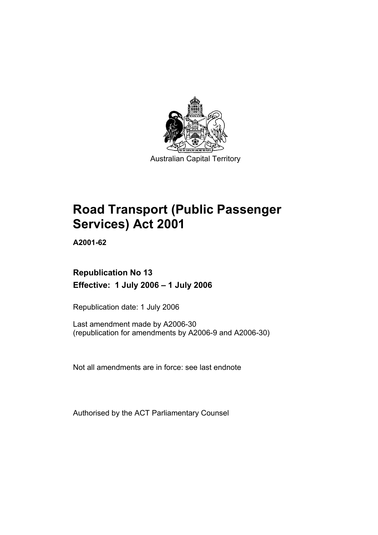

Australian Capital Territory

# **Road Transport (Public Passenger Services) Act 2001**

**A2001-62** 

# **Republication No 13 Effective: 1 July 2006 – 1 July 2006**

Republication date: 1 July 2006

Last amendment made by A2006-30 (republication for amendments by A2006-9 and A2006-30)

Not all amendments are in force: see last endnote

Authorised by the ACT Parliamentary Counsel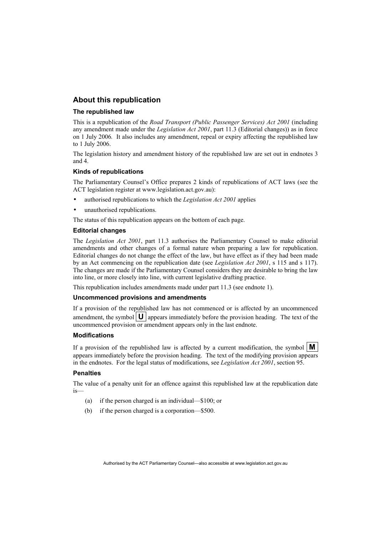#### **About this republication**

#### **The republished law**

This is a republication of the *Road Transport (Public Passenger Services) Act 2001* (including any amendment made under the *Legislation Act 2001*, part 11.3 (Editorial changes)) as in force on 1 July 2006*.* It also includes any amendment, repeal or expiry affecting the republished law to 1 July 2006.

The legislation history and amendment history of the republished law are set out in endnotes 3 and 4.

#### **Kinds of republications**

The Parliamentary Counsel's Office prepares 2 kinds of republications of ACT laws (see the ACT legislation register at www.legislation.act.gov.au):

- authorised republications to which the *Legislation Act 2001* applies
- unauthorised republications.

The status of this republication appears on the bottom of each page.

#### **Editorial changes**

The *Legislation Act 2001*, part 11.3 authorises the Parliamentary Counsel to make editorial amendments and other changes of a formal nature when preparing a law for republication. Editorial changes do not change the effect of the law, but have effect as if they had been made by an Act commencing on the republication date (see *Legislation Act 2001*, s 115 and s 117). The changes are made if the Parliamentary Counsel considers they are desirable to bring the law into line, or more closely into line, with current legislative drafting practice.

This republication includes amendments made under part 11.3 (see endnote 1).

#### **Uncommenced provisions and amendments**

If a provision of the republished law has not commenced or is affected by an uncommenced amendment, the symbol  $\mathbf{U}$  appears immediately before the provision heading. The text of the uncommenced provision or amendment appears only in the last endnote.

#### **Modifications**

If a provision of the republished law is affected by a current modification, the symbol  $\mathbf{M}$ appears immediately before the provision heading. The text of the modifying provision appears in the endnotes. For the legal status of modifications, see *Legislation Act 2001*, section 95.

#### **Penalties**

The value of a penalty unit for an offence against this republished law at the republication date is—

- (a) if the person charged is an individual—\$100; or
- (b) if the person charged is a corporation—\$500.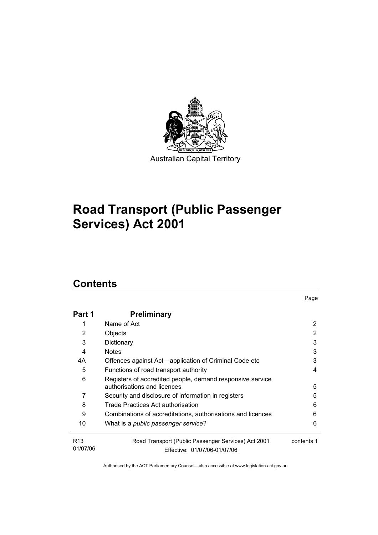

# **Road Transport (Public Passenger Services) Act 2001**

# **Contents**

| Part 1                      | <b>Preliminary</b>                                                                       |            |
|-----------------------------|------------------------------------------------------------------------------------------|------------|
|                             | Name of Act                                                                              | 2          |
| 2                           | Objects                                                                                  | 2          |
| 3                           | Dictionary                                                                               | 3          |
| 4                           | <b>Notes</b>                                                                             | 3          |
| 4A                          | Offences against Act-application of Criminal Code etc                                    | 3          |
| 5                           | Functions of road transport authority                                                    | 4          |
| 6                           | Registers of accredited people, demand responsive service<br>authorisations and licences | 5          |
| 7                           | Security and disclosure of information in registers                                      | 5          |
| 8                           | Trade Practices Act authorisation                                                        | 6          |
| 9                           | Combinations of accreditations, authorisations and licences                              | 6          |
| 10                          | What is a <i>public passenger service</i> ?                                              | 6          |
| R <sub>13</sub><br>01/07/06 | Road Transport (Public Passenger Services) Act 2001<br>Effective: 01/07/06-01/07/06      | contents 1 |

Page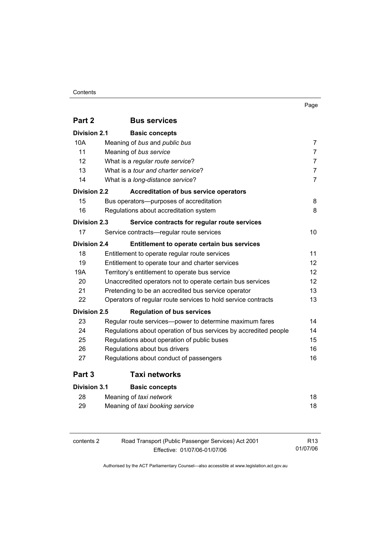| Part 2              | <b>Bus services</b>                                              |                |
|---------------------|------------------------------------------------------------------|----------------|
| <b>Division 2.1</b> | <b>Basic concepts</b>                                            |                |
| 10A                 | Meaning of bus and public bus                                    | $\overline{7}$ |
| 11                  | Meaning of bus service                                           | $\overline{7}$ |
| 12                  | What is a regular route service?                                 | $\overline{7}$ |
| 13                  | What is a tour and charter service?                              | $\overline{7}$ |
| 14                  | What is a long-distance service?                                 | $\overline{7}$ |
| <b>Division 2.2</b> | <b>Accreditation of bus service operators</b>                    |                |
| 15                  | Bus operators--purposes of accreditation                         | 8              |
| 16                  | Regulations about accreditation system                           | 8              |
| <b>Division 2.3</b> | Service contracts for regular route services                     |                |
| 17                  | Service contracts-regular route services                         | 10             |
| <b>Division 2.4</b> | Entitlement to operate certain bus services                      |                |
| 18                  | Entitlement to operate regular route services                    | 11             |
| 19                  | Entitlement to operate tour and charter services                 | 12             |
| 19A                 | Territory's entitlement to operate bus service                   | 12             |
| 20                  | 12<br>Unaccredited operators not to operate certain bus services |                |
| 21                  | Pretending to be an accredited bus service operator              | 13             |
| 22                  | Operators of regular route services to hold service contracts    | 13             |
| Division 2.5        | <b>Regulation of bus services</b>                                |                |
| 23                  | Regular route services-power to determine maximum fares          | 14             |
| 24                  | Regulations about operation of bus services by accredited people | 14             |
| 25                  | Regulations about operation of public buses                      | 15             |
| 26                  | Regulations about bus drivers                                    | 16             |
| 27                  | Regulations about conduct of passengers                          | 16             |
| Part 3              | <b>Taxi networks</b>                                             |                |
| <b>Division 3.1</b> | <b>Basic concepts</b>                                            |                |
| 28                  | Meaning of taxi network                                          | 18             |
| 29                  | Meaning of taxi booking service                                  | 18             |
|                     |                                                                  |                |

| contents 2 | Road Transport (Public Passenger Services) Act 2001 | R <sub>13</sub> |
|------------|-----------------------------------------------------|-----------------|
|            | Effective: 01/07/06-01/07/06                        | 01/07/06        |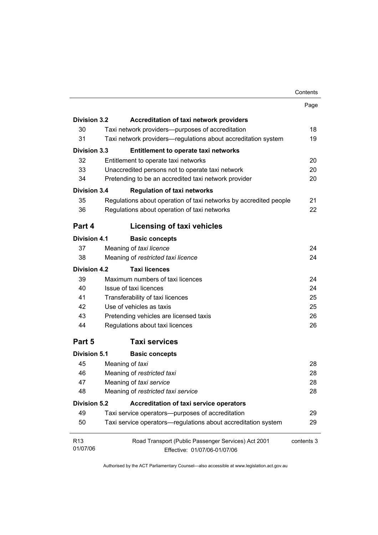| <b>Division 3.2</b> | <b>Accreditation of taxi network providers</b>                    |    |
|---------------------|-------------------------------------------------------------------|----|
| 30                  | Taxi network providers--purposes of accreditation                 | 18 |
| 31                  | Taxi network providers—regulations about accreditation system     | 19 |
| <b>Division 3.3</b> | <b>Entitlement to operate taxi networks</b>                       |    |
| 32                  | Entitlement to operate taxi networks                              | 20 |
| 33                  | Unaccredited persons not to operate taxi network                  | 20 |
| 34                  | Pretending to be an accredited taxi network provider              | 20 |
| <b>Division 3.4</b> | <b>Regulation of taxi networks</b>                                |    |
| 35                  | Regulations about operation of taxi networks by accredited people | 21 |
| 36                  | Regulations about operation of taxi networks                      | 22 |
| Part 4              | Licensing of taxi vehicles                                        |    |
| Division 4.1        | <b>Basic concepts</b>                                             |    |
| 37                  | Meaning of taxi licence                                           | 24 |
| 38                  | Meaning of restricted taxi licence                                | 24 |
| Division 4.2        | <b>Taxi licences</b>                                              |    |
| 39                  | Maximum numbers of taxi licences                                  | 24 |
| 40                  | Issue of taxi licences                                            | 24 |
| 41                  | Transferability of taxi licences                                  | 25 |
| 42                  | Use of vehicles as taxis                                          | 25 |
| 43                  | Pretending vehicles are licensed taxis                            | 26 |
| 44                  | Regulations about taxi licences                                   | 26 |

Page

**Part 5 Taxi services**

| <b>Division 5.1</b>         | <b>Basic concepts</b>                                                               |            |
|-----------------------------|-------------------------------------------------------------------------------------|------------|
| 45                          | Meaning of taxi                                                                     | 28         |
| 46                          | Meaning of restricted taxi                                                          | 28         |
| 47                          | Meaning of taxi service                                                             | 28         |
| 48                          | Meaning of restricted taxi service                                                  | 28         |
| Division 5.2                | Accreditation of taxi service operators                                             |            |
| 49                          | Taxi service operators—purposes of accreditation                                    | 29         |
| 50                          | Taxi service operators—regulations about accreditation system                       | 29         |
| R <sub>13</sub><br>01/07/06 | Road Transport (Public Passenger Services) Act 2001<br>Effective: 01/07/06-01/07/06 | contents 3 |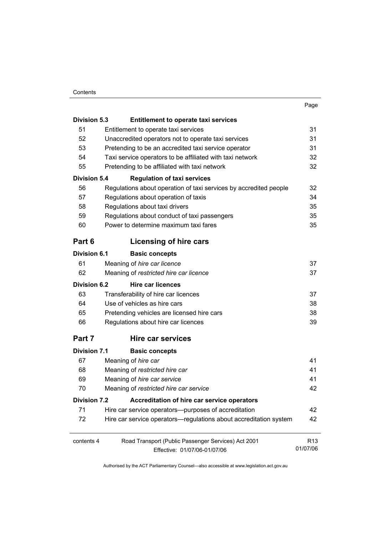| ۰.<br>×<br><br>× |
|------------------|
|------------------|

| <b>Division 5.3</b> | <b>Entitlement to operate taxi services</b>                       |                 |
|---------------------|-------------------------------------------------------------------|-----------------|
| 51                  | Entitlement to operate taxi services                              | 31              |
| 52                  | Unaccredited operators not to operate taxi services               | 31              |
| 53                  | Pretending to be an accredited taxi service operator              | 31              |
| 54                  | Taxi service operators to be affiliated with taxi network         | 32              |
| 55                  | Pretending to be affiliated with taxi network                     | 32              |
| <b>Division 5.4</b> | <b>Regulation of taxi services</b>                                |                 |
| 56                  | Regulations about operation of taxi services by accredited people | 32              |
| 57                  | Regulations about operation of taxis                              | 34              |
| 58                  | Regulations about taxi drivers                                    | 35              |
| 59                  | Regulations about conduct of taxi passengers                      | 35              |
| 60                  | Power to determine maximum taxi fares                             | 35              |
| Part 6              | Licensing of hire cars                                            |                 |
| <b>Division 6.1</b> | <b>Basic concepts</b>                                             |                 |
| 61                  | Meaning of hire car licence                                       | 37              |
| 62                  | Meaning of restricted hire car licence                            | 37              |
| <b>Division 6.2</b> | <b>Hire car licences</b>                                          |                 |
| 63                  | Transferability of hire car licences                              | 37              |
| 64                  | Use of vehicles as hire cars                                      | 38              |
| 65                  | Pretending vehicles are licensed hire cars                        | 38              |
| 66                  | Regulations about hire car licences                               | 39              |
| Part 7              | Hire car services                                                 |                 |
| <b>Division 7.1</b> | <b>Basic concepts</b>                                             |                 |
| 67                  | Meaning of hire car                                               | 41              |
| 68                  | Meaning of restricted hire car                                    | 41              |
| 69                  | Meaning of hire car service                                       | 41              |
| 70                  | Meaning of restricted hire car service                            | 42              |
| <b>Division 7.2</b> | Accreditation of hire car service operators                       |                 |
| 71                  | Hire car service operators--purposes of accreditation             | 42              |
| 72                  | Hire car service operators-regulations about accreditation system | 42              |
| contents 4          | Road Transport (Public Passenger Services) Act 2001               | R <sub>13</sub> |
|                     | Effective: 01/07/06-01/07/06                                      | 01/07/06        |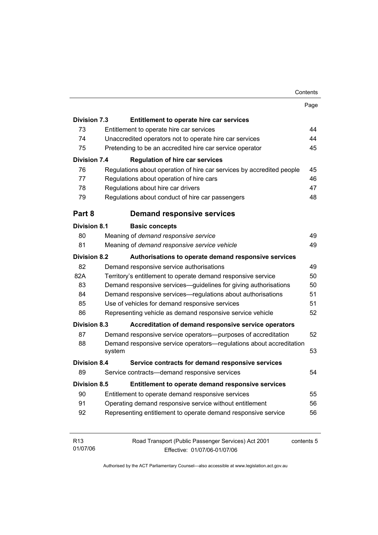|                     |                                                                       | Page       |
|---------------------|-----------------------------------------------------------------------|------------|
| <b>Division 7.3</b> | Entitlement to operate hire car services                              |            |
| 73                  | Entitlement to operate hire car services                              | 44         |
| 74                  | Unaccredited operators not to operate hire car services               | 44         |
| 75                  | Pretending to be an accredited hire car service operator              | 45         |
| <b>Division 7.4</b> | <b>Regulation of hire car services</b>                                |            |
| 76                  | Regulations about operation of hire car services by accredited people | 45         |
| 77                  | Regulations about operation of hire cars                              | 46         |
| 78                  | Regulations about hire car drivers                                    | 47         |
| 79                  | Regulations about conduct of hire car passengers                      | 48         |
| Part 8              | <b>Demand responsive services</b>                                     |            |
| <b>Division 8.1</b> | <b>Basic concepts</b>                                                 |            |
| 80                  | Meaning of demand responsive service                                  | 49         |
| 81                  | Meaning of demand responsive service vehicle                          | 49         |
| <b>Division 8.2</b> | Authorisations to operate demand responsive services                  |            |
| 82                  | Demand responsive service authorisations                              | 49         |
| 82A                 | Territory's entitlement to operate demand responsive service          | 50         |
| 83                  | Demand responsive services-guidelines for giving authorisations<br>50 |            |
| 84                  | Demand responsive services—regulations about authorisations           | 51         |
| 85                  | Use of vehicles for demand responsive services<br>51                  |            |
| 86                  | Representing vehicle as demand responsive service vehicle             | 52         |
| <b>Division 8.3</b> | Accreditation of demand responsive service operators                  |            |
| 87                  | Demand responsive service operators--purposes of accreditation        | 52         |
| 88                  | Demand responsive service operators—regulations about accreditation   |            |
|                     | system                                                                | 53         |
| <b>Division 8.4</b> | Service contracts for demand responsive services                      |            |
| 89                  | Service contracts—demand responsive services                          | 54         |
| Division 8.5        | Entitlement to operate demand responsive services                     |            |
| 90                  | Entitlement to operate demand responsive services                     | 55         |
| 91                  | Operating demand responsive service without entitlement               | 56         |
| 92                  | Representing entitlement to operate demand responsive service         | 56         |
|                     |                                                                       |            |
| R <sub>13</sub>     | Road Transport (Public Passenger Services) Act 2001                   | contents 5 |

Authorised by the ACT Parliamentary Counsel—also accessible at www.legislation.act.gov.au

Effective: 01/07/06-01/07/06

01/07/06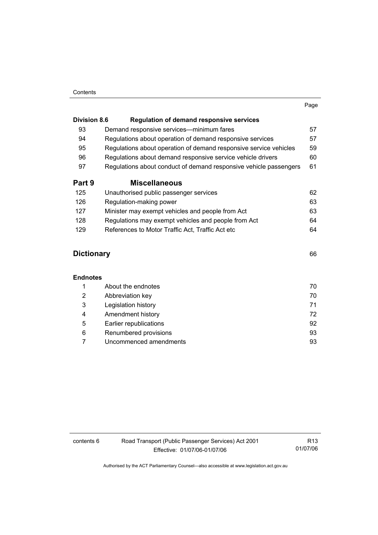|                     |                                                                   | Page |
|---------------------|-------------------------------------------------------------------|------|
| <b>Division 8.6</b> | <b>Regulation of demand responsive services</b>                   |      |
| 93                  | Demand responsive services—minimum fares                          | 57   |
| 94                  | Regulations about operation of demand responsive services         | 57   |
| 95                  | Regulations about operation of demand responsive service vehicles | 59   |
| 96                  | Regulations about demand responsive service vehicle drivers       | 60   |
| 97                  | Regulations about conduct of demand responsive vehicle passengers | 61   |
| Part 9              | <b>Miscellaneous</b>                                              |      |
| 125                 | Unauthorised public passenger services                            | 62   |
| 126                 | Regulation-making power                                           | 63   |
| 127                 | Minister may exempt vehicles and people from Act                  | 63   |
| 128                 | Regulations may exempt vehicles and people from Act               | 64   |
| 129                 | References to Motor Traffic Act, Traffic Act etc                  | 64   |

# **Dictionary** 66

#### **Endnotes**

|   | About the endnotes     | 70 |
|---|------------------------|----|
| 2 | Abbreviation key       | 70 |
| 3 | Legislation history    | 71 |
| 4 | Amendment history      | 72 |
| 5 | Earlier republications | 92 |
| 6 | Renumbered provisions  | 93 |
|   | Uncommenced amendments | 93 |

contents 6 Road Transport (Public Passenger Services) Act 2001 Effective: 01/07/06-01/07/06

R13 01/07/06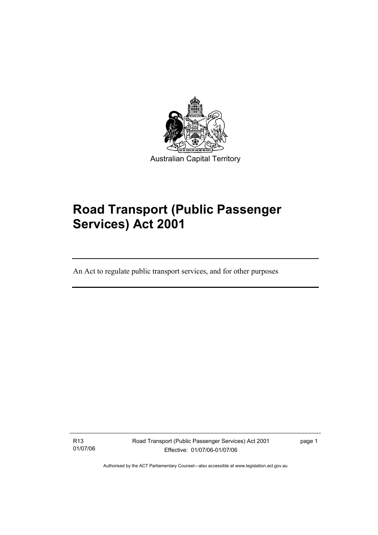

# **Road Transport (Public Passenger Services) Act 2001**

An Act to regulate public transport services, and for other purposes

R13 01/07/06

I

Road Transport (Public Passenger Services) Act 2001 Effective: 01/07/06-01/07/06

page 1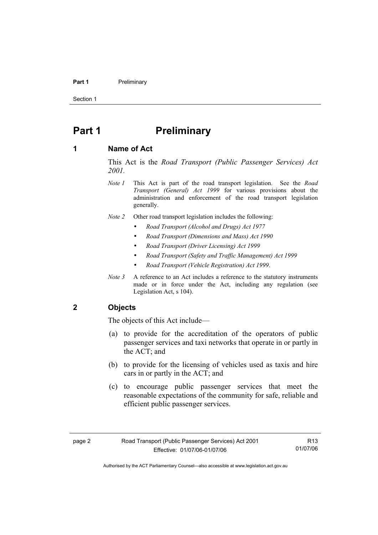#### **Part 1** Preliminary

Section 1

# **Part 1** Preliminary

#### **1 Name of Act**

This Act is the *Road Transport (Public Passenger Services) Act 2001.* 

- *Note 1* This Act is part of the road transport legislation. See the *Road Transport (General) Act 1999* for various provisions about the administration and enforcement of the road transport legislation generally.
- *Note 2* Other road transport legislation includes the following:
	- *Road Transport (Alcohol and Drugs) Act 1977*
	- *Road Transport (Dimensions and Mass) Act 1990*
	- *Road Transport (Driver Licensing) Act 1999*
	- *Road Transport (Safety and Traffic Management) Act 1999*
	- *Road Transport (Vehicle Registration) Act 1999*.
- *Note 3* A reference to an Act includes a reference to the statutory instruments made or in force under the Act, including any regulation (see Legislation Act, s 104).

#### **2 Objects**

The objects of this Act include—

- (a) to provide for the accreditation of the operators of public passenger services and taxi networks that operate in or partly in the ACT; and
- (b) to provide for the licensing of vehicles used as taxis and hire cars in or partly in the ACT; and
- (c) to encourage public passenger services that meet the reasonable expectations of the community for safe, reliable and efficient public passenger services.

R13 01/07/06

Authorised by the ACT Parliamentary Counsel—also accessible at www.legislation.act.gov.au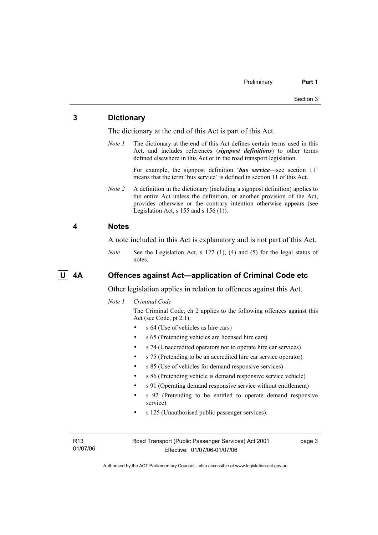#### **3 Dictionary**

The dictionary at the end of this Act is part of this Act.

*Note 1* The dictionary at the end of this Act defines certain terms used in this Act, and includes references (*signpost definitions*) to other terms defined elsewhere in this Act or in the road transport legislation.

> For example, the signpost definition '*bus service*—see section 11' means that the term 'bus service' is defined in section 11 of this Act.

*Note 2* A definition in the dictionary (including a signpost definition) applies to the entire Act unless the definition, or another provision of the Act, provides otherwise or the contrary intention otherwise appears (see Legislation Act, s  $155$  and s  $156$  (1)).

#### **4 Notes**

A note included in this Act is explanatory and is not part of this Act.

*Note* See the Legislation Act, s 127 (1), (4) and (5) for the legal status of notes.

## **U 4A Offences against Act—application of Criminal Code etc**

Other legislation applies in relation to offences against this Act.

*Note 1 Criminal Code*

The Criminal Code, ch 2 applies to the following offences against this Act (see Code, pt 2.1):

- s 64 (Use of vehicles as hire cars)
- s 65 (Pretending vehicles are licensed hire cars)
- s 74 (Unaccredited operators not to operate hire car services)
- s 75 (Pretending to be an accredited hire car service operator)
- s 85 (Use of vehicles for demand responsive services)
- s 86 (Pretending vehicle is demand responsive service vehicle)
- s 91 (Operating demand responsive service without entitlement)
- s 92 (Pretending to be entitled to operate demand responsive service)
- s 125 (Unauthorised public passenger services).

R13 01/07/06 Road Transport (Public Passenger Services) Act 2001 Effective: 01/07/06-01/07/06

page 3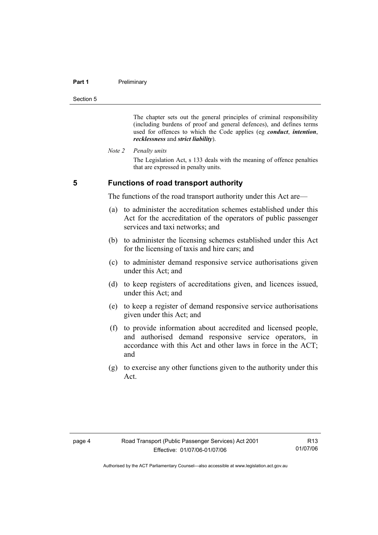#### **Part 1** Preliminary

Section 5

The chapter sets out the general principles of criminal responsibility (including burdens of proof and general defences), and defines terms used for offences to which the Code applies (eg *conduct*, *intention*, *recklessness* and *strict liability*).

*Note 2 Penalty units* 

The Legislation Act, s 133 deals with the meaning of offence penalties that are expressed in penalty units.

**5 Functions of road transport authority** 

The functions of the road transport authority under this Act are—

- (a) to administer the accreditation schemes established under this Act for the accreditation of the operators of public passenger services and taxi networks; and
- (b) to administer the licensing schemes established under this Act for the licensing of taxis and hire cars; and
- (c) to administer demand responsive service authorisations given under this Act; and
- (d) to keep registers of accreditations given, and licences issued, under this Act; and
- (e) to keep a register of demand responsive service authorisations given under this Act; and
- (f) to provide information about accredited and licensed people, and authorised demand responsive service operators, in accordance with this Act and other laws in force in the ACT; and
- (g) to exercise any other functions given to the authority under this Act.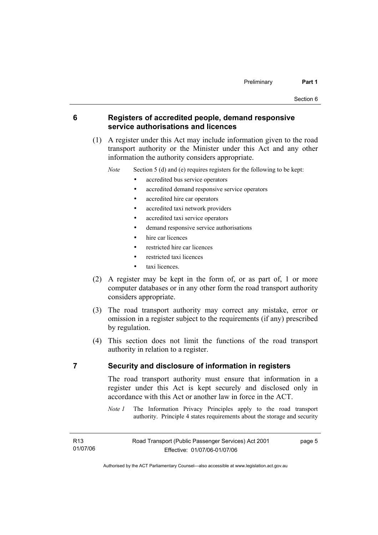#### **6 Registers of accredited people, demand responsive service authorisations and licences**

 (1) A register under this Act may include information given to the road transport authority or the Minister under this Act and any other information the authority considers appropriate.

*Note* Section 5 (d) and (e) requires registers for the following to be kept:

- accredited bus service operators
- accredited demand responsive service operators
- accredited hire car operators
- accredited taxi network providers
- accredited taxi service operators
- demand responsive service authorisations
- hire car licences
- restricted hire car licences
- restricted taxi licences
- taxi licences
- (2) A register may be kept in the form of, or as part of, 1 or more computer databases or in any other form the road transport authority considers appropriate.
- (3) The road transport authority may correct any mistake, error or omission in a register subject to the requirements (if any) prescribed by regulation.
- (4) This section does not limit the functions of the road transport authority in relation to a register.

## **7 Security and disclosure of information in registers**

The road transport authority must ensure that information in a register under this Act is kept securely and disclosed only in accordance with this Act or another law in force in the ACT.

*Note 1* The Information Privacy Principles apply to the road transport authority. Principle 4 states requirements about the storage and security

page 5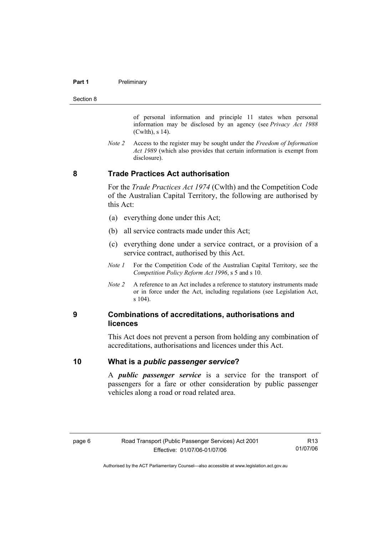#### **Part 1** Preliminary

Section 8

of personal information and principle 11 states when personal information may be disclosed by an agency (see *Privacy Act 1988* (Cwlth), s 14).

*Note 2* Access to the register may be sought under the *Freedom of Information Act 1989* (which also provides that certain information is exempt from disclosure).

## **8 Trade Practices Act authorisation**

For the *Trade Practices Act 1974* (Cwlth) and the Competition Code of the Australian Capital Territory, the following are authorised by this Act:

- (a) everything done under this Act;
- (b) all service contracts made under this Act;
- (c) everything done under a service contract, or a provision of a service contract, authorised by this Act.
- *Note 1* For the Competition Code of the Australian Capital Territory, see the *Competition Policy Reform Act 1996*, s 5 and s 10.
- *Note 2* A reference to an Act includes a reference to statutory instruments made or in force under the Act, including regulations (see Legislation Act, s 104).

#### **9 Combinations of accreditations, authorisations and licences**

This Act does not prevent a person from holding any combination of accreditations, authorisations and licences under this Act.

#### **10 What is a** *public passenger service***?**

A *public passenger service* is a service for the transport of passengers for a fare or other consideration by public passenger vehicles along a road or road related area.

R13 01/07/06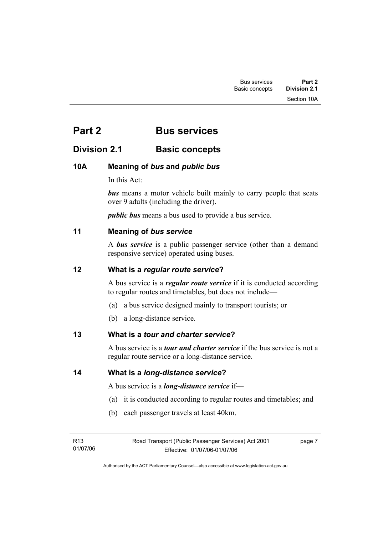# **Part 2 Bus services**

# **Division 2.1 Basic concepts**

# **10A Meaning of** *bus* **and** *public bus*

In this Act:

*bus* means a motor vehicle built mainly to carry people that seats over 9 adults (including the driver).

*public bus* means a bus used to provide a bus service.

# **11 Meaning of** *bus service*

A *bus service* is a public passenger service (other than a demand responsive service) operated using buses.

# **12 What is a** *regular route service***?**

A bus service is a *regular route service* if it is conducted according to regular routes and timetables, but does not include—

- (a) a bus service designed mainly to transport tourists; or
- (b) a long-distance service.

# **13 What is a** *tour and charter service***?**

A bus service is a *tour and charter service* if the bus service is not a regular route service or a long-distance service.

**14 What is a** *long-distance service***?**

A bus service is a *long-distance service* if—

- (a) it is conducted according to regular routes and timetables; and
- (b) each passenger travels at least 40km.

| R13      | Road Transport (Public Passenger Services) Act 2001 | page 7 |
|----------|-----------------------------------------------------|--------|
| 01/07/06 | Effective: 01/07/06-01/07/06                        |        |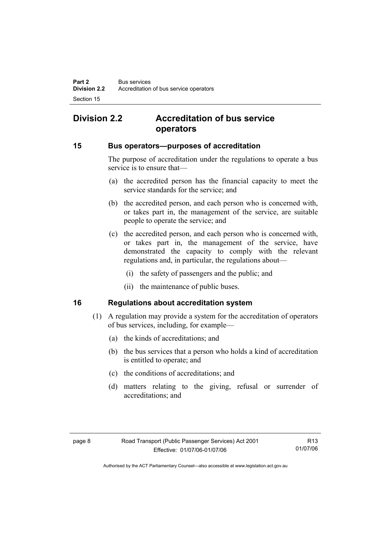# **Division 2.2 Accreditation of bus service operators**

#### **15 Bus operators—purposes of accreditation**

The purpose of accreditation under the regulations to operate a bus service is to ensure that—

- (a) the accredited person has the financial capacity to meet the service standards for the service; and
- (b) the accredited person, and each person who is concerned with, or takes part in, the management of the service, are suitable people to operate the service; and
- (c) the accredited person, and each person who is concerned with, or takes part in, the management of the service, have demonstrated the capacity to comply with the relevant regulations and, in particular, the regulations about—
	- (i) the safety of passengers and the public; and
	- (ii) the maintenance of public buses.

## **16 Regulations about accreditation system**

- (1) A regulation may provide a system for the accreditation of operators of bus services, including, for example—
	- (a) the kinds of accreditations; and
	- (b) the bus services that a person who holds a kind of accreditation is entitled to operate; and
	- (c) the conditions of accreditations; and
	- (d) matters relating to the giving, refusal or surrender of accreditations; and

R13 01/07/06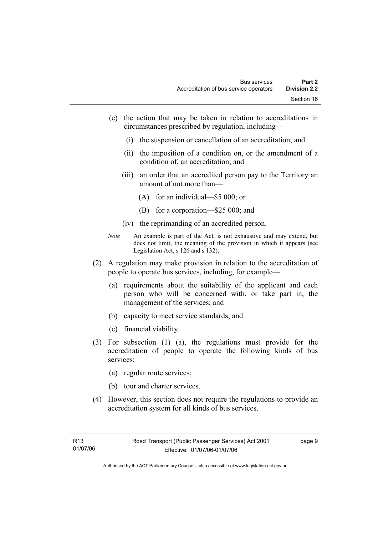- (e) the action that may be taken in relation to accreditations in circumstances prescribed by regulation, including—
	- (i) the suspension or cancellation of an accreditation; and
	- (ii) the imposition of a condition on, or the amendment of a condition of, an accreditation; and
	- (iii) an order that an accredited person pay to the Territory an amount of not more than—
		- (A) for an individual—\$5 000; or
		- (B) for a corporation—\$25 000; and
	- (iv) the reprimanding of an accredited person.
- *Note* An example is part of the Act, is not exhaustive and may extend, but does not limit, the meaning of the provision in which it appears (see Legislation Act, s 126 and s 132).
- (2) A regulation may make provision in relation to the accreditation of people to operate bus services, including, for example—
	- (a) requirements about the suitability of the applicant and each person who will be concerned with, or take part in, the management of the services; and
	- (b) capacity to meet service standards; and
	- (c) financial viability.
- (3) For subsection (1) (a), the regulations must provide for the accreditation of people to operate the following kinds of bus services:
	- (a) regular route services;
	- (b) tour and charter services.
- (4) However, this section does not require the regulations to provide an accreditation system for all kinds of bus services.

page 9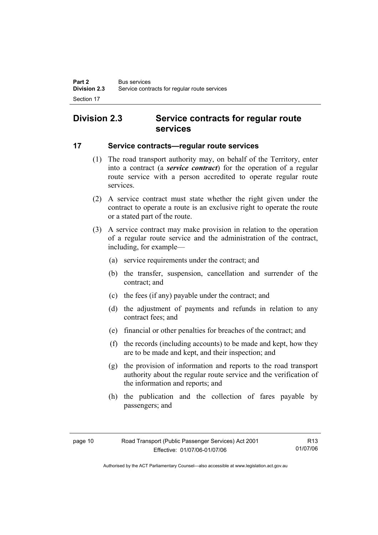# **Division 2.3 Service contracts for regular route services**

## **17 Service contracts—regular route services**

- (1) The road transport authority may, on behalf of the Territory, enter into a contract (a *service contract*) for the operation of a regular route service with a person accredited to operate regular route services.
- (2) A service contract must state whether the right given under the contract to operate a route is an exclusive right to operate the route or a stated part of the route.
- (3) A service contract may make provision in relation to the operation of a regular route service and the administration of the contract, including, for example—
	- (a) service requirements under the contract; and
	- (b) the transfer, suspension, cancellation and surrender of the contract; and
	- (c) the fees (if any) payable under the contract; and
	- (d) the adjustment of payments and refunds in relation to any contract fees; and
	- (e) financial or other penalties for breaches of the contract; and
	- (f) the records (including accounts) to be made and kept, how they are to be made and kept, and their inspection; and
	- (g) the provision of information and reports to the road transport authority about the regular route service and the verification of the information and reports; and
	- (h) the publication and the collection of fares payable by passengers; and

R13 01/07/06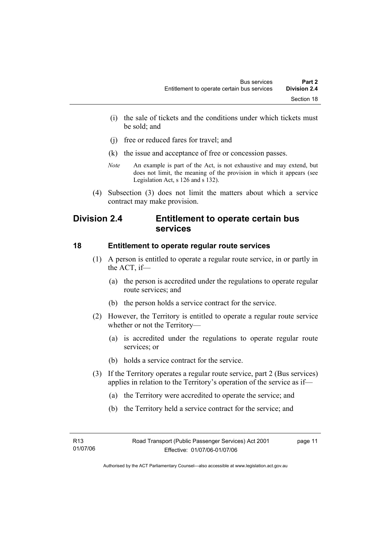- (i) the sale of tickets and the conditions under which tickets must be sold; and
- (j) free or reduced fares for travel; and
- (k) the issue and acceptance of free or concession passes.
- *Note* An example is part of the Act, is not exhaustive and may extend, but does not limit, the meaning of the provision in which it appears (see Legislation Act, s 126 and s 132).
- (4) Subsection (3) does not limit the matters about which a service contract may make provision.

# **Division 2.4 Entitlement to operate certain bus services**

#### **18 Entitlement to operate regular route services**

- (1) A person is entitled to operate a regular route service, in or partly in the ACT, if—
	- (a) the person is accredited under the regulations to operate regular route services; and
	- (b) the person holds a service contract for the service.
- (2) However, the Territory is entitled to operate a regular route service whether or not the Territory—
	- (a) is accredited under the regulations to operate regular route services; or
	- (b) holds a service contract for the service.
- (3) If the Territory operates a regular route service, part 2 (Bus services) applies in relation to the Territory's operation of the service as if—
	- (a) the Territory were accredited to operate the service; and
	- (b) the Territory held a service contract for the service; and

page 11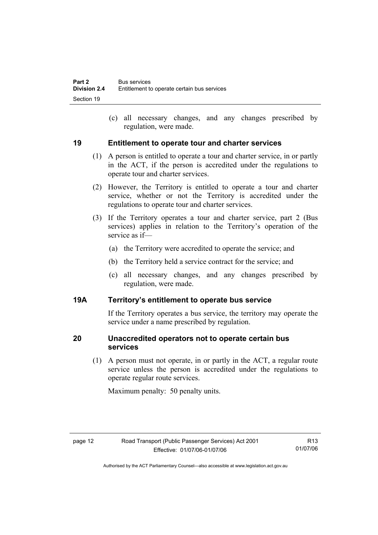(c) all necessary changes, and any changes prescribed by regulation, were made.

## **19 Entitlement to operate tour and charter services**

- (1) A person is entitled to operate a tour and charter service, in or partly in the ACT, if the person is accredited under the regulations to operate tour and charter services.
- (2) However, the Territory is entitled to operate a tour and charter service, whether or not the Territory is accredited under the regulations to operate tour and charter services.
- (3) If the Territory operates a tour and charter service, part 2 (Bus services) applies in relation to the Territory's operation of the service as if—
	- (a) the Territory were accredited to operate the service; and
	- (b) the Territory held a service contract for the service; and
	- (c) all necessary changes, and any changes prescribed by regulation, were made.

# **19A Territory's entitlement to operate bus service**

If the Territory operates a bus service, the territory may operate the service under a name prescribed by regulation.

# **20 Unaccredited operators not to operate certain bus services**

 (1) A person must not operate, in or partly in the ACT, a regular route service unless the person is accredited under the regulations to operate regular route services.

Maximum penalty: 50 penalty units.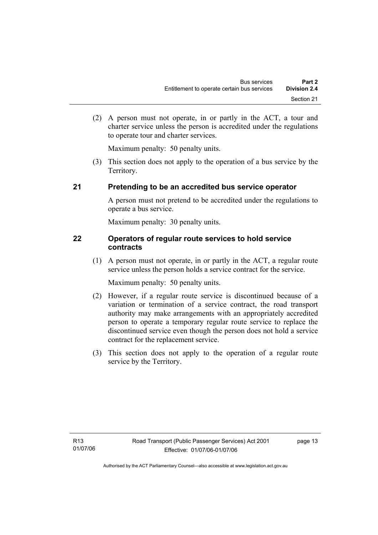(2) A person must not operate, in or partly in the ACT, a tour and charter service unless the person is accredited under the regulations to operate tour and charter services.

Maximum penalty: 50 penalty units.

 (3) This section does not apply to the operation of a bus service by the Territory.

# **21 Pretending to be an accredited bus service operator**

A person must not pretend to be accredited under the regulations to operate a bus service.

Maximum penalty: 30 penalty units.

# **22 Operators of regular route services to hold service contracts**

 (1) A person must not operate, in or partly in the ACT, a regular route service unless the person holds a service contract for the service.

Maximum penalty: 50 penalty units.

- (2) However, if a regular route service is discontinued because of a variation or termination of a service contract, the road transport authority may make arrangements with an appropriately accredited person to operate a temporary regular route service to replace the discontinued service even though the person does not hold a service contract for the replacement service.
- (3) This section does not apply to the operation of a regular route service by the Territory.

page 13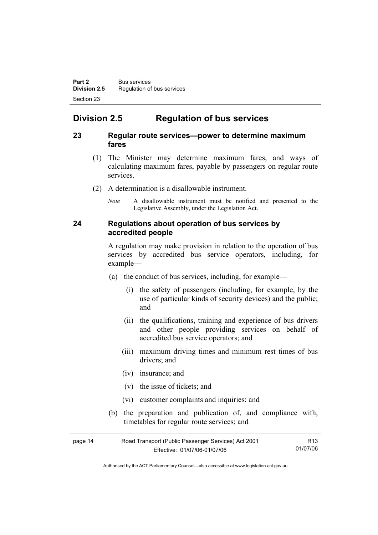# **Division 2.5 Regulation of bus services**

#### **23 Regular route services—power to determine maximum fares**

- (1) The Minister may determine maximum fares, and ways of calculating maximum fares, payable by passengers on regular route services.
- (2) A determination is a disallowable instrument.
	- *Note* A disallowable instrument must be notified and presented to the Legislative Assembly, under the Legislation Act.

#### **24 Regulations about operation of bus services by accredited people**

A regulation may make provision in relation to the operation of bus services by accredited bus service operators, including, for example—

- (a) the conduct of bus services, including, for example—
	- (i) the safety of passengers (including, for example, by the use of particular kinds of security devices) and the public; and
	- (ii) the qualifications, training and experience of bus drivers and other people providing services on behalf of accredited bus service operators; and
	- (iii) maximum driving times and minimum rest times of bus drivers; and
	- (iv) insurance; and
	- (v) the issue of tickets; and
	- (vi) customer complaints and inquiries; and
- (b) the preparation and publication of, and compliance with, timetables for regular route services; and

| page 14 | Road Transport (Public Passenger Services) Act 2001 | R13      |
|---------|-----------------------------------------------------|----------|
|         | Effective: 01/07/06-01/07/06                        | 01/07/06 |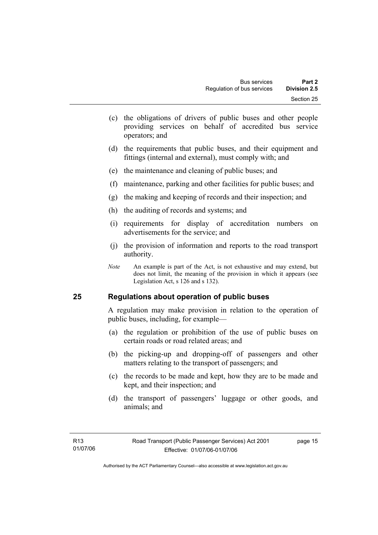- (c) the obligations of drivers of public buses and other people providing services on behalf of accredited bus service operators; and
- (d) the requirements that public buses, and their equipment and fittings (internal and external), must comply with; and
- (e) the maintenance and cleaning of public buses; and
- (f) maintenance, parking and other facilities for public buses; and
- (g) the making and keeping of records and their inspection; and
- (h) the auditing of records and systems; and
- (i) requirements for display of accreditation numbers on advertisements for the service; and
- (j) the provision of information and reports to the road transport authority.
- *Note* An example is part of the Act, is not exhaustive and may extend, but does not limit, the meaning of the provision in which it appears (see Legislation Act, s 126 and s 132).

#### **25 Regulations about operation of public buses**

A regulation may make provision in relation to the operation of public buses, including, for example—

- (a) the regulation or prohibition of the use of public buses on certain roads or road related areas; and
- (b) the picking-up and dropping-off of passengers and other matters relating to the transport of passengers; and
- (c) the records to be made and kept, how they are to be made and kept, and their inspection; and
- (d) the transport of passengers' luggage or other goods, and animals; and

page 15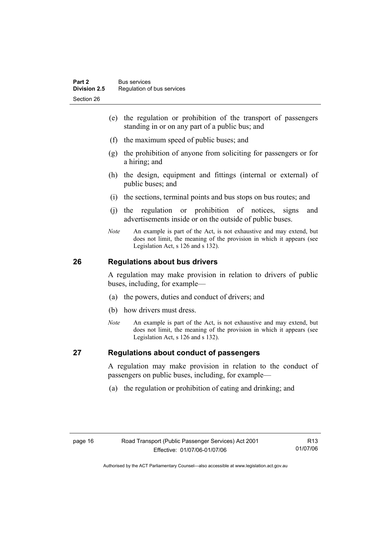- (e) the regulation or prohibition of the transport of passengers standing in or on any part of a public bus; and
- (f) the maximum speed of public buses; and
- (g) the prohibition of anyone from soliciting for passengers or for a hiring; and
- (h) the design, equipment and fittings (internal or external) of public buses; and
- (i) the sections, terminal points and bus stops on bus routes; and
- (j) the regulation or prohibition of notices, signs and advertisements inside or on the outside of public buses.
- *Note* An example is part of the Act, is not exhaustive and may extend, but does not limit, the meaning of the provision in which it appears (see Legislation Act, s 126 and s 132).

# **26 Regulations about bus drivers**

A regulation may make provision in relation to drivers of public buses, including, for example—

- (a) the powers, duties and conduct of drivers; and
- (b) how drivers must dress.
- *Note* An example is part of the Act, is not exhaustive and may extend, but does not limit, the meaning of the provision in which it appears (see Legislation Act, s 126 and s 132).

# **27 Regulations about conduct of passengers**

A regulation may make provision in relation to the conduct of passengers on public buses, including, for example—

(a) the regulation or prohibition of eating and drinking; and

R13 01/07/06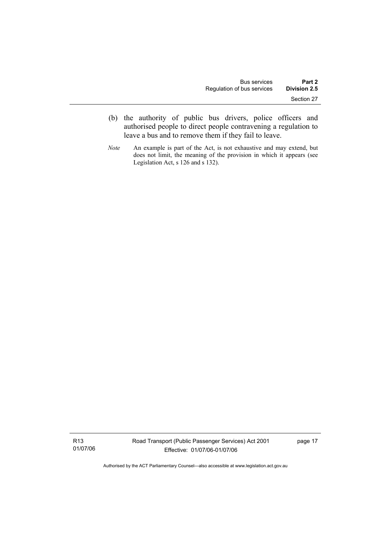- (b) the authority of public bus drivers, police officers and authorised people to direct people contravening a regulation to leave a bus and to remove them if they fail to leave.
- *Note* An example is part of the Act, is not exhaustive and may extend, but does not limit, the meaning of the provision in which it appears (see Legislation Act, s 126 and s 132).

R13 01/07/06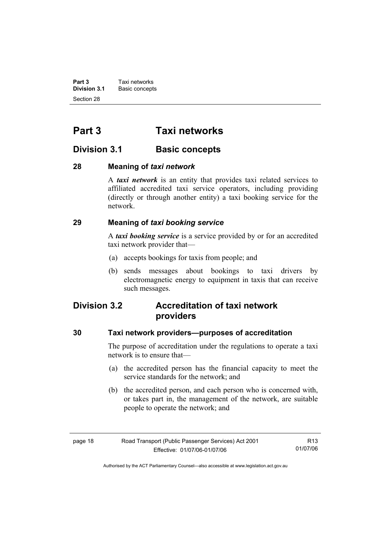**Part 3 Taxi networks**<br>**Division 3.1 Basic concept Basic concepts** Section 28

# **Part 3 Taxi networks**

# **Division 3.1** Basic concepts

## **28 Meaning of** *taxi network*

A *taxi network* is an entity that provides taxi related services to affiliated accredited taxi service operators, including providing (directly or through another entity) a taxi booking service for the network.

# **29 Meaning of** *taxi booking service*

A *taxi booking service* is a service provided by or for an accredited taxi network provider that—

- (a) accepts bookings for taxis from people; and
- (b) sends messages about bookings to taxi drivers by electromagnetic energy to equipment in taxis that can receive such messages.

# **Division 3.2 Accreditation of taxi network providers**

#### **30 Taxi network providers—purposes of accreditation**

The purpose of accreditation under the regulations to operate a taxi network is to ensure that—

- (a) the accredited person has the financial capacity to meet the service standards for the network; and
- (b) the accredited person, and each person who is concerned with, or takes part in, the management of the network, are suitable people to operate the network; and

| page 18 | Road Transport (Public Passenger Services) Act 2001 | R13      |
|---------|-----------------------------------------------------|----------|
|         | Effective: 01/07/06-01/07/06                        | 01/07/06 |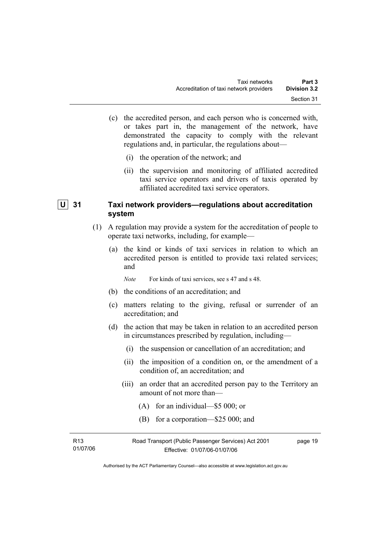- (c) the accredited person, and each person who is concerned with, or takes part in, the management of the network, have demonstrated the capacity to comply with the relevant regulations and, in particular, the regulations about—
	- (i) the operation of the network; and
	- (ii) the supervision and monitoring of affiliated accredited taxi service operators and drivers of taxis operated by affiliated accredited taxi service operators.

## **U 31 Taxi network providers—regulations about accreditation system**

- (1) A regulation may provide a system for the accreditation of people to operate taxi networks, including, for example—
	- (a) the kind or kinds of taxi services in relation to which an accredited person is entitled to provide taxi related services; and
		- *Note* For kinds of taxi services, see s 47 and s 48.
	- (b) the conditions of an accreditation; and
	- (c) matters relating to the giving, refusal or surrender of an accreditation; and
	- (d) the action that may be taken in relation to an accredited person in circumstances prescribed by regulation, including—
		- (i) the suspension or cancellation of an accreditation; and
		- (ii) the imposition of a condition on, or the amendment of a condition of, an accreditation; and
		- (iii) an order that an accredited person pay to the Territory an amount of not more than—
			- (A) for an individual—\$5 000; or
			- (B) for a corporation—\$25 000; and

| R <sub>13</sub> | Road Transport (Public Passenger Services) Act 2001 | page 19 |
|-----------------|-----------------------------------------------------|---------|
| 01/07/06        | Effective: 01/07/06-01/07/06                        |         |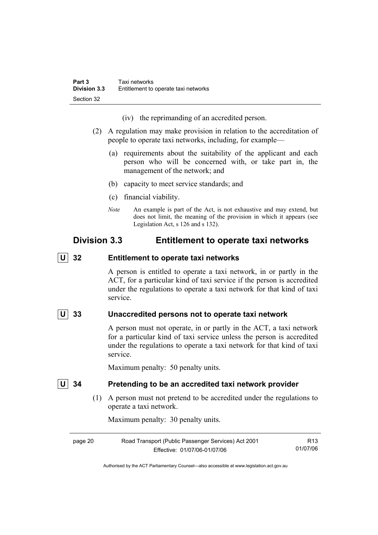(iv) the reprimanding of an accredited person.

- (2) A regulation may make provision in relation to the accreditation of people to operate taxi networks, including, for example—
	- (a) requirements about the suitability of the applicant and each person who will be concerned with, or take part in, the management of the network; and
	- (b) capacity to meet service standards; and
	- (c) financial viability.
	- *Note* An example is part of the Act, is not exhaustive and may extend, but does not limit, the meaning of the provision in which it appears (see Legislation Act, s 126 and s 132).

# **Division 3.3 Entitlement to operate taxi networks**

 **U 32 Entitlement to operate taxi networks** 

A person is entitled to operate a taxi network, in or partly in the ACT, for a particular kind of taxi service if the person is accredited under the regulations to operate a taxi network for that kind of taxi service.

# **U 33 Unaccredited persons not to operate taxi network**

A person must not operate, in or partly in the ACT, a taxi network for a particular kind of taxi service unless the person is accredited under the regulations to operate a taxi network for that kind of taxi service.

Maximum penalty: 50 penalty units.

### **U 34 Pretending to be an accredited taxi network provider**

 (1) A person must not pretend to be accredited under the regulations to operate a taxi network.

Maximum penalty: 30 penalty units.

page 20 Road Transport (Public Passenger Services) Act 2001 Effective: 01/07/06-01/07/06 R13 01/07/06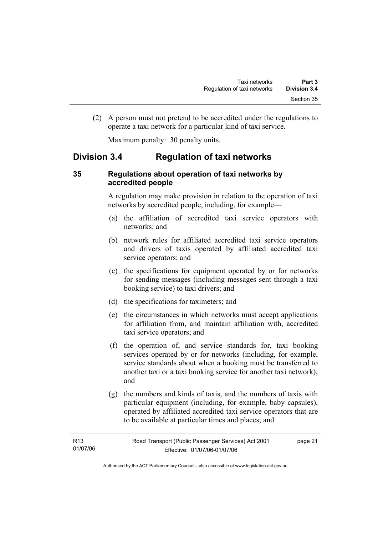(2) A person must not pretend to be accredited under the regulations to operate a taxi network for a particular kind of taxi service.

Maximum penalty: 30 penalty units.

# **Division 3.4 Regulation of taxi networks**

## **35 Regulations about operation of taxi networks by accredited people**

A regulation may make provision in relation to the operation of taxi networks by accredited people, including, for example—

- (a) the affiliation of accredited taxi service operators with networks; and
- (b) network rules for affiliated accredited taxi service operators and drivers of taxis operated by affiliated accredited taxi service operators; and
- (c) the specifications for equipment operated by or for networks for sending messages (including messages sent through a taxi booking service) to taxi drivers; and
- (d) the specifications for taximeters; and
- (e) the circumstances in which networks must accept applications for affiliation from, and maintain affiliation with, accredited taxi service operators; and
- (f) the operation of, and service standards for, taxi booking services operated by or for networks (including, for example, service standards about when a booking must be transferred to another taxi or a taxi booking service for another taxi network); and
- (g) the numbers and kinds of taxis, and the numbers of taxis with particular equipment (including, for example, baby capsules), operated by affiliated accredited taxi service operators that are to be available at particular times and places; and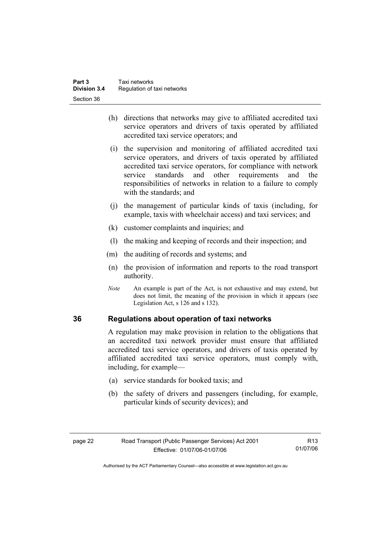- (h) directions that networks may give to affiliated accredited taxi service operators and drivers of taxis operated by affiliated accredited taxi service operators; and
- (i) the supervision and monitoring of affiliated accredited taxi service operators, and drivers of taxis operated by affiliated accredited taxi service operators, for compliance with network service standards and other requirements and the responsibilities of networks in relation to a failure to comply with the standards; and
- (j) the management of particular kinds of taxis (including, for example, taxis with wheelchair access) and taxi services; and
- (k) customer complaints and inquiries; and
- (l) the making and keeping of records and their inspection; and
- (m) the auditing of records and systems; and
- (n) the provision of information and reports to the road transport authority.
- *Note* An example is part of the Act, is not exhaustive and may extend, but does not limit, the meaning of the provision in which it appears (see Legislation Act, s 126 and s 132).

#### **36 Regulations about operation of taxi networks**

A regulation may make provision in relation to the obligations that an accredited taxi network provider must ensure that affiliated accredited taxi service operators, and drivers of taxis operated by affiliated accredited taxi service operators, must comply with, including, for example—

- (a) service standards for booked taxis; and
- (b) the safety of drivers and passengers (including, for example, particular kinds of security devices); and

| page 22 | Road Transport (Public Passenger Services) Act 2001 | R13      |
|---------|-----------------------------------------------------|----------|
|         | Effective: 01/07/06-01/07/06                        | 01/07/06 |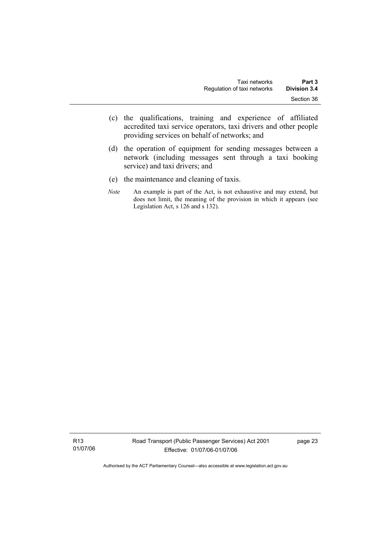- (c) the qualifications, training and experience of affiliated accredited taxi service operators, taxi drivers and other people providing services on behalf of networks; and
- (d) the operation of equipment for sending messages between a network (including messages sent through a taxi booking service) and taxi drivers; and
- (e) the maintenance and cleaning of taxis.
- *Note* An example is part of the Act, is not exhaustive and may extend, but does not limit, the meaning of the provision in which it appears (see Legislation Act, s 126 and s 132).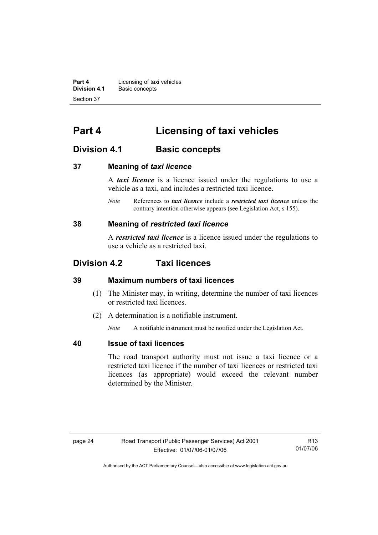**Part 4 Licensing of taxi vehicles**<br>**Division 4.1** Basic concepts **Division 4.1** Basic concepts Section 37

# **Part 4 Licensing of taxi vehicles**

# **Division 4.1 Basic concepts**

#### **37 Meaning of** *taxi licence*

A *taxi licence* is a licence issued under the regulations to use a vehicle as a taxi, and includes a restricted taxi licence.

*Note* References to *taxi licence* include a *restricted taxi licence* unless the contrary intention otherwise appears (see Legislation Act, s 155).

#### **38 Meaning of** *restricted taxi licence*

A *restricted taxi licence* is a licence issued under the regulations to use a vehicle as a restricted taxi.

# **Division 4.2 Taxi licences**

#### **39 Maximum numbers of taxi licences**

- (1) The Minister may, in writing, determine the number of taxi licences or restricted taxi licences.
- (2) A determination is a notifiable instrument.

*Note* A notifiable instrument must be notified under the Legislation Act.

#### **40 Issue of taxi licences**

The road transport authority must not issue a taxi licence or a restricted taxi licence if the number of taxi licences or restricted taxi licences (as appropriate) would exceed the relevant number determined by the Minister.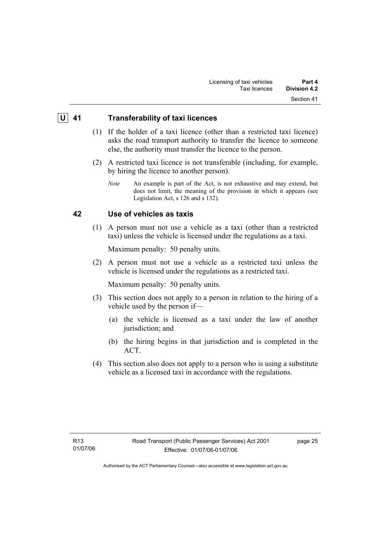## **U 41 Transferability of taxi licences**

- (1) If the holder of a taxi licence (other than a restricted taxi licence) asks the road transport authority to transfer the licence to someone else, the authority must transfer the licence to the person.
- (2) A restricted taxi licence is not transferable (including, for example, by hiring the licence to another person).
	- *Note* An example is part of the Act, is not exhaustive and may extend, but does not limit, the meaning of the provision in which it appears (see Legislation Act, s 126 and s 132).

## **42 Use of vehicles as taxis**

 (1) A person must not use a vehicle as a taxi (other than a restricted taxi) unless the vehicle is licensed under the regulations as a taxi.

Maximum penalty: 50 penalty units.

 (2) A person must not use a vehicle as a restricted taxi unless the vehicle is licensed under the regulations as a restricted taxi.

Maximum penalty: 50 penalty units.

- (3) This section does not apply to a person in relation to the hiring of a vehicle used by the person if—
	- (a) the vehicle is licensed as a taxi under the law of another jurisdiction; and
	- (b) the hiring begins in that jurisdiction and is completed in the ACT.
- (4) This section also does not apply to a person who is using a substitute vehicle as a licensed taxi in accordance with the regulations.

page 25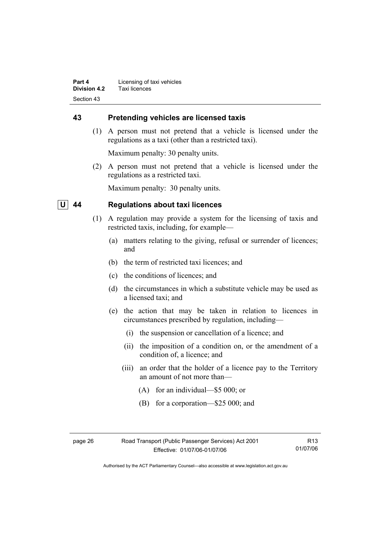**Part 4 Licensing of taxi vehicles Division 4.2** Taxi licences Section 43

#### **43 Pretending vehicles are licensed taxis**

 (1) A person must not pretend that a vehicle is licensed under the regulations as a taxi (other than a restricted taxi).

Maximum penalty: 30 penalty units.

 (2) A person must not pretend that a vehicle is licensed under the regulations as a restricted taxi.

Maximum penalty: 30 penalty units.

# **U 44 Regulations about taxi licences**

- (1) A regulation may provide a system for the licensing of taxis and restricted taxis, including, for example—
	- (a) matters relating to the giving, refusal or surrender of licences; and
	- (b) the term of restricted taxi licences; and
	- (c) the conditions of licences; and
	- (d) the circumstances in which a substitute vehicle may be used as a licensed taxi; and
	- (e) the action that may be taken in relation to licences in circumstances prescribed by regulation, including—
		- (i) the suspension or cancellation of a licence; and
		- (ii) the imposition of a condition on, or the amendment of a condition of, a licence; and
		- (iii) an order that the holder of a licence pay to the Territory an amount of not more than—
			- (A) for an individual—\$5 000; or
			- (B) for a corporation—\$25 000; and

| - 3<br>- |  |
|----------|--|
|----------|--|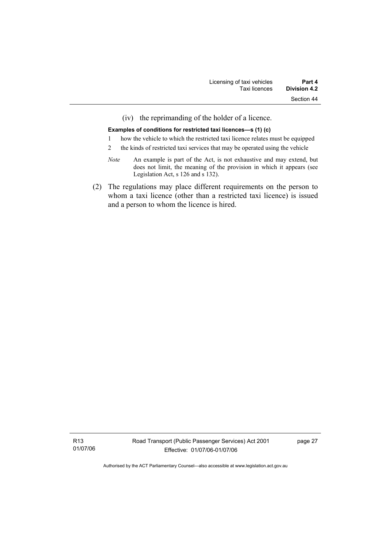(iv) the reprimanding of the holder of a licence.

#### **Examples of conditions for restricted taxi licences—s (1) (c)**

- 1 how the vehicle to which the restricted taxi licence relates must be equipped
- 2 the kinds of restricted taxi services that may be operated using the vehicle
- *Note* An example is part of the Act, is not exhaustive and may extend, but does not limit, the meaning of the provision in which it appears (see Legislation Act, s 126 and s 132).
- (2) The regulations may place different requirements on the person to whom a taxi licence (other than a restricted taxi licence) is issued and a person to whom the licence is hired.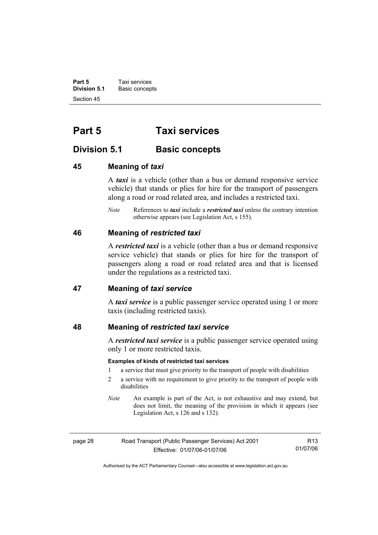**Part 5 Taxi services Division 5.1** Basic concepts Section 45

# **Part 5 Taxi services**

# **Division 5.1** Basic concepts

#### **45 Meaning of** *taxi*

A *taxi* is a vehicle (other than a bus or demand responsive service vehicle) that stands or plies for hire for the transport of passengers along a road or road related area, and includes a restricted taxi.

*Note* References to *taxi* include a *restricted taxi* unless the contrary intention otherwise appears (see Legislation Act, s 155).

#### **46 Meaning of** *restricted taxi*

A *restricted taxi* is a vehicle (other than a bus or demand responsive service vehicle) that stands or plies for hire for the transport of passengers along a road or road related area and that is licensed under the regulations as a restricted taxi.

#### **47 Meaning of** *taxi service*

A *taxi service* is a public passenger service operated using 1 or more taxis (including restricted taxis).

#### **48 Meaning of** *restricted taxi service*

A *restricted taxi service* is a public passenger service operated using only 1 or more restricted taxis.

#### **Examples of kinds of restricted taxi services**

- 1 a service that must give priority to the transport of people with disabilities
- 2 a service with no requirement to give priority to the transport of people with disabilities
- *Note* An example is part of the Act, is not exhaustive and may extend, but does not limit, the meaning of the provision in which it appears (see Legislation Act, s 126 and s 132).

| page 28 | Road Transport (Public Passenger Services) Act 2001 |
|---------|-----------------------------------------------------|
|         | Effective: 01/07/06-01/07/06                        |

R13 01/07/06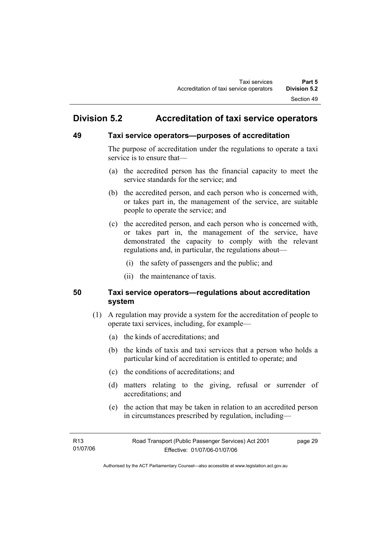# **Division 5.2 Accreditation of taxi service operators**

### **49 Taxi service operators—purposes of accreditation**

The purpose of accreditation under the regulations to operate a taxi service is to ensure that—

- (a) the accredited person has the financial capacity to meet the service standards for the service; and
- (b) the accredited person, and each person who is concerned with, or takes part in, the management of the service, are suitable people to operate the service; and
- (c) the accredited person, and each person who is concerned with, or takes part in, the management of the service, have demonstrated the capacity to comply with the relevant regulations and, in particular, the regulations about—
	- (i) the safety of passengers and the public; and
	- (ii) the maintenance of taxis.

## **50 Taxi service operators—regulations about accreditation system**

- (1) A regulation may provide a system for the accreditation of people to operate taxi services, including, for example—
	- (a) the kinds of accreditations; and
	- (b) the kinds of taxis and taxi services that a person who holds a particular kind of accreditation is entitled to operate; and
	- (c) the conditions of accreditations; and
	- (d) matters relating to the giving, refusal or surrender of accreditations; and
	- (e) the action that may be taken in relation to an accredited person in circumstances prescribed by regulation, including—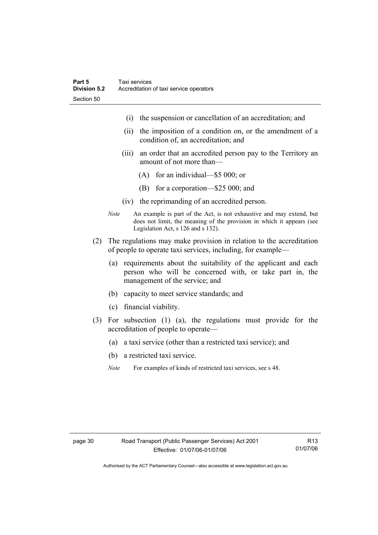- (i) the suspension or cancellation of an accreditation; and
- (ii) the imposition of a condition on, or the amendment of a condition of, an accreditation; and
- (iii) an order that an accredited person pay to the Territory an amount of not more than—
	- (A) for an individual—\$5 000; or
	- (B) for a corporation—\$25 000; and
- (iv) the reprimanding of an accredited person.
- *Note* An example is part of the Act, is not exhaustive and may extend, but does not limit, the meaning of the provision in which it appears (see Legislation Act, s 126 and s 132).
- (2) The regulations may make provision in relation to the accreditation of people to operate taxi services, including, for example—
	- (a) requirements about the suitability of the applicant and each person who will be concerned with, or take part in, the management of the service; and
	- (b) capacity to meet service standards; and
	- (c) financial viability.
- (3) For subsection (1) (a), the regulations must provide for the accreditation of people to operate—
	- (a) a taxi service (other than a restricted taxi service); and
	- (b) a restricted taxi service.
	- *Note* For examples of kinds of restricted taxi services, see s 48.

Authorised by the ACT Parliamentary Counsel—also accessible at www.legislation.act.gov.au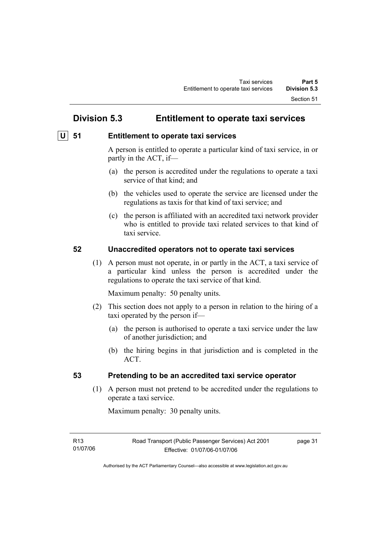# **Division 5.3 Entitlement to operate taxi services**

## **<u>U** 51 Entitlement to operate taxi services</u>

A person is entitled to operate a particular kind of taxi service, in or partly in the ACT, if—

- (a) the person is accredited under the regulations to operate a taxi service of that kind; and
- (b) the vehicles used to operate the service are licensed under the regulations as taxis for that kind of taxi service; and
- (c) the person is affiliated with an accredited taxi network provider who is entitled to provide taxi related services to that kind of taxi service.

### **52 Unaccredited operators not to operate taxi services**

 (1) A person must not operate, in or partly in the ACT, a taxi service of a particular kind unless the person is accredited under the regulations to operate the taxi service of that kind.

Maximum penalty: 50 penalty units.

- (2) This section does not apply to a person in relation to the hiring of a taxi operated by the person if—
	- (a) the person is authorised to operate a taxi service under the law of another jurisdiction; and
	- (b) the hiring begins in that jurisdiction and is completed in the ACT.

### **53 Pretending to be an accredited taxi service operator**

 (1) A person must not pretend to be accredited under the regulations to operate a taxi service.

Maximum penalty: 30 penalty units.

R13 01/07/06 page 31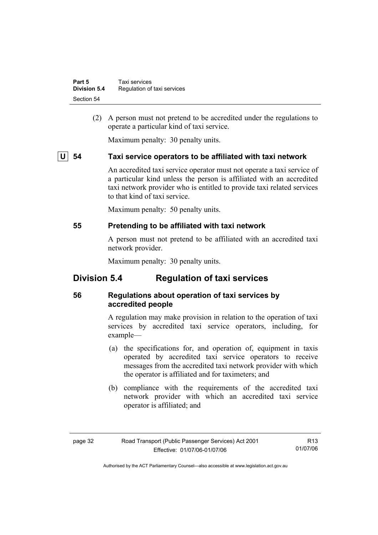| Part 5              | Taxi services               |
|---------------------|-----------------------------|
| <b>Division 5.4</b> | Regulation of taxi services |
| Section 54          |                             |

 (2) A person must not pretend to be accredited under the regulations to operate a particular kind of taxi service.

Maximum penalty: 30 penalty units.

### **U 54 Taxi service operators to be affiliated with taxi network**

An accredited taxi service operator must not operate a taxi service of a particular kind unless the person is affiliated with an accredited taxi network provider who is entitled to provide taxi related services to that kind of taxi service.

Maximum penalty: 50 penalty units.

### **55 Pretending to be affiliated with taxi network**

A person must not pretend to be affiliated with an accredited taxi network provider.

Maximum penalty: 30 penalty units.

# **Division 5.4 Regulation of taxi services**

## **56 Regulations about operation of taxi services by accredited people**

A regulation may make provision in relation to the operation of taxi services by accredited taxi service operators, including, for example—

- (a) the specifications for, and operation of, equipment in taxis operated by accredited taxi service operators to receive messages from the accredited taxi network provider with which the operator is affiliated and for taximeters; and
- (b) compliance with the requirements of the accredited taxi network provider with which an accredited taxi service operator is affiliated; and

| C<br>ю<br>÷<br>٠ |  |
|------------------|--|
|------------------|--|

R13 01/07/06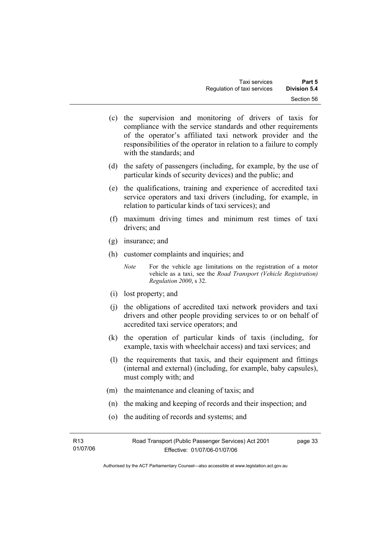- (c) the supervision and monitoring of drivers of taxis for compliance with the service standards and other requirements of the operator's affiliated taxi network provider and the responsibilities of the operator in relation to a failure to comply with the standards; and
- (d) the safety of passengers (including, for example, by the use of particular kinds of security devices) and the public; and
- (e) the qualifications, training and experience of accredited taxi service operators and taxi drivers (including, for example, in relation to particular kinds of taxi services); and
- (f) maximum driving times and minimum rest times of taxi drivers; and
- (g) insurance; and
- (h) customer complaints and inquiries; and
	- *Note* For the vehicle age limitations on the registration of a motor vehicle as a taxi, see the *Road Transport (Vehicle Registration) Regulation 2000*, s 32.
- (i) lost property; and
- (j) the obligations of accredited taxi network providers and taxi drivers and other people providing services to or on behalf of accredited taxi service operators; and
- (k) the operation of particular kinds of taxis (including, for example, taxis with wheelchair access) and taxi services; and
- (l) the requirements that taxis, and their equipment and fittings (internal and external) (including, for example, baby capsules), must comply with; and
- (m) the maintenance and cleaning of taxis; and
- (n) the making and keeping of records and their inspection; and
- (o) the auditing of records and systems; and

| R13      | Road Transport (Public Passenger Services) Act 2001 | page 33 |
|----------|-----------------------------------------------------|---------|
| 01/07/06 | Effective: 01/07/06-01/07/06                        |         |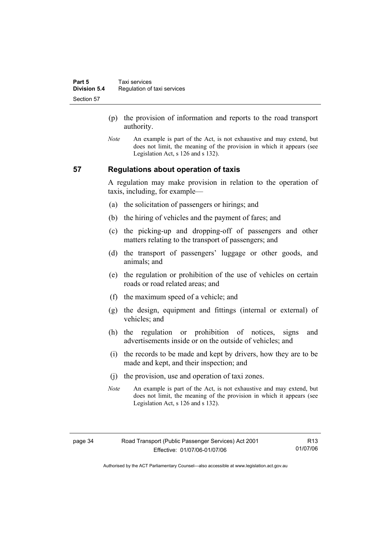- (p) the provision of information and reports to the road transport authority.
- *Note* An example is part of the Act, is not exhaustive and may extend, but does not limit, the meaning of the provision in which it appears (see Legislation Act, s 126 and s 132).

### **57 Regulations about operation of taxis**

A regulation may make provision in relation to the operation of taxis, including, for example—

- (a) the solicitation of passengers or hirings; and
- (b) the hiring of vehicles and the payment of fares; and
- (c) the picking-up and dropping-off of passengers and other matters relating to the transport of passengers; and
- (d) the transport of passengers' luggage or other goods, and animals; and
- (e) the regulation or prohibition of the use of vehicles on certain roads or road related areas; and
- (f) the maximum speed of a vehicle; and
- (g) the design, equipment and fittings (internal or external) of vehicles; and
- (h) the regulation or prohibition of notices, signs and advertisements inside or on the outside of vehicles; and
- (i) the records to be made and kept by drivers, how they are to be made and kept, and their inspection; and
- (j) the provision, use and operation of taxi zones.
- *Note* An example is part of the Act, is not exhaustive and may extend, but does not limit, the meaning of the provision in which it appears (see Legislation Act, s 126 and s 132).

Authorised by the ACT Parliamentary Counsel—also accessible at www.legislation.act.gov.au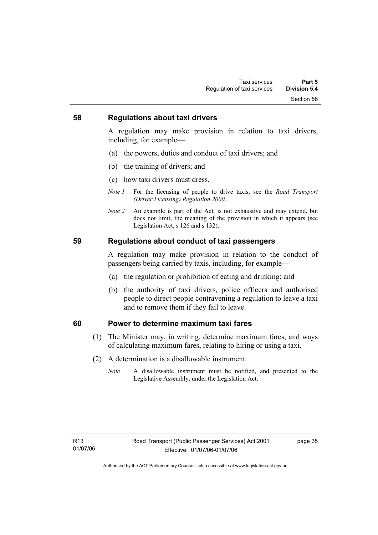### **58 Regulations about taxi drivers**

A regulation may make provision in relation to taxi drivers, including, for example—

- (a) the powers, duties and conduct of taxi drivers; and
- (b) the training of drivers; and
- (c) how taxi drivers must dress.
- *Note 1* For the licensing of people to drive taxis, see the *Road Transport (Driver Licensing) Regulation 2000*.
- *Note 2* An example is part of the Act, is not exhaustive and may extend, but does not limit, the meaning of the provision in which it appears (see Legislation Act, s 126 and s 132).

### **59 Regulations about conduct of taxi passengers**

A regulation may make provision in relation to the conduct of passengers being carried by taxis, including, for example—

- (a) the regulation or prohibition of eating and drinking; and
- (b) the authority of taxi drivers, police officers and authorised people to direct people contravening a regulation to leave a taxi and to remove them if they fail to leave.

### **60 Power to determine maximum taxi fares**

- (1) The Minister may, in writing, determine maximum fares, and ways of calculating maximum fares, relating to hiring or using a taxi.
- (2) A determination is a disallowable instrument.
	- *Note* A disallowable instrument must be notified, and presented to the Legislative Assembly, under the Legislation Act.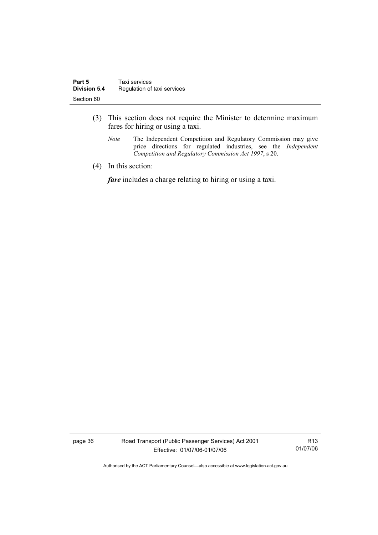- (3) This section does not require the Minister to determine maximum fares for hiring or using a taxi.
	- *Note* The Independent Competition and Regulatory Commission may give price directions for regulated industries, see the *Independent Competition and Regulatory Commission Act 1997*, s 20.
- (4) In this section:

*fare* includes a charge relating to hiring or using a taxi.

page 36 Road Transport (Public Passenger Services) Act 2001 Effective: 01/07/06-01/07/06

R13 01/07/06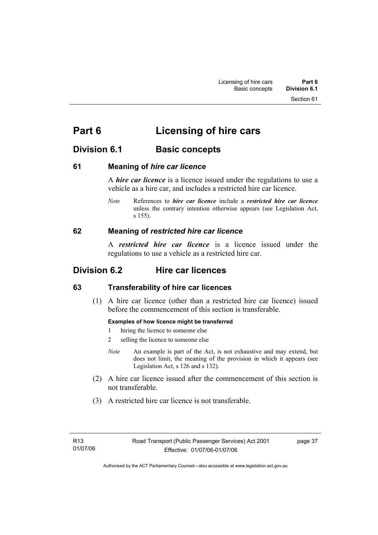Section 61

# **Division 6.1** Basic concepts

### **61 Meaning of** *hire car licence*

A *hire car licence* is a licence issued under the regulations to use a vehicle as a hire car, and includes a restricted hire car licence.

*Note* References to *hire car licence* include a *restricted hire car licence* unless the contrary intention otherwise appears (see Legislation Act, s 155).

### **62 Meaning of** *restricted hire car licence*

A *restricted hire car licence* is a licence issued under the regulations to use a vehicle as a restricted hire car.

# **Division 6.2 Hire car licences**

## **63 Transferability of hire car licences**

 (1) A hire car licence (other than a restricted hire car licence) issued before the commencement of this section is transferable.

### **Examples of how licence might be transferred**

- 1 hiring the licence to someone else
- 2 selling the licence to someone else
- *Note* An example is part of the Act, is not exhaustive and may extend, but does not limit, the meaning of the provision in which it appears (see Legislation Act, s 126 and s 132).
- (2) A hire car licence issued after the commencement of this section is not transferable.
- (3) A restricted hire car licence is not transferable.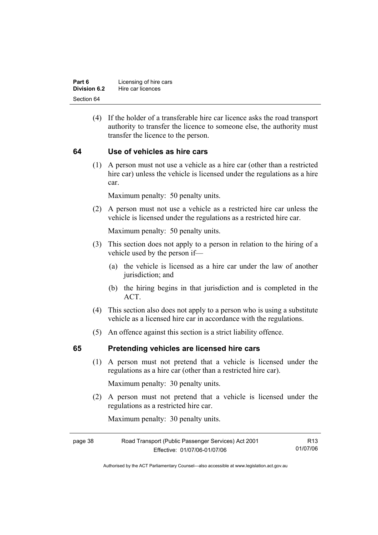| Part 6              | Licensing of hire cars |
|---------------------|------------------------|
| <b>Division 6.2</b> | Hire car licences      |
| Section 64          |                        |

 (4) If the holder of a transferable hire car licence asks the road transport authority to transfer the licence to someone else, the authority must transfer the licence to the person.

### **64 Use of vehicles as hire cars**

 (1) A person must not use a vehicle as a hire car (other than a restricted hire car) unless the vehicle is licensed under the regulations as a hire car.

Maximum penalty: 50 penalty units.

 (2) A person must not use a vehicle as a restricted hire car unless the vehicle is licensed under the regulations as a restricted hire car.

Maximum penalty: 50 penalty units.

- (3) This section does not apply to a person in relation to the hiring of a vehicle used by the person if—
	- (a) the vehicle is licensed as a hire car under the law of another jurisdiction; and
	- (b) the hiring begins in that jurisdiction and is completed in the ACT.
- (4) This section also does not apply to a person who is using a substitute vehicle as a licensed hire car in accordance with the regulations.
- (5) An offence against this section is a strict liability offence.

### **65 Pretending vehicles are licensed hire cars**

 (1) A person must not pretend that a vehicle is licensed under the regulations as a hire car (other than a restricted hire car).

Maximum penalty: 30 penalty units.

 (2) A person must not pretend that a vehicle is licensed under the regulations as a restricted hire car.

Maximum penalty: 30 penalty units.

| Road Transport (Public Passenger Services) Act 2001<br>page 38 |                              | R13      |
|----------------------------------------------------------------|------------------------------|----------|
|                                                                | Effective: 01/07/06-01/07/06 | 01/07/06 |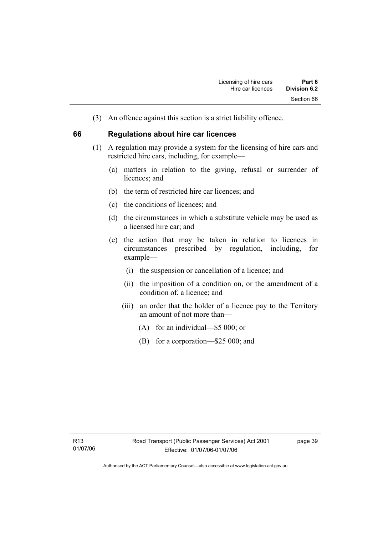(3) An offence against this section is a strict liability offence.

### **66 Regulations about hire car licences**

- (1) A regulation may provide a system for the licensing of hire cars and restricted hire cars, including, for example—
	- (a) matters in relation to the giving, refusal or surrender of licences: and
	- (b) the term of restricted hire car licences; and
	- (c) the conditions of licences; and
	- (d) the circumstances in which a substitute vehicle may be used as a licensed hire car; and
	- (e) the action that may be taken in relation to licences in circumstances prescribed by regulation, including, for example—
		- (i) the suspension or cancellation of a licence; and
		- (ii) the imposition of a condition on, or the amendment of a condition of, a licence; and
		- (iii) an order that the holder of a licence pay to the Territory an amount of not more than—
			- (A) for an individual—\$5 000; or
			- (B) for a corporation—\$25 000; and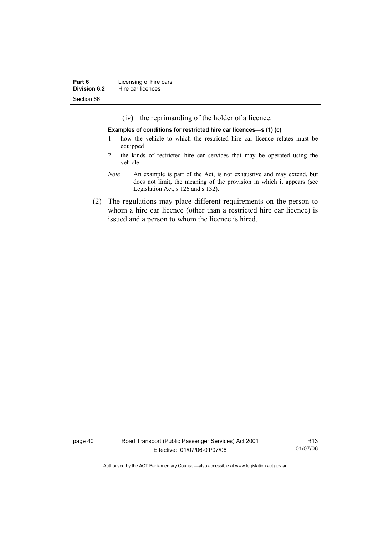(iv) the reprimanding of the holder of a licence.

**Examples of conditions for restricted hire car licences—s (1) (c)** 

- 1 how the vehicle to which the restricted hire car licence relates must be equipped
- 2 the kinds of restricted hire car services that may be operated using the vehicle
- *Note* An example is part of the Act, is not exhaustive and may extend, but does not limit, the meaning of the provision in which it appears (see Legislation Act, s 126 and s 132).
- (2) The regulations may place different requirements on the person to whom a hire car licence (other than a restricted hire car licence) is issued and a person to whom the licence is hired.

page 40 Road Transport (Public Passenger Services) Act 2001 Effective: 01/07/06-01/07/06

R13 01/07/06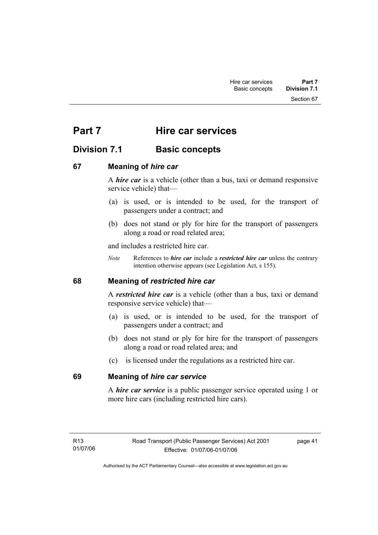Section 67

# **Part 7** Hire car services

# **Division 7.1 Basic concepts**

### **67 Meaning of** *hire car*

A *hire car* is a vehicle (other than a bus, taxi or demand responsive service vehicle) that—

- (a) is used, or is intended to be used, for the transport of passengers under a contract; and
- (b) does not stand or ply for hire for the transport of passengers along a road or road related area;

and includes a restricted hire car.

*Note* References to *hire car* include a *restricted hire car* unless the contrary intention otherwise appears (see Legislation Act, s 155).

## **68 Meaning of** *restricted hire car*

A *restricted hire car* is a vehicle (other than a bus, taxi or demand responsive service vehicle) that—

- (a) is used, or is intended to be used, for the transport of passengers under a contract; and
- (b) does not stand or ply for hire for the transport of passengers along a road or road related area; and
- (c) is licensed under the regulations as a restricted hire car.

## **69 Meaning of** *hire car service*

A *hire car service* is a public passenger service operated using 1 or more hire cars (including restricted hire cars).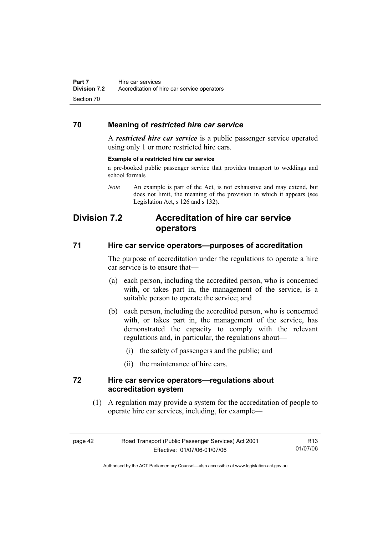### **70 Meaning of** *restricted hire car service*

A *restricted hire car service* is a public passenger service operated using only 1 or more restricted hire cars.

### **Example of a restricted hire car service**

a pre-booked public passenger service that provides transport to weddings and school formals

*Note* An example is part of the Act, is not exhaustive and may extend, but does not limit, the meaning of the provision in which it appears (see Legislation Act, s 126 and s 132).

# **Division 7.2 Accreditation of hire car service operators**

### **71 Hire car service operators—purposes of accreditation**

The purpose of accreditation under the regulations to operate a hire car service is to ensure that—

- (a) each person, including the accredited person, who is concerned with, or takes part in, the management of the service, is a suitable person to operate the service; and
- (b) each person, including the accredited person, who is concerned with, or takes part in, the management of the service, has demonstrated the capacity to comply with the relevant regulations and, in particular, the regulations about—
	- (i) the safety of passengers and the public; and
	- (ii) the maintenance of hire cars.

### **72 Hire car service operators—regulations about accreditation system**

 (1) A regulation may provide a system for the accreditation of people to operate hire car services, including, for example—

| page 42 | Road Transport (Public Passenger Services) Act 2001 | R <sub>13</sub> |
|---------|-----------------------------------------------------|-----------------|
|         | Effective: 01/07/06-01/07/06                        | 01/07/06        |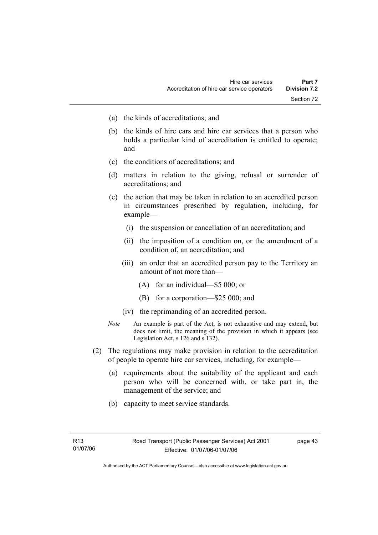- (a) the kinds of accreditations; and
- (b) the kinds of hire cars and hire car services that a person who holds a particular kind of accreditation is entitled to operate; and
- (c) the conditions of accreditations; and
- (d) matters in relation to the giving, refusal or surrender of accreditations; and
- (e) the action that may be taken in relation to an accredited person in circumstances prescribed by regulation, including, for example—
	- (i) the suspension or cancellation of an accreditation; and
	- (ii) the imposition of a condition on, or the amendment of a condition of, an accreditation; and
	- (iii) an order that an accredited person pay to the Territory an amount of not more than—
		- (A) for an individual—\$5 000; or
		- (B) for a corporation—\$25 000; and
	- (iv) the reprimanding of an accredited person.
- *Note* An example is part of the Act, is not exhaustive and may extend, but does not limit, the meaning of the provision in which it appears (see Legislation Act, s 126 and s 132).
- (2) The regulations may make provision in relation to the accreditation of people to operate hire car services, including, for example—
	- (a) requirements about the suitability of the applicant and each person who will be concerned with, or take part in, the management of the service; and
	- (b) capacity to meet service standards.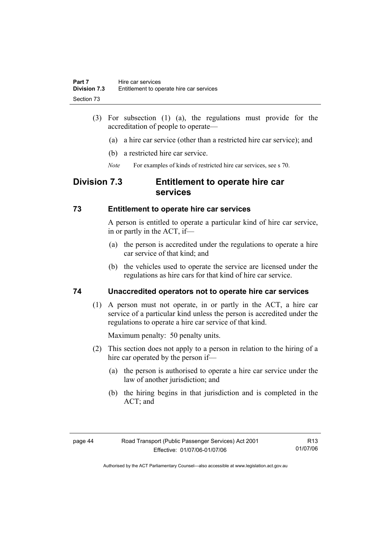- (3) For subsection (1) (a), the regulations must provide for the accreditation of people to operate—
	- (a) a hire car service (other than a restricted hire car service); and
	- (b) a restricted hire car service.
	- *Note* For examples of kinds of restricted hire car services, see s 70.

# **Division 7.3 Entitlement to operate hire car services**

### **73 Entitlement to operate hire car services**

A person is entitled to operate a particular kind of hire car service, in or partly in the ACT, if—

- (a) the person is accredited under the regulations to operate a hire car service of that kind; and
- (b) the vehicles used to operate the service are licensed under the regulations as hire cars for that kind of hire car service.

## **74 Unaccredited operators not to operate hire car services**

 (1) A person must not operate, in or partly in the ACT, a hire car service of a particular kind unless the person is accredited under the regulations to operate a hire car service of that kind.

Maximum penalty: 50 penalty units.

- (2) This section does not apply to a person in relation to the hiring of a hire car operated by the person if—
	- (a) the person is authorised to operate a hire car service under the law of another jurisdiction; and
	- (b) the hiring begins in that jurisdiction and is completed in the ACT; and

R13 01/07/06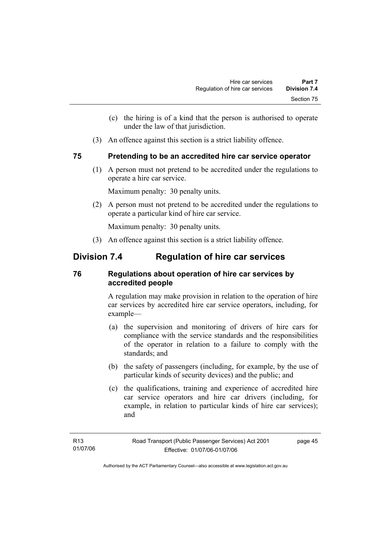- (c) the hiring is of a kind that the person is authorised to operate under the law of that jurisdiction.
- (3) An offence against this section is a strict liability offence.

### **75 Pretending to be an accredited hire car service operator**

 (1) A person must not pretend to be accredited under the regulations to operate a hire car service.

Maximum penalty: 30 penalty units.

 (2) A person must not pretend to be accredited under the regulations to operate a particular kind of hire car service.

Maximum penalty: 30 penalty units.

(3) An offence against this section is a strict liability offence.

# **Division 7.4 Regulation of hire car services**

## **76 Regulations about operation of hire car services by accredited people**

A regulation may make provision in relation to the operation of hire car services by accredited hire car service operators, including, for example—

- (a) the supervision and monitoring of drivers of hire cars for compliance with the service standards and the responsibilities of the operator in relation to a failure to comply with the standards; and
- (b) the safety of passengers (including, for example, by the use of particular kinds of security devices) and the public; and
- (c) the qualifications, training and experience of accredited hire car service operators and hire car drivers (including, for example, in relation to particular kinds of hire car services); and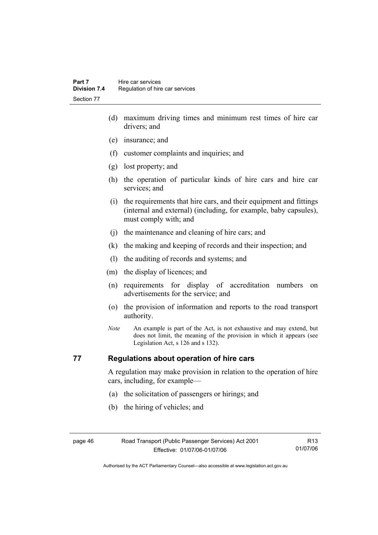- (d) maximum driving times and minimum rest times of hire car drivers; and
- (e) insurance; and
- (f) customer complaints and inquiries; and
- (g) lost property; and
- (h) the operation of particular kinds of hire cars and hire car services; and
- (i) the requirements that hire cars, and their equipment and fittings (internal and external) (including, for example, baby capsules), must comply with; and
- (j) the maintenance and cleaning of hire cars; and
- (k) the making and keeping of records and their inspection; and
- (l) the auditing of records and systems; and
- (m) the display of licences; and
- (n) requirements for display of accreditation numbers on advertisements for the service; and
- (o) the provision of information and reports to the road transport authority.
- *Note* An example is part of the Act, is not exhaustive and may extend, but does not limit, the meaning of the provision in which it appears (see Legislation Act, s 126 and s 132).

### **77 Regulations about operation of hire cars**

A regulation may make provision in relation to the operation of hire cars, including, for example—

- (a) the solicitation of passengers or hirings; and
- (b) the hiring of vehicles; and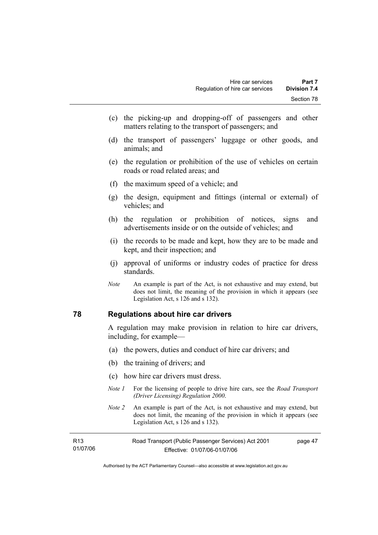- (c) the picking-up and dropping-off of passengers and other matters relating to the transport of passengers; and
- (d) the transport of passengers' luggage or other goods, and animals; and
- (e) the regulation or prohibition of the use of vehicles on certain roads or road related areas; and
- (f) the maximum speed of a vehicle; and
- (g) the design, equipment and fittings (internal or external) of vehicles; and
- (h) the regulation or prohibition of notices, signs and advertisements inside or on the outside of vehicles; and
- (i) the records to be made and kept, how they are to be made and kept, and their inspection; and
- (j) approval of uniforms or industry codes of practice for dress standards.
- *Note* An example is part of the Act, is not exhaustive and may extend, but does not limit, the meaning of the provision in which it appears (see Legislation Act, s 126 and s 132).

### **78 Regulations about hire car drivers**

A regulation may make provision in relation to hire car drivers, including, for example—

- (a) the powers, duties and conduct of hire car drivers; and
- (b) the training of drivers; and
- (c) how hire car drivers must dress.
- *Note 1* For the licensing of people to drive hire cars, see the *Road Transport (Driver Licensing) Regulation 2000*.
- *Note 2* An example is part of the Act, is not exhaustive and may extend, but does not limit, the meaning of the provision in which it appears (see Legislation Act, s 126 and s 132).

| R13      | Road Transport (Public Passenger Services) Act 2001 | page 47 |
|----------|-----------------------------------------------------|---------|
| 01/07/06 | Effective: 01/07/06-01/07/06                        |         |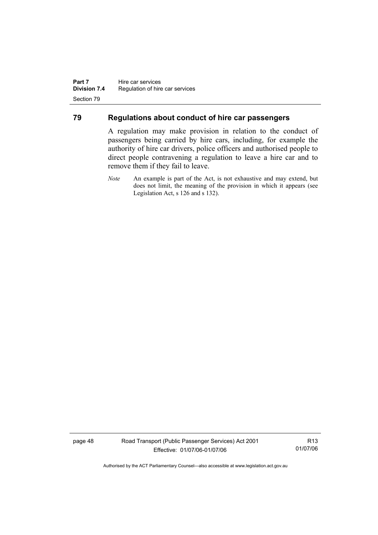### **79 Regulations about conduct of hire car passengers**

A regulation may make provision in relation to the conduct of passengers being carried by hire cars, including, for example the authority of hire car drivers, police officers and authorised people to direct people contravening a regulation to leave a hire car and to remove them if they fail to leave.

page 48 Road Transport (Public Passenger Services) Act 2001 Effective: 01/07/06-01/07/06

R13 01/07/06

*Note* An example is part of the Act, is not exhaustive and may extend, but does not limit, the meaning of the provision in which it appears (see Legislation Act, s 126 and s 132).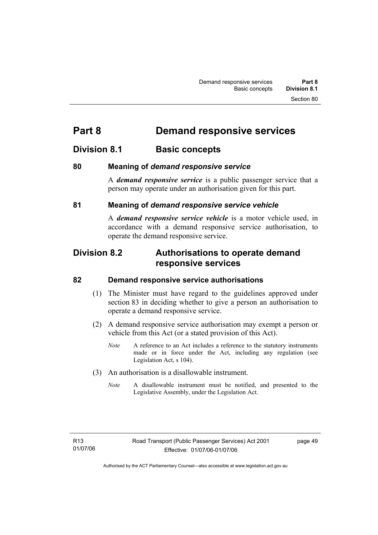# **Part 8 Demand responsive services**

# **Division 8.1** Basic concepts

### **80 Meaning of** *demand responsive service*

A *demand responsive service* is a public passenger service that a person may operate under an authorisation given for this part.

### **81 Meaning of** *demand responsive service vehicle*

A *demand responsive service vehicle* is a motor vehicle used, in accordance with a demand responsive service authorisation, to operate the demand responsive service.

# **Division 8.2 Authorisations to operate demand responsive services**

### **82 Demand responsive service authorisations**

- (1) The Minister must have regard to the guidelines approved under section 83 in deciding whether to give a person an authorisation to operate a demand responsive service.
- (2) A demand responsive service authorisation may exempt a person or vehicle from this Act (or a stated provision of this Act).
	- *Note* A reference to an Act includes a reference to the statutory instruments made or in force under the Act, including any regulation (see Legislation Act, s 104).
- (3) An authorisation is a disallowable instrument.
	- *Note* A disallowable instrument must be notified, and presented to the Legislative Assembly, under the Legislation Act.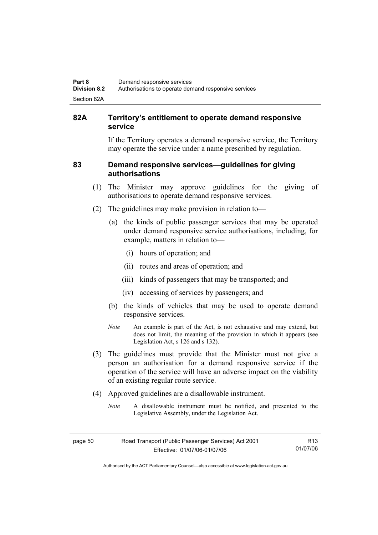### **82A Territory's entitlement to operate demand responsive service**

If the Territory operates a demand responsive service, the Territory may operate the service under a name prescribed by regulation.

### **83 Demand responsive services—guidelines for giving authorisations**

- (1) The Minister may approve guidelines for the giving of authorisations to operate demand responsive services.
- (2) The guidelines may make provision in relation to—
	- (a) the kinds of public passenger services that may be operated under demand responsive service authorisations, including, for example, matters in relation to—
		- (i) hours of operation; and
		- (ii) routes and areas of operation; and
		- (iii) kinds of passengers that may be transported; and
		- (iv) accessing of services by passengers; and
	- (b) the kinds of vehicles that may be used to operate demand responsive services.
	- *Note* An example is part of the Act, is not exhaustive and may extend, but does not limit, the meaning of the provision in which it appears (see Legislation Act, s 126 and s 132).
- (3) The guidelines must provide that the Minister must not give a person an authorisation for a demand responsive service if the operation of the service will have an adverse impact on the viability of an existing regular route service.
- (4) Approved guidelines are a disallowable instrument.
	- *Note* A disallowable instrument must be notified, and presented to the Legislative Assembly, under the Legislation Act.

| page 50 | Road Transport (Public Passenger Services) Act 2001 | R <sub>13</sub> |
|---------|-----------------------------------------------------|-----------------|
|         | Effective: 01/07/06-01/07/06                        | 01/07/06        |

Authorised by the ACT Parliamentary Counsel—also accessible at www.legislation.act.gov.au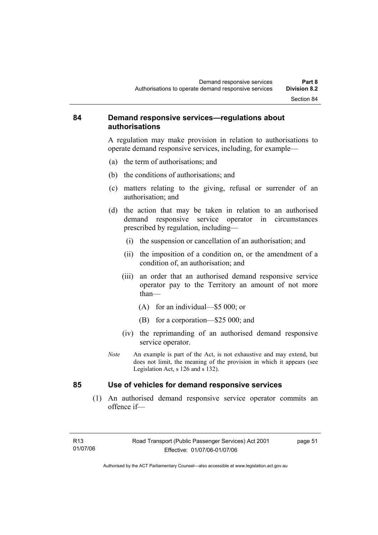### **84 Demand responsive services—regulations about authorisations**

A regulation may make provision in relation to authorisations to operate demand responsive services, including, for example—

- (a) the term of authorisations; and
- (b) the conditions of authorisations; and
- (c) matters relating to the giving, refusal or surrender of an authorisation; and
- (d) the action that may be taken in relation to an authorised demand responsive service operator in circumstances prescribed by regulation, including—
	- (i) the suspension or cancellation of an authorisation; and
	- (ii) the imposition of a condition on, or the amendment of a condition of, an authorisation; and
	- (iii) an order that an authorised demand responsive service operator pay to the Territory an amount of not more than—
		- (A) for an individual—\$5 000; or
		- (B) for a corporation—\$25 000; and
	- (iv) the reprimanding of an authorised demand responsive service operator.
- *Note* An example is part of the Act, is not exhaustive and may extend, but does not limit, the meaning of the provision in which it appears (see Legislation Act, s 126 and s 132).

### **85 Use of vehicles for demand responsive services**

 (1) An authorised demand responsive service operator commits an offence if—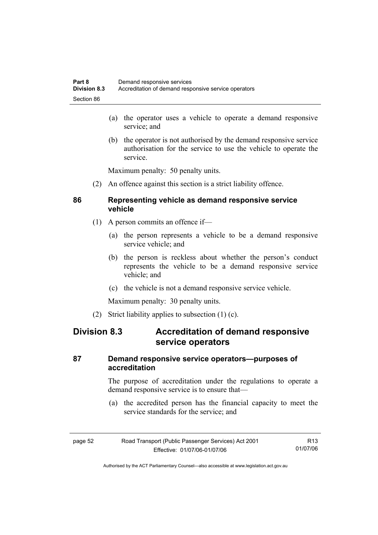- (a) the operator uses a vehicle to operate a demand responsive service; and
- (b) the operator is not authorised by the demand responsive service authorisation for the service to use the vehicle to operate the service.

Maximum penalty: 50 penalty units.

(2) An offence against this section is a strict liability offence.

### **86 Representing vehicle as demand responsive service vehicle**

- (1) A person commits an offence if—
	- (a) the person represents a vehicle to be a demand responsive service vehicle; and
	- (b) the person is reckless about whether the person's conduct represents the vehicle to be a demand responsive service vehicle; and
	- (c) the vehicle is not a demand responsive service vehicle.

Maximum penalty: 30 penalty units.

(2) Strict liability applies to subsection (1) (c).

# **Division 8.3 Accreditation of demand responsive service operators**

### **87 Demand responsive service operators—purposes of accreditation**

The purpose of accreditation under the regulations to operate a demand responsive service is to ensure that—

 (a) the accredited person has the financial capacity to meet the service standards for the service; and

| page 52 | Road Transport (Public Passenger Services) Act 2001 | R13      |
|---------|-----------------------------------------------------|----------|
|         | Effective: 01/07/06-01/07/06                        | 01/07/06 |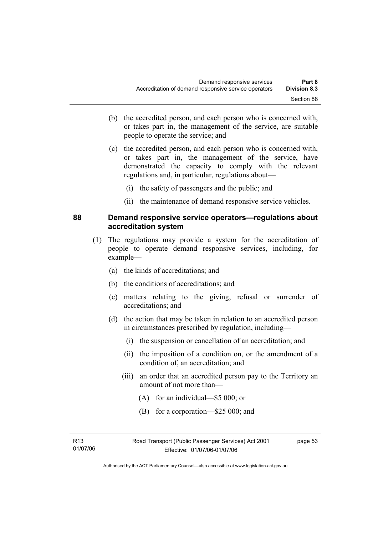- (b) the accredited person, and each person who is concerned with, or takes part in, the management of the service, are suitable people to operate the service; and
- (c) the accredited person, and each person who is concerned with, or takes part in, the management of the service, have demonstrated the capacity to comply with the relevant regulations and, in particular, regulations about—
	- (i) the safety of passengers and the public; and
	- (ii) the maintenance of demand responsive service vehicles.

### **88 Demand responsive service operators—regulations about accreditation system**

- (1) The regulations may provide a system for the accreditation of people to operate demand responsive services, including, for example—
	- (a) the kinds of accreditations; and
	- (b) the conditions of accreditations; and
	- (c) matters relating to the giving, refusal or surrender of accreditations; and
	- (d) the action that may be taken in relation to an accredited person in circumstances prescribed by regulation, including—
		- (i) the suspension or cancellation of an accreditation; and
		- (ii) the imposition of a condition on, or the amendment of a condition of, an accreditation; and
		- (iii) an order that an accredited person pay to the Territory an amount of not more than—
			- (A) for an individual—\$5 000; or
			- (B) for a corporation—\$25 000; and

R13 01/07/06 page 53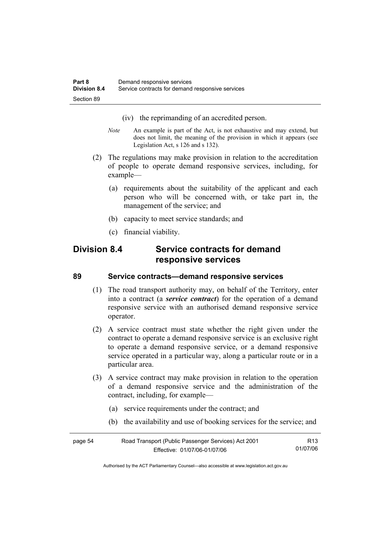- (iv) the reprimanding of an accredited person.
- *Note* An example is part of the Act, is not exhaustive and may extend, but does not limit, the meaning of the provision in which it appears (see Legislation Act, s 126 and s 132).
- (2) The regulations may make provision in relation to the accreditation of people to operate demand responsive services, including, for example—
	- (a) requirements about the suitability of the applicant and each person who will be concerned with, or take part in, the management of the service; and
	- (b) capacity to meet service standards; and
	- (c) financial viability.

# **Division 8.4 Service contracts for demand responsive services**

### **89 Service contracts—demand responsive services**

- (1) The road transport authority may, on behalf of the Territory, enter into a contract (a *service contract*) for the operation of a demand responsive service with an authorised demand responsive service operator.
- (2) A service contract must state whether the right given under the contract to operate a demand responsive service is an exclusive right to operate a demand responsive service, or a demand responsive service operated in a particular way, along a particular route or in a particular area.
- (3) A service contract may make provision in relation to the operation of a demand responsive service and the administration of the contract, including, for example—
	- (a) service requirements under the contract; and
	- (b) the availability and use of booking services for the service; and

| page 54 | Road Transport (Public Passenger Services) Act 2001 |          |
|---------|-----------------------------------------------------|----------|
|         | Effective: 01/07/06-01/07/06                        | 01/07/06 |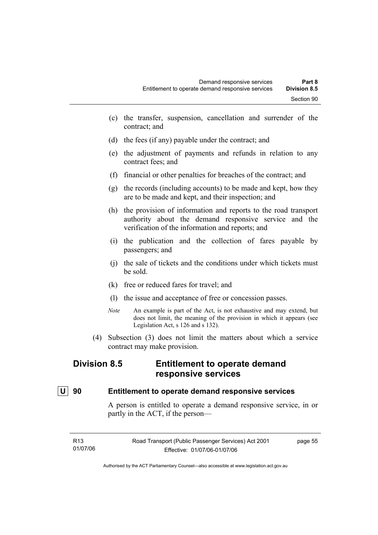- (c) the transfer, suspension, cancellation and surrender of the contract; and
- (d) the fees (if any) payable under the contract; and
- (e) the adjustment of payments and refunds in relation to any contract fees; and
- (f) financial or other penalties for breaches of the contract; and
- (g) the records (including accounts) to be made and kept, how they are to be made and kept, and their inspection; and
- (h) the provision of information and reports to the road transport authority about the demand responsive service and the verification of the information and reports; and
- (i) the publication and the collection of fares payable by passengers; and
- (j) the sale of tickets and the conditions under which tickets must be sold.
- (k) free or reduced fares for travel; and
- (l) the issue and acceptance of free or concession passes.
- *Note* An example is part of the Act, is not exhaustive and may extend, but does not limit, the meaning of the provision in which it appears (see Legislation Act, s 126 and s 132).
- (4) Subsection (3) does not limit the matters about which a service contract may make provision.

# **Division 8.5 Entitlement to operate demand responsive services**

### **U 90 Entitlement to operate demand responsive services**

A person is entitled to operate a demand responsive service, in or partly in the ACT, if the person—

| R13      | Road Transport (Public Passenger Services) Act 2001 | page 55 |
|----------|-----------------------------------------------------|---------|
| 01/07/06 | Effective: 01/07/06-01/07/06                        |         |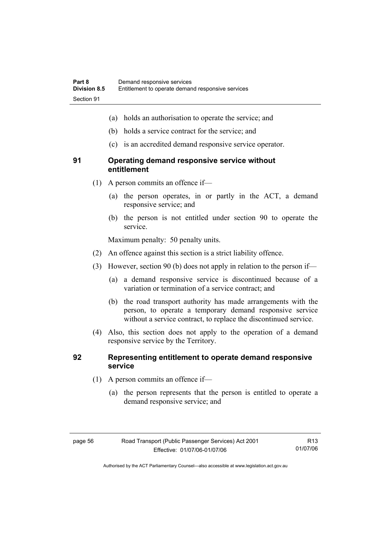- (a) holds an authorisation to operate the service; and
- (b) holds a service contract for the service; and
- (c) is an accredited demand responsive service operator.

### **91 Operating demand responsive service without entitlement**

- (1) A person commits an offence if—
	- (a) the person operates, in or partly in the ACT, a demand responsive service; and
	- (b) the person is not entitled under section 90 to operate the service.

Maximum penalty: 50 penalty units.

- (2) An offence against this section is a strict liability offence.
- (3) However, section 90 (b) does not apply in relation to the person if—
	- (a) a demand responsive service is discontinued because of a variation or termination of a service contract; and
	- (b) the road transport authority has made arrangements with the person, to operate a temporary demand responsive service without a service contract, to replace the discontinued service.
- (4) Also, this section does not apply to the operation of a demand responsive service by the Territory.

### **92 Representing entitlement to operate demand responsive service**

- (1) A person commits an offence if—
	- (a) the person represents that the person is entitled to operate a demand responsive service; and

R13 01/07/06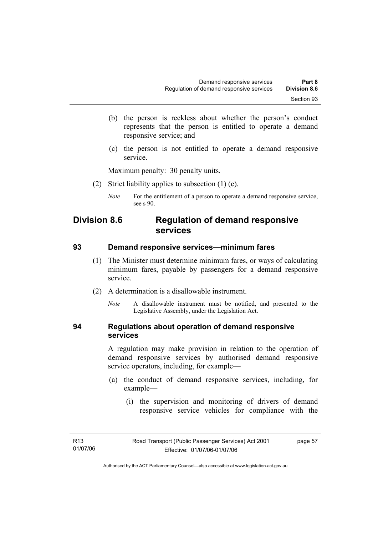- (b) the person is reckless about whether the person's conduct represents that the person is entitled to operate a demand responsive service; and
- (c) the person is not entitled to operate a demand responsive service.

Maximum penalty: 30 penalty units.

- (2) Strict liability applies to subsection (1) (c).
	- *Note* For the entitlement of a person to operate a demand responsive service, see s 90.

# **Division 8.6 Regulation of demand responsive services**

### **93 Demand responsive services—minimum fares**

- (1) The Minister must determine minimum fares, or ways of calculating minimum fares, payable by passengers for a demand responsive service.
- (2) A determination is a disallowable instrument.
	- *Note* A disallowable instrument must be notified, and presented to the Legislative Assembly, under the Legislation Act.

### **94 Regulations about operation of demand responsive services**

A regulation may make provision in relation to the operation of demand responsive services by authorised demand responsive service operators, including, for example—

- (a) the conduct of demand responsive services, including, for example—
	- (i) the supervision and monitoring of drivers of demand responsive service vehicles for compliance with the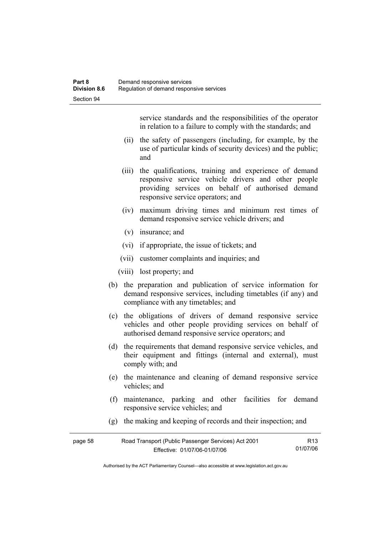service standards and the responsibilities of the operator in relation to a failure to comply with the standards; and

- (ii) the safety of passengers (including, for example, by the use of particular kinds of security devices) and the public; and
- (iii) the qualifications, training and experience of demand responsive service vehicle drivers and other people providing services on behalf of authorised demand responsive service operators; and
- (iv) maximum driving times and minimum rest times of demand responsive service vehicle drivers; and
- (v) insurance; and
- (vi) if appropriate, the issue of tickets; and
- (vii) customer complaints and inquiries; and
- (viii) lost property; and
- (b) the preparation and publication of service information for demand responsive services, including timetables (if any) and compliance with any timetables; and
- (c) the obligations of drivers of demand responsive service vehicles and other people providing services on behalf of authorised demand responsive service operators; and
- (d) the requirements that demand responsive service vehicles, and their equipment and fittings (internal and external), must comply with; and
- (e) the maintenance and cleaning of demand responsive service vehicles; and
- (f) maintenance, parking and other facilities for demand responsive service vehicles; and
- (g) the making and keeping of records and their inspection; and

| page 58 | Road Transport (Public Passenger Services) Act 2001 |          |
|---------|-----------------------------------------------------|----------|
|         | Effective: 01/07/06-01/07/06                        | 01/07/06 |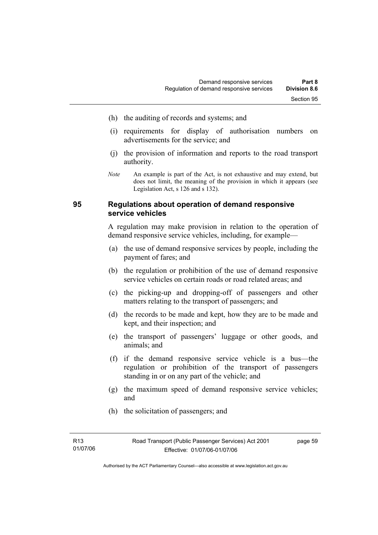- (h) the auditing of records and systems; and
- (i) requirements for display of authorisation numbers on advertisements for the service; and
- (j) the provision of information and reports to the road transport authority.
- *Note* An example is part of the Act, is not exhaustive and may extend, but does not limit, the meaning of the provision in which it appears (see Legislation Act, s 126 and s 132).

### **95 Regulations about operation of demand responsive service vehicles**

A regulation may make provision in relation to the operation of demand responsive service vehicles, including, for example—

- (a) the use of demand responsive services by people, including the payment of fares; and
- (b) the regulation or prohibition of the use of demand responsive service vehicles on certain roads or road related areas; and
- (c) the picking-up and dropping-off of passengers and other matters relating to the transport of passengers; and
- (d) the records to be made and kept, how they are to be made and kept, and their inspection; and
- (e) the transport of passengers' luggage or other goods, and animals; and
- (f) if the demand responsive service vehicle is a bus—the regulation or prohibition of the transport of passengers standing in or on any part of the vehicle; and
- (g) the maximum speed of demand responsive service vehicles; and
- (h) the solicitation of passengers; and

Authorised by the ACT Parliamentary Counsel—also accessible at www.legislation.act.gov.au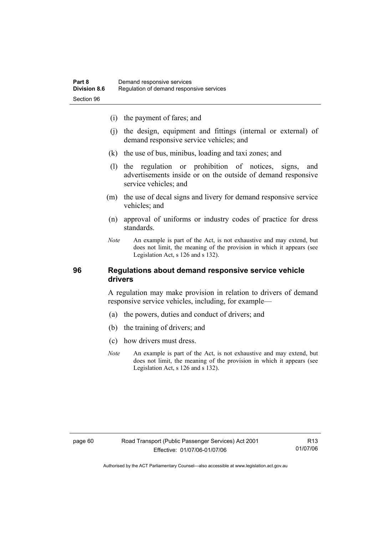- (i) the payment of fares; and
- (j) the design, equipment and fittings (internal or external) of demand responsive service vehicles; and
- (k) the use of bus, minibus, loading and taxi zones; and
- (l) the regulation or prohibition of notices, signs, and advertisements inside or on the outside of demand responsive service vehicles; and
- (m) the use of decal signs and livery for demand responsive service vehicles; and
- (n) approval of uniforms or industry codes of practice for dress standards.
- *Note* An example is part of the Act, is not exhaustive and may extend, but does not limit, the meaning of the provision in which it appears (see Legislation Act, s 126 and s 132).

### **96 Regulations about demand responsive service vehicle drivers**

A regulation may make provision in relation to drivers of demand responsive service vehicles, including, for example—

- (a) the powers, duties and conduct of drivers; and
- (b) the training of drivers; and
- (c) how drivers must dress.
- *Note* An example is part of the Act, is not exhaustive and may extend, but does not limit, the meaning of the provision in which it appears (see Legislation Act, s 126 and s 132).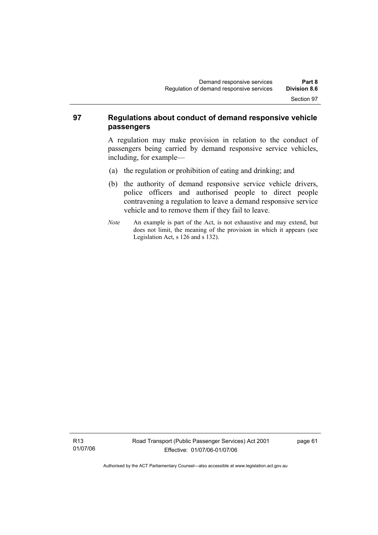### **97 Regulations about conduct of demand responsive vehicle passengers**

A regulation may make provision in relation to the conduct of passengers being carried by demand responsive service vehicles, including, for example—

- (a) the regulation or prohibition of eating and drinking; and
- (b) the authority of demand responsive service vehicle drivers, police officers and authorised people to direct people contravening a regulation to leave a demand responsive service vehicle and to remove them if they fail to leave.
- *Note* An example is part of the Act, is not exhaustive and may extend, but does not limit, the meaning of the provision in which it appears (see Legislation Act, s 126 and s 132).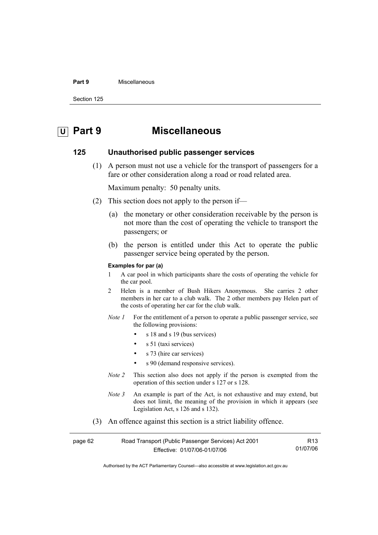#### **Part 9** Miscellaneous

Section 125

# **U Part 9 Miscellaneous**

### **125 Unauthorised public passenger services**

 (1) A person must not use a vehicle for the transport of passengers for a fare or other consideration along a road or road related area.

Maximum penalty: 50 penalty units.

- (2) This section does not apply to the person if—
	- (a) the monetary or other consideration receivable by the person is not more than the cost of operating the vehicle to transport the passengers; or
	- (b) the person is entitled under this Act to operate the public passenger service being operated by the person.

#### **Examples for par (a)**

- 1 A car pool in which participants share the costs of operating the vehicle for the car pool.
- 2 Helen is a member of Bush Hikers Anonymous. She carries 2 other members in her car to a club walk. The 2 other members pay Helen part of the costs of operating her car for the club walk.
- *Note 1* For the entitlement of a person to operate a public passenger service, see the following provisions:
	- s 18 and s 19 (bus services)
	- s 51 (taxi services)
	- s 73 (hire car services)
	- s 90 (demand responsive services).
- *Note 2* This section also does not apply if the person is exempted from the operation of this section under s 127 or s 128.
- *Note 3* An example is part of the Act, is not exhaustive and may extend, but does not limit, the meaning of the provision in which it appears (see Legislation Act, s 126 and s 132).
- (3) An offence against this section is a strict liability offence.

| page 62 | Road Transport (Public Passenger Services) Act 2001 | R13      |
|---------|-----------------------------------------------------|----------|
|         | Effective: 01/07/06-01/07/06                        | 01/07/06 |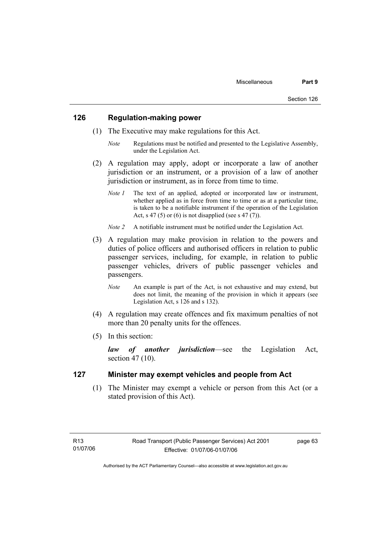### **126 Regulation-making power**

- (1) The Executive may make regulations for this Act.
	- *Note* Regulations must be notified and presented to the Legislative Assembly, under the Legislation Act.
- (2) A regulation may apply, adopt or incorporate a law of another jurisdiction or an instrument, or a provision of a law of another jurisdiction or instrument, as in force from time to time.
	- *Note 1* The text of an applied, adopted or incorporated law or instrument, whether applied as in force from time to time or as at a particular time, is taken to be a notifiable instrument if the operation of the Legislation Act, s 47 (5) or (6) is not disapplied (see s 47 (7)).
	- *Note 2* A notifiable instrument must be notified under the Legislation Act.
- (3) A regulation may make provision in relation to the powers and duties of police officers and authorised officers in relation to public passenger services, including, for example, in relation to public passenger vehicles, drivers of public passenger vehicles and passengers.
	- *Note* An example is part of the Act, is not exhaustive and may extend, but does not limit, the meaning of the provision in which it appears (see Legislation Act, s 126 and s 132).
- (4) A regulation may create offences and fix maximum penalties of not more than 20 penalty units for the offences.
- (5) In this section:

*law of another jurisdiction*—see the Legislation Act, section 47 (10).

### **127 Minister may exempt vehicles and people from Act**

 (1) The Minister may exempt a vehicle or person from this Act (or a stated provision of this Act).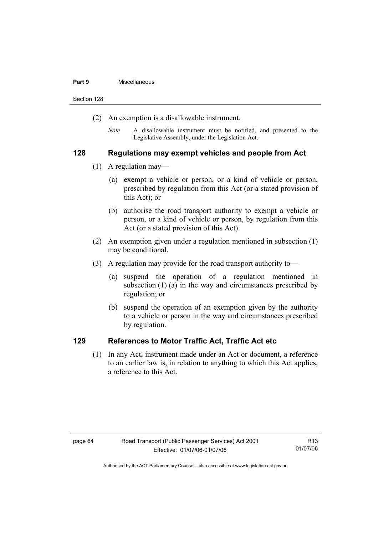#### **Part 9** Miscellaneous

Section 128

- (2) An exemption is a disallowable instrument.
	- *Note* A disallowable instrument must be notified, and presented to the Legislative Assembly, under the Legislation Act.

### **128 Regulations may exempt vehicles and people from Act**

- (1) A regulation may—
	- (a) exempt a vehicle or person, or a kind of vehicle or person, prescribed by regulation from this Act (or a stated provision of this Act); or
	- (b) authorise the road transport authority to exempt a vehicle or person, or a kind of vehicle or person, by regulation from this Act (or a stated provision of this Act).
- (2) An exemption given under a regulation mentioned in subsection (1) may be conditional.
- (3) A regulation may provide for the road transport authority to—
	- (a) suspend the operation of a regulation mentioned in subsection (1) (a) in the way and circumstances prescribed by regulation; or
	- (b) suspend the operation of an exemption given by the authority to a vehicle or person in the way and circumstances prescribed by regulation.

### **129 References to Motor Traffic Act, Traffic Act etc**

 (1) In any Act, instrument made under an Act or document, a reference to an earlier law is, in relation to anything to which this Act applies, a reference to this Act.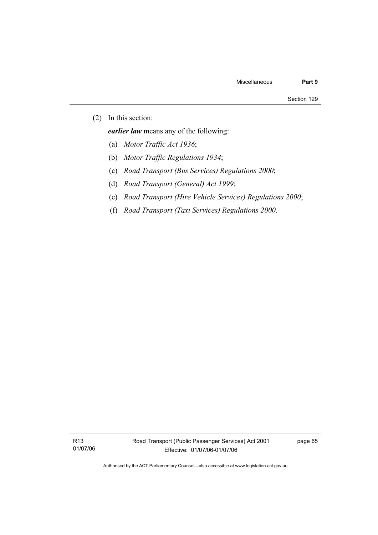(2) In this section:

*earlier law* means any of the following:

- (a) *Motor Traffic Act 1936*;
- (b) *Motor Traffic Regulations 1934*;
- (c) *Road Transport (Bus Services) Regulations 2000*;
- (d) *Road Transport (General) Act 1999*;
- (e) *Road Transport (Hire Vehicle Services) Regulations 2000*;
- (f) *Road Transport (Taxi Services) Regulations 2000*.

R13 01/07/06 page 65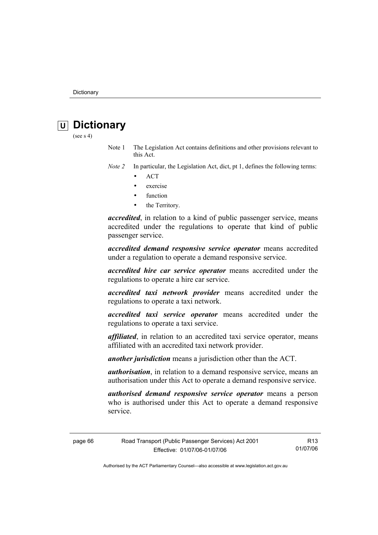# *<u>U* Dictionary</u>

(see  $s$  4)

Note 1 The Legislation Act contains definitions and other provisions relevant to this Act.

*Note 2* In particular, the Legislation Act, dict, pt 1, defines the following terms:

- ACT
- exercise
- function
- the Territory.

*accredited*, in relation to a kind of public passenger service, means accredited under the regulations to operate that kind of public passenger service.

*accredited demand responsive service operator* means accredited under a regulation to operate a demand responsive service.

*accredited hire car service operator* means accredited under the regulations to operate a hire car service.

*accredited taxi network provider* means accredited under the regulations to operate a taxi network.

*accredited taxi service operator* means accredited under the regulations to operate a taxi service.

*affiliated*, in relation to an accredited taxi service operator, means affiliated with an accredited taxi network provider.

*another jurisdiction* means a jurisdiction other than the ACT.

*authorisation*, in relation to a demand responsive service, means an authorisation under this Act to operate a demand responsive service.

*authorised demand responsive service operator* means a person who is authorised under this Act to operate a demand responsive service.

page 66 Road Transport (Public Passenger Services) Act 2001 Effective: 01/07/06-01/07/06 R13 01/07/06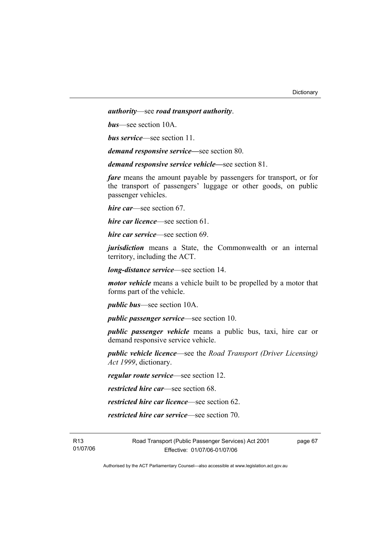*authority*—see *road transport authority*.

*bus*—see section 10A.

*bus service*—see section 11.

*demand responsive service—*see section 80.

*demand responsive service vehicle—*see section 81.

*fare* means the amount payable by passengers for transport, or for the transport of passengers' luggage or other goods, on public passenger vehicles.

*hire car*—see section 67.

*hire car licence*—see section 61.

*hire car service*—see section 69.

*jurisdiction* means a State, the Commonwealth or an internal territory, including the ACT.

*long-distance service*—see section 14.

*motor vehicle* means a vehicle built to be propelled by a motor that forms part of the vehicle.

*public bus*—see section 10A.

*public passenger service*—see section 10.

*public passenger vehicle* means a public bus, taxi, hire car or demand responsive service vehicle.

*public vehicle licence*—see the *Road Transport (Driver Licensing) Act 1999*, dictionary.

*regular route service*—see section 12.

*restricted hire car*—see section 68.

*restricted hire car licence*—see section 62.

*restricted hire car service*—see section 70.

R13 01/07/06 Road Transport (Public Passenger Services) Act 2001 Effective: 01/07/06-01/07/06

page 67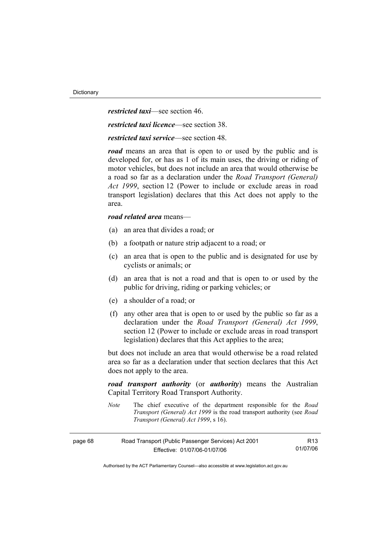*restricted taxi*—see section 46.

*restricted taxi licence*—see section 38.

*restricted taxi service*—see section 48.

*road* means an area that is open to or used by the public and is developed for, or has as 1 of its main uses, the driving or riding of motor vehicles, but does not include an area that would otherwise be a road so far as a declaration under the *Road Transport (General) Act 1999*, section 12 (Power to include or exclude areas in road transport legislation) declares that this Act does not apply to the area.

## *road related area* means—

- (a) an area that divides a road; or
- (b) a footpath or nature strip adjacent to a road; or
- (c) an area that is open to the public and is designated for use by cyclists or animals; or
- (d) an area that is not a road and that is open to or used by the public for driving, riding or parking vehicles; or
- (e) a shoulder of a road; or
- (f) any other area that is open to or used by the public so far as a declaration under the *Road Transport (General) Act 1999*, section 12 (Power to include or exclude areas in road transport legislation) declares that this Act applies to the area;

but does not include an area that would otherwise be a road related area so far as a declaration under that section declares that this Act does not apply to the area.

*road transport authority* (or *authority*) means the Australian Capital Territory Road Transport Authority.

*Note* The chief executive of the department responsible for the *Road Transport (General) Act 1999* is the road transport authority (see *Road Transport (General) Act 1999*, s 16).

| page 68 | Road Transport (Public Passenger Services) Act 2001 | R13      |
|---------|-----------------------------------------------------|----------|
|         | Effective: 01/07/06-01/07/06                        | 01/07/06 |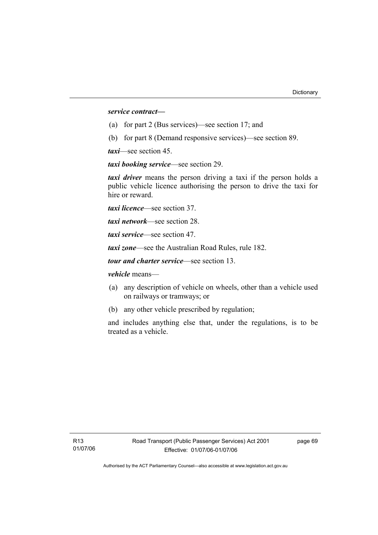*service contract—*

- (a) for part 2 (Bus services)—see section 17; and
- (b) for part 8 (Demand responsive services)—see section 89.

*taxi*—see section 45.

*taxi booking service*—see section 29.

*taxi driver* means the person driving a taxi if the person holds a public vehicle licence authorising the person to drive the taxi for hire or reward.

*taxi licence*—see section 37.

*taxi network*—see section 28.

*taxi service*—see section 47.

*taxi zone*—see the Australian Road Rules, rule 182.

*tour and charter service*—see section 13.

*vehicle* means—

- (a) any description of vehicle on wheels, other than a vehicle used on railways or tramways; or
- (b) any other vehicle prescribed by regulation;

and includes anything else that, under the regulations, is to be treated as a vehicle.

page 69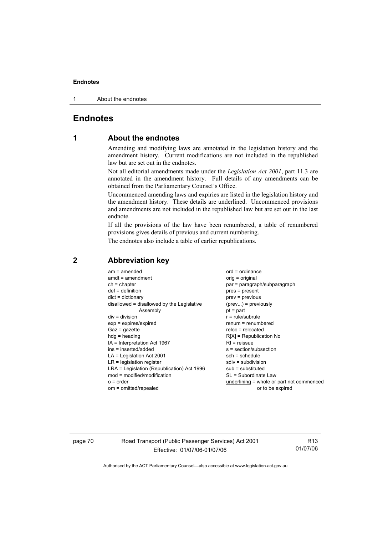1 About the endnotes

# **Endnotes**

# **1 About the endnotes**

Amending and modifying laws are annotated in the legislation history and the amendment history. Current modifications are not included in the republished law but are set out in the endnotes.

Not all editorial amendments made under the *Legislation Act 2001*, part 11.3 are annotated in the amendment history. Full details of any amendments can be obtained from the Parliamentary Counsel's Office.

Uncommenced amending laws and expiries are listed in the legislation history and the amendment history. These details are underlined. Uncommenced provisions and amendments are not included in the republished law but are set out in the last endnote.

If all the provisions of the law have been renumbered, a table of renumbered provisions gives details of previous and current numbering.

The endnotes also include a table of earlier republications.

| $am = amended$                             | $ord = ordinance$                         |
|--------------------------------------------|-------------------------------------------|
| $amdt = amendment$                         | $orig = original$                         |
| $ch = chapter$                             | par = paragraph/subparagraph              |
| $def = definition$                         | $pres = present$                          |
| $dict = dictionary$                        | $prev = previous$                         |
| disallowed = disallowed by the Legislative | $(\text{prev}) = \text{previously}$       |
| Assembly                                   | $pt = part$                               |
| $div = division$                           | $r = rule/subrule$                        |
| $exp = expires/expired$                    | $renum = renumbered$                      |
| $Gaz = gazette$                            | $reloc = relocated$                       |
| $hdg = heading$                            | $R[X]$ = Republication No                 |
| IA = Interpretation Act 1967               | $RI =$ reissue                            |
| ins = inserted/added                       | s = section/subsection                    |
| $LA =$ Legislation Act 2001                | $sch = schedule$                          |
| $LR =$ legislation register                | $sdiv = subdivision$                      |
| LRA = Legislation (Republication) Act 1996 | $sub =$ substituted                       |
| $mod = modified/modification$              | SL = Subordinate Law                      |
| $o = order$                                | underlining = whole or part not commenced |
| om = omitted/repealed                      | or to be expired                          |
|                                            |                                           |

# **2 Abbreviation key**

page 70 Road Transport (Public Passenger Services) Act 2001 Effective: 01/07/06-01/07/06

R13 01/07/06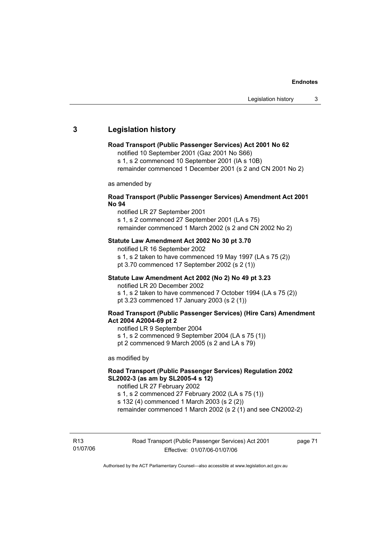# **3 Legislation history**

### **Road Transport (Public Passenger Services) Act 2001 No 62**

notified 10 September 2001 (Gaz 2001 No S66)

s 1, s 2 commenced 10 September 2001 (IA s 10B)

remainder commenced 1 December 2001 (s 2 and CN 2001 No 2)

as amended by

## **Road Transport (Public Passenger Services) Amendment Act 2001 No 94**

notified LR 27 September 2001

s 1, s 2 commenced 27 September 2001 (LA s 75) remainder commenced 1 March 2002 (s 2 and CN 2002 No 2)

### **Statute Law Amendment Act 2002 No 30 pt 3.70**

notified LR 16 September 2002 s 1, s 2 taken to have commenced 19 May 1997 (LA s 75 (2)) pt 3.70 commenced 17 September 2002 (s 2 (1))

## **Statute Law Amendment Act 2002 (No 2) No 49 pt 3.23**

notified LR 20 December 2002

s 1, s 2 taken to have commenced 7 October 1994 (LA s 75 (2)) pt 3.23 commenced 17 January 2003 (s 2 (1))

## **Road Transport (Public Passenger Services) (Hire Cars) Amendment Act 2004 A2004-69 pt 2**

notified LR 9 September 2004

s 1, s 2 commenced 9 September 2004 (LA s 75 (1))

pt 2 commenced 9 March 2005 (s 2 and LA s 79)

as modified by

# **Road Transport (Public Passenger Services) Regulation 2002 SL2002-3 (as am by SL2005-4 s 12)**

notified LR 27 February 2002

s 1, s 2 commenced 27 February 2002 (LA s 75 (1)) s 132 (4) commenced 1 March 2003 (s 2 (2))

remainder commenced 1 March 2002 (s 2 (1) and see CN2002-2)

R13 01/07/06 page 71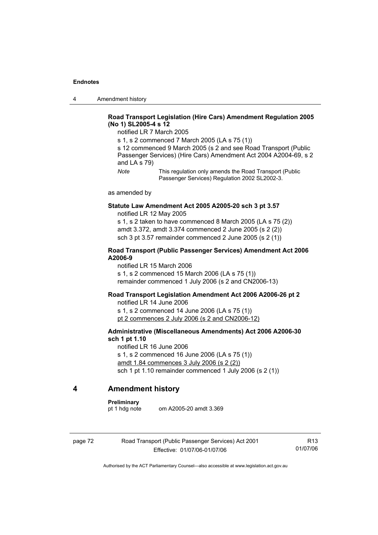4 Amendment history

## **Road Transport Legislation (Hire Cars) Amendment Regulation 2005 (No 1) SL2005-4 s 12**

notified LR 7 March 2005

s 1, s 2 commenced 7 March 2005 (LA s 75 (1))

s 12 commenced 9 March 2005 (s 2 and see Road Transport (Public Passenger Services) (Hire Cars) Amendment Act 2004 A2004-69, s 2 and LA s 79)

*Note* This regulation only amends the Road Transport (Public Passenger Services) Regulation 2002 SL2002-3.

as amended by

### **Statute Law Amendment Act 2005 A2005-20 sch 3 pt 3.57**  notified LR 12 May 2005

s 1, s 2 taken to have commenced 8 March 2005 (LA s 75 (2)) amdt 3.372, amdt 3.374 commenced 2 June 2005 (s 2 (2)) sch 3 pt 3.57 remainder commenced 2 June 2005 (s 2 (1))

## **Road Transport (Public Passenger Services) Amendment Act 2006 A2006-9**

notified LR 15 March 2006 s 1, s 2 commenced 15 March 2006 (LA s 75 (1)) remainder commenced 1 July 2006 (s 2 and CN2006-13)

## **Road Transport Legislation Amendment Act 2006 A2006-26 pt 2**

notified LR 14 June 2006 s 1, s 2 commenced 14 June 2006 (LA s 75 (1)) pt 2 commences 2 July 2006 (s 2 and CN2006-12)

## **Administrative (Miscellaneous Amendments) Act 2006 A2006-30 sch 1 pt 1.10**

notified LR 16 June 2006 s 1, s 2 commenced 16 June 2006 (LA s 75 (1)) amdt 1.84 commences 3 July 2006 (s 2 (2)) sch 1 pt 1.10 remainder commenced 1 July 2006 (s 2 (1))

# **4 Amendment history**

### **Preliminary**

pt 1 hdg note om A2005-20 amdt 3.369

page 72 Road Transport (Public Passenger Services) Act 2001 Effective: 01/07/06-01/07/06

R13 01/07/06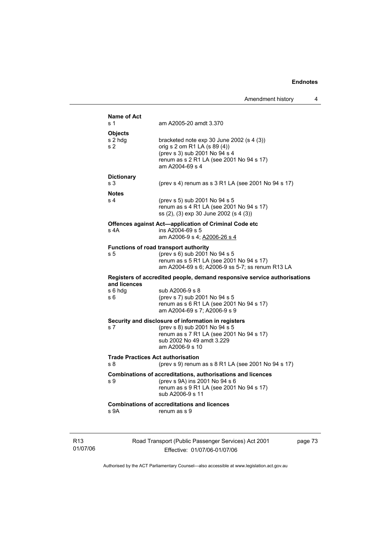|                 | Name of Act               |                                                                                                                                                               |         |
|-----------------|---------------------------|---------------------------------------------------------------------------------------------------------------------------------------------------------------|---------|
|                 | s 1                       | am A2005-20 amdt 3.370                                                                                                                                        |         |
|                 | <b>Objects</b>            |                                                                                                                                                               |         |
|                 | s 2 hdg<br>s <sub>2</sub> | bracketed note $exp 30$ June 2002 $(s 4 (3))$<br>orig s 2 om R1 LA (s 89 (4))                                                                                 |         |
|                 |                           | (prev s 3) sub 2001 No 94 s 4<br>renum as s 2 R1 LA (see 2001 No 94 s 17)<br>am A2004-69 s 4                                                                  |         |
|                 | <b>Dictionary</b>         |                                                                                                                                                               |         |
|                 | s 3                       | (prev s 4) renum as s 3 R1 LA (see 2001 No 94 s 17)                                                                                                           |         |
|                 | <b>Notes</b>              |                                                                                                                                                               |         |
|                 | s 4                       | (prev s 5) sub 2001 No 94 s 5<br>renum as s 4 R1 LA (see 2001 No 94 s 17)<br>ss (2), (3) exp 30 June 2002 (s 4 (3))                                           |         |
|                 | s 4A                      | Offences against Act-application of Criminal Code etc<br>ins A2004-69 s 5<br>am A2006-9 s 4; A2006-26 s 4                                                     |         |
|                 |                           | <b>Functions of road transport authority</b>                                                                                                                  |         |
|                 | s <sub>5</sub>            | (prev s 6) sub 2001 No 94 s 5<br>renum as s 5 R1 LA (see 2001 No 94 s 17)<br>am A2004-69 s 6; A2006-9 ss 5-7; ss renum R13 LA                                 |         |
|                 | and licences              | Registers of accredited people, demand responsive service authorisations                                                                                      |         |
|                 | s 6 hdg<br>s 6            | sub A2006-9 s 8<br>(prev s 7) sub 2001 No 94 s 5<br>renum as s 6 R1 LA (see 2001 No 94 s 17)<br>am A2004-69 s 7; A2006-9 s 9                                  |         |
|                 |                           | Security and disclosure of information in registers                                                                                                           |         |
|                 | s 7                       | (prev s 8) sub 2001 No 94 s 5<br>renum as s 7 R1 LA (see 2001 No 94 s 17)<br>sub 2002 No 49 amdt 3.229<br>am A2006-9 s 10                                     |         |
|                 |                           | <b>Trade Practices Act authorisation</b>                                                                                                                      |         |
|                 | s 8                       | (prev s 9) renum as s 8 R1 LA (see 2001 No 94 s 17)                                                                                                           |         |
|                 | s 9                       | Combinations of accreditations, authorisations and licences<br>(prev s 9A) ins 2001 No 94 s 6<br>renum as s 9 R1 LA (see 2001 No 94 s 17)<br>sub A2006-9 s 11 |         |
|                 | s 9A                      | <b>Combinations of accreditations and licences</b><br>renum as s 9                                                                                            |         |
| R <sub>13</sub> |                           | Road Transport (Public Passenger Services) Act 2001                                                                                                           | page 73 |

01/07/06

Effective: 01/07/06-01/07/06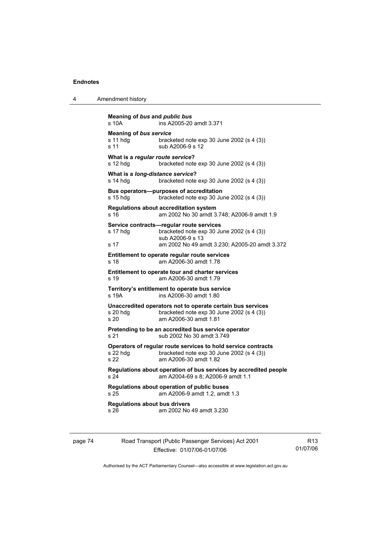| Amendment history |
|-------------------|

```
Meaning of bus and public bus
s 10A ins A2005-20 amdt 3.371 
Meaning of bus service
s 11 hdg bracketed note exp 30 June 2002 (s 4 (3)) 
s 11 sub A2006-9 s 12
What is a regular route service? 
s 12 hdg bracketed note exp 30 June 2002 (s 4 (3)) 
What is a long-distance service? 
s 14 hdg bracketed note exp 30 June 2002 (s 4 (3))
Bus operators—purposes of accreditation 
s 15 hdg bracketed note exp 30 June 2002 (s 4 (3))
Regulations about accreditation system 
s 16 am 2002 No 30 amdt 3.748; A2006-9 amdt 1.9 
Service contracts—regular route services 
s 17 hdg bracketed note exp 30 June 2002 (s 4 (3))
                 sub A2006-9 s 13 
s 17 am 2002 No 49 amdt 3.230; A2005-20 amdt 3.372 
Entitlement to operate regular route services 
s 18 am A2006-30 amdt 1.78 
Entitlement to operate tour and charter services 
s 19 am A2006-30 amdt 1.79 
Territory's entitlement to operate bus service 
s 19A ins A2006-30 amdt 1.80 
Unaccredited operators not to operate certain bus services 
s 20 hdg bracketed note exp 30 June 2002 (s 4 (3))
s 20 am A2006-30 amdt 1.81 
Pretending to be an accredited bus service operator 
s 21 sub 2002 No 30 amdt 3.749
Operators of regular route services to hold service contracts 
s 22 hdg bracketed note exp 30 June 2002 (s 4 (3))<br>s 22 am A2006-30 amdt 1.82
                s 22 am A2006-30 amdt 1.82 
Regulations about operation of bus services by accredited people 
s 24 am A2004-69 s 8; A2006-9 amdt 1.1 
Regulations about operation of public buses 
s 25 am A2006-9 amdt 1.2, amdt 1.3 
Regulations about bus drivers 
s 26 am 2002 No 49 amdt 3.230
```

| page 74 | Road Transport (Public Passenger Services) Act 2001 | R <sub>13</sub> |
|---------|-----------------------------------------------------|-----------------|
|         | Effective: 01/07/06-01/07/06                        | 01/07/06        |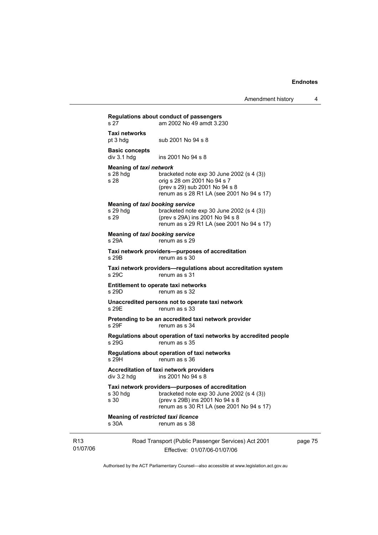|                             | s <sub>27</sub>                                              | Regulations about conduct of passengers<br>am 2002 No 49 amdt 3.230                                                                                                           |         |
|-----------------------------|--------------------------------------------------------------|-------------------------------------------------------------------------------------------------------------------------------------------------------------------------------|---------|
|                             | Taxi networks<br>pt 3 hdg                                    | sub 2001 No 94 s 8                                                                                                                                                            |         |
|                             | <b>Basic concepts</b><br>$div$ 3.1 hdg                       | ins 2001 No 94 s 8                                                                                                                                                            |         |
|                             | <b>Meaning of taxi network</b><br>s 28 hdg<br>s 28           | bracketed note $exp 30$ June 2002 (s 4 (3))<br>orig s 28 om 2001 No 94 s 7<br>(prev s 29) sub 2001 No 94 s 8<br>renum as s 28 R1 LA (see 2001 No 94 s 17)                     |         |
|                             | <b>Meaning of taxi booking service</b><br>$s$ 29 hdg<br>s 29 | bracketed note $exp 30$ June 2002 (s 4 (3))<br>(prev s 29A) ins 2001 No 94 s 8<br>renum as s 29 R1 LA (see 2001 No 94 s 17)                                                   |         |
|                             | <b>Meaning of taxi booking service</b><br>s 29A              | renum as s 29                                                                                                                                                                 |         |
|                             | s 29B                                                        | Taxi network providers--purposes of accreditation<br>renum as s 30                                                                                                            |         |
|                             | s 29C                                                        | Taxi network providers-regulations about accreditation system<br>renum as s 31                                                                                                |         |
|                             | s 29D                                                        | <b>Entitlement to operate taxi networks</b><br>renum as s 32                                                                                                                  |         |
|                             | s 29E                                                        | Unaccredited persons not to operate taxi network<br>renum as s 33                                                                                                             |         |
|                             | s 29F                                                        | Pretending to be an accredited taxi network provider<br>renum as s 34                                                                                                         |         |
|                             | s 29G                                                        | Regulations about operation of taxi networks by accredited people<br>renum as s 35                                                                                            |         |
|                             | s 29H                                                        | Regulations about operation of taxi networks<br>renum as s 36                                                                                                                 |         |
|                             | div 3.2 hdg                                                  | Accreditation of taxi network providers<br>ins 2001 No 94 s 8                                                                                                                 |         |
|                             | s 30 hdg<br>s 30                                             | Taxi network providers—purposes of accreditation<br>bracketed note exp 30 June 2002 (s 4 (3))<br>(prev s 29B) ins 2001 No 94 s 8<br>renum as s 30 R1 LA (see 2001 No 94 s 17) |         |
|                             | Meaning of restricted taxi licence<br>s 30A                  | renum as s 38                                                                                                                                                                 |         |
| R <sub>13</sub><br>01/07/06 |                                                              | Road Transport (Public Passenger Services) Act 2001<br>Effective: 01/07/06-01/07/06                                                                                           | page 75 |

Authorised by the ACT Parliamentary Counsel—also accessible at www.legislation.act.gov.au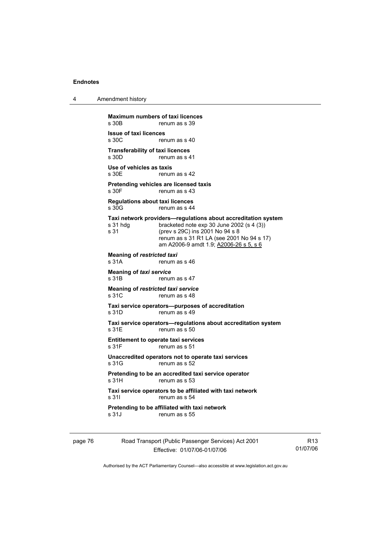| 4 | Amendment history |
|---|-------------------|
|---|-------------------|

**Maximum numbers of taxi licences**<br>s 30B renum as s 39 renum as s 39 **Issue of taxi licences**  renum as s 40 **Transferability of taxi licences**  renum as s 41 **Use of vehicles as taxis**  s 30E renum as s 42 **Pretending vehicles are licensed taxis**  s 30F renum as s 43 **Regulations about taxi licences**  s 30G renum as s 44 **Taxi network providers—regulations about accreditation system**  s 31 hdg bracketed note exp 30 June 2002 (s 4 (3)) s 31 (prev s 29C) ins 2001 No 94 s 8 renum as s 31 R1 LA (see 2001 No 94 s 17) am A2006-9 amdt 1.9; A2006-26 s 5, s 6 **Meaning of** *restricted taxi*  s 31A renum as s 46 **Meaning of** *taxi service*  s 31B renum as s 47 **Meaning of** *restricted taxi service*  s 31C renum as s 48 **Taxi service operators—purposes of accreditation**  s 31D renum as s 49 **Taxi service operators—regulations about accreditation system**  s 31E renum as s 50 **Entitlement to operate taxi services**  s 31F renum as s 51 **Unaccredited operators not to operate taxi services**  s 31G renum as s 52 **Pretending to be an accredited taxi service operator**<br>s 31H renum as s 53 renum as s 53 **Taxi service operators to be affiliated with taxi network**  s 31I renum as s 54 **Pretending to be affiliated with taxi network**  renum as s 55

| page 76 | Road Transport (Public Passenger Services) Act 2001 | R <sub>13</sub> |
|---------|-----------------------------------------------------|-----------------|
|         | Effective: 01/07/06-01/07/06                        | 01/07/06        |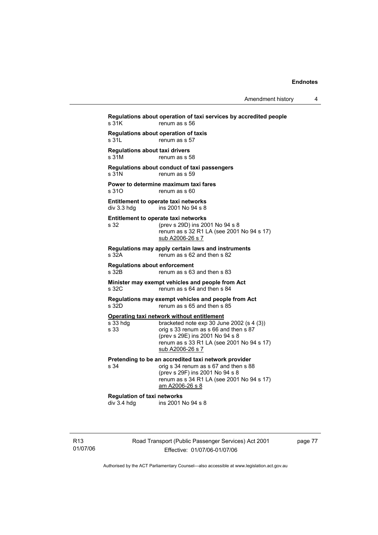**Regulations about operation of taxi services by accredited people**  s 31K renum as s 56 **Regulations about operation of taxis**  s 31L renum as s 57 **Regulations about taxi drivers**  s 31M renum as s 58 **Regulations about conduct of taxi passengers**  s 31N renum as s 59 **Power to determine maximum taxi fares**  s 310 renum as s 60 **Entitlement to operate taxi networks**  div 3.3 hdg ins 2001 No 94 s 8 **Entitlement to operate taxi networks**  s 32 (prev s 29D) ins 2001 No 94 s 8 renum as s 32 R1 LA (see 2001 No 94 s 17) sub A2006-26 s 7 **Regulations may apply certain laws and instruments**  s 32A renum as s 62 and then s 82 **Regulations about enforcement**  s 32B renum as s 63 and then s 83 **Minister may exempt vehicles and people from Act**  s 32C renum as s 64 and then s 84 **Regulations may exempt vehicles and people from Act**  s 32D renum as s 65 and then s 85 **Operating taxi network without entitlement**<br>s 33 hdg<br>bracketed note exp 30 Jun bracketed note  $\exp 30$  June 2002 (s 4 (3)) s 33 orig s 33 renum as s 66 and then s 87 (prev s 29E) ins 2001 No 94 s 8 renum as s 33 R1 LA (see 2001 No 94 s 17) sub A2006-26 s 7 **Pretending to be an accredited taxi network provider**<br>s 34 corig s 34 renum as s 67 and then s 8 orig s 34 renum as  $\frac{1}{5}$  67 and then s 88 (prev s 29F) ins 2001 No 94 s 8 renum as s 34 R1 LA (see 2001 No 94 s 17) am A2006-26 s 8 **Regulation of taxi networks**  div 3.4 hdg ins 2001 No 94 s 8

R13 01/07/06 Road Transport (Public Passenger Services) Act 2001 Effective: 01/07/06-01/07/06

page 77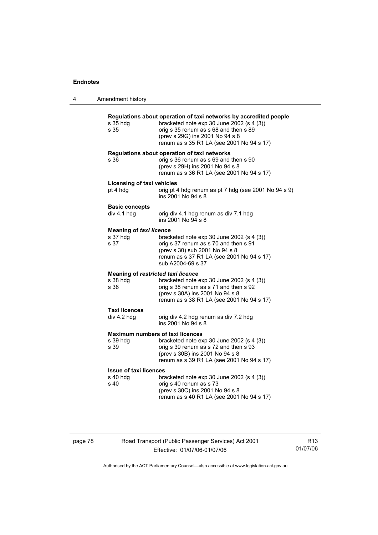| 4 | Amendment history                                      |                                                                                                                                                                                                                                         |
|---|--------------------------------------------------------|-----------------------------------------------------------------------------------------------------------------------------------------------------------------------------------------------------------------------------------------|
|   | s 35 hdg<br>s 35                                       | Regulations about operation of taxi networks by accredited people<br>bracketed note exp 30 June 2002 (s 4 (3))<br>orig s 35 renum as s 68 and then s 89<br>(prev s 29G) ins 2001 No 94 s 8<br>renum as s 35 R1 LA (see 2001 No 94 s 17) |
|   | s 36                                                   | Regulations about operation of taxi networks<br>orig s 36 renum as s 69 and then s 90<br>(prev s 29H) ins 2001 No 94 s 8<br>renum as s 36 R1 LA (see 2001 No 94 s 17)                                                                   |
|   | <b>Licensing of taxi vehicles</b><br>pt 4 hdg          | orig pt 4 hdg renum as pt 7 hdg (see 2001 No 94 s 9)<br>ins 2001 No 94 s 8                                                                                                                                                              |
|   | <b>Basic concepts</b><br>div 4.1 hdg                   | orig div 4.1 hdg renum as div 7.1 hdg<br>ins 2001 No 94 s 8                                                                                                                                                                             |
|   | <b>Meaning of taxi licence</b><br>s 37 hdg<br>s 37     | bracketed note exp 30 June 2002 (s 4 (3))<br>orig s 37 renum as s 70 and then s 91<br>(prev s 30) sub 2001 No 94 s 8<br>renum as s 37 R1 LA (see 2001 No 94 s 17)<br>sub A2004-69 s 37                                                  |
|   | Meaning of restricted taxi licence<br>s 38 hda<br>s 38 | bracketed note exp 30 June 2002 (s 4 (3))<br>orig s 38 renum as s 71 and then s 92<br>(prev s 30A) ins 2001 No 94 s 8<br>renum as s 38 R1 LA (see 2001 No 94 s 17)                                                                      |
|   | <b>Taxi licences</b><br>div 4.2 hdg                    | orig div 4.2 hdg renum as div 7.2 hdg<br>ins 2001 No 94 s 8                                                                                                                                                                             |
|   |                                                        | <b>Maximum numbers of taxi licences</b>                                                                                                                                                                                                 |
|   | s 39 hdg<br>s 39                                       | bracketed note exp 30 June 2002 (s 4 (3))<br>orig s 39 renum as s 72 and then s 93<br>(prev s 30B) ins 2001 No 94 s 8<br>renum as s 39 R1 LA (see 2001 No 94 s 17)                                                                      |
|   | <b>Issue of taxi licences</b><br>s 40 hdg<br>s 40      | bracketed note $exp 30$ June 2002 (s 4 (3))<br>orig s 40 renum as s 73<br>(prev s 30C) ins 2001 No 94 s 8<br>renum as s 40 R1 LA (see 2001 No 94 s 17)                                                                                  |
|   |                                                        |                                                                                                                                                                                                                                         |

page 78 Road Transport (Public Passenger Services) Act 2001 Effective: 01/07/06-01/07/06

R13 01/07/06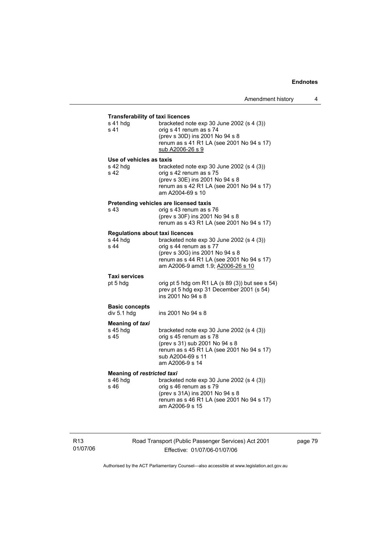| <b>Transferability of taxi licences</b><br>s 41 hdg<br>s 41 | bracketed note exp 30 June 2002 (s 4 (3))<br>orig s 41 renum as s 74<br>(prev s 30D) ins 2001 No 94 s 8<br>renum as s 41 R1 LA (see 2001 No 94 s 17)<br>sub A2006-26 s 9                      |
|-------------------------------------------------------------|-----------------------------------------------------------------------------------------------------------------------------------------------------------------------------------------------|
| Use of vehicles as taxis<br>s 42 hdg<br>s 42                | bracketed note $exp 30$ June 2002 (s 4 (3))<br>orig s 42 renum as s 75<br>(prev s 30E) ins 2001 No 94 s 8<br>renum as s 42 R1 LA (see 2001 No 94 s 17)<br>am A2004-69 s 10                    |
| s 43                                                        | Pretending vehicles are licensed taxis<br>orig s 43 renum as s 76<br>(prev s 30F) ins 2001 No 94 s 8<br>renum as s 43 R1 LA (see 2001 No 94 s 17)                                             |
| <b>Regulations about taxi licences</b><br>s 44 hdg<br>s 44  | bracketed note exp 30 June 2002 (s 4 (3))<br>orig s 44 renum as s 77<br>(prev s 30G) ins 2001 No 94 s 8<br>renum as s 44 R1 LA (see 2001 No 94 s 17)<br>am A2006-9 amdt 1.9; A2006-26 s 10    |
| <b>Taxi services</b><br>pt 5 hdg                            | orig pt 5 hdg om R1 LA (s 89 (3)) but see s 54)<br>prev pt 5 hdg exp 31 December 2001 (s 54)<br>ins 2001 No 94 s 8                                                                            |
| <b>Basic concepts</b><br>div 5.1 hdg                        | ins 2001 No 94 s 8                                                                                                                                                                            |
| <b>Meaning of taxi</b><br>s 45 hdg<br>s 45                  | bracketed note $exp 30$ June 2002 (s 4 (3))<br>orig s 45 renum as s 78<br>(prev s 31) sub 2001 No 94 s 8<br>renum as s 45 R1 LA (see 2001 No 94 s 17)<br>sub A2004-69 s 11<br>am A2006-9 s 14 |
| <b>Meaning of restricted taxi</b><br>s 46 hdg<br>s 46       | bracketed note exp 30 June 2002 (s 4 (3))<br>orig s 46 renum as s 79<br>(prev s 31A) ins 2001 No 94 s 8<br>renum as s 46 R1 LA (see 2001 No 94 s 17)<br>am A2006-9 s 15                       |

R13 01/07/06 Road Transport (Public Passenger Services) Act 2001 Effective: 01/07/06-01/07/06

page 79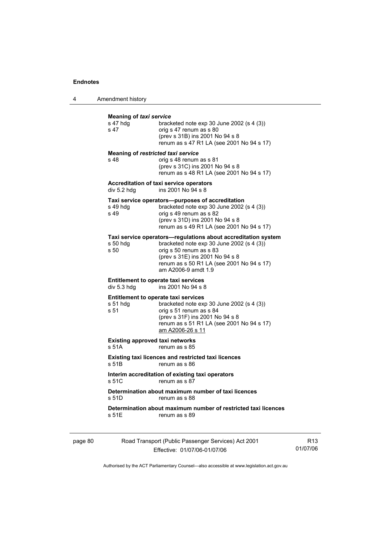4 Amendment history

| s 47 hdg<br>s 47  | bracketed note $exp 30$ June 2002 (s 4 (3))<br>orig s 47 renum as s 80<br>(prev s 31B) ins 2001 No 94 s 8<br>renum as s 47 R1 LA (see 2001 No 94 s 17)                                                                                       |
|-------------------|----------------------------------------------------------------------------------------------------------------------------------------------------------------------------------------------------------------------------------------------|
| s 48              | Meaning of restricted taxi service<br>orig s 48 renum as s 81<br>(prev s 31C) ins 2001 No 94 s 8<br>renum as s 48 R1 LA (see 2001 No 94 s 17)                                                                                                |
| div 5.2 hdg       | <b>Accreditation of taxi service operators</b><br>ins 2001 No 94 s 8                                                                                                                                                                         |
| s 49 hdg<br>s 49  | Taxi service operators—purposes of accreditation<br>bracketed note exp 30 June 2002 (s 4 (3))<br>orig s 49 renum as s 82<br>(prev s 31D) ins 2001 No 94 s 8<br>renum as s 49 R1 LA (see 2001 No 94 s 17)                                     |
| $s50$ hdg<br>s 50 | Taxi service operators-regulations about accreditation system<br>bracketed note exp 30 June 2002 (s 4 (3))<br>orig s 50 renum as s 83<br>(prev s 31E) ins 2001 No 94 s 8<br>renum as s 50 R1 LA (see 2001 No 94 s 17)<br>am A2006-9 amdt 1.9 |
| div 5.3 hdg       | <b>Entitlement to operate taxi services</b><br>ins 2001 No 94 s 8                                                                                                                                                                            |
| s 51 hdq<br>s 51  | <b>Entitlement to operate taxi services</b><br>bracketed note exp 30 June 2002 (s 4 (3))<br>orig s 51 renum as s 84<br>(prev s 31F) ins 2001 No 94 s 8<br>renum as s 51 R1 LA (see 2001 No 94 s 17)<br>am A2006-26 s 11                      |
| s 51A             | <b>Existing approved taxi networks</b><br>renum as s 85                                                                                                                                                                                      |
| s 51B             | <b>Existing taxi licences and restricted taxi licences</b><br>renum as s 86                                                                                                                                                                  |
| s 51C             | Interim accreditation of existing taxi operators<br>renum as s 87                                                                                                                                                                            |
| s 51D             | Determination about maximum number of taxi licences<br>renum as s 88                                                                                                                                                                         |
| s 51E             | Determination about maximum number of restricted taxi licences<br>renum as s 89                                                                                                                                                              |

Authorised by the ACT Parliamentary Counsel—also accessible at www.legislation.act.gov.au

R13 01/07/06

Effective: 01/07/06-01/07/06

page 80 Road Transport (Public Passenger Services) Act 2001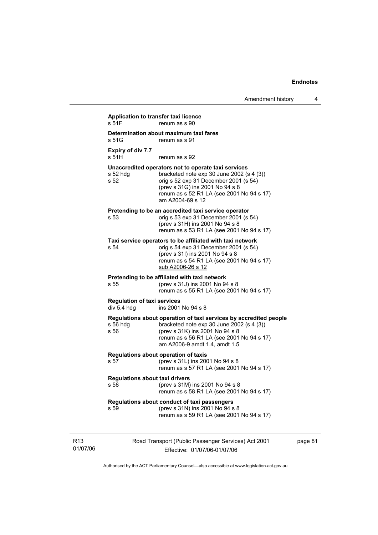| s 51G                                             | Determination about maximum taxi fares<br>renum as s 91                                                                                                                                                                                         |
|---------------------------------------------------|-------------------------------------------------------------------------------------------------------------------------------------------------------------------------------------------------------------------------------------------------|
| Expiry of div 7.7<br>s 51H                        | renum as s 92                                                                                                                                                                                                                                   |
| s 52 hdg<br>s 52                                  | Unaccredited operators not to operate taxi services<br>bracketed note $exp 30$ June 2002 (s 4 (3))<br>orig s 52 exp 31 December 2001 (s 54)<br>(prev s 31G) ins 2001 No 94 s 8<br>renum as s 52 R1 LA (see 2001 No 94 s 17)<br>am A2004-69 s 12 |
| s 53                                              | Pretending to be an accredited taxi service operator<br>orig s 53 exp 31 December 2001 (s 54)<br>(prev s 31H) ins 2001 No 94 s 8<br>renum as s 53 R1 LA (see 2001 No 94 s 17)                                                                   |
| s 54                                              | Taxi service operators to be affiliated with taxi network<br>orig s 54 exp 31 December 2001 (s 54)<br>(prev s 31l) ins 2001 No 94 s 8<br>renum as s 54 R1 LA (see 2001 No 94 s 17)<br><u>sub A2006-26 s 12</u>                                  |
| s 55                                              | Pretending to be affiliated with taxi network<br>(prev s 31J) ins 2001 No 94 s 8<br>renum as s 55 R1 LA (see 2001 No 94 s 17)                                                                                                                   |
| <b>Regulation of taxi services</b><br>div 5.4 hdg | ins 2001 No 94 s 8                                                                                                                                                                                                                              |
| $s$ 56 hdg<br>s 56                                | Regulations about operation of taxi services by accredited people<br>bracketed note $exp 30$ June 2002 (s 4 (3))<br>(prev s 31K) ins 2001 No 94 s 8<br>renum as s 56 R1 LA (see 2001 No 94 s 17)<br>am A2006-9 amdt 1.4, amdt 1.5               |
| s 57                                              | Regulations about operation of taxis<br>(prev s 31L) ins 2001 No 94 s 8<br>renum as s 57 R1 LA (see 2001 No 94 s 17)                                                                                                                            |
| s 58                                              | <b>Regulations about taxi drivers</b><br>(prev s 31M) ins 2001 No 94 s 8<br>renum as s 58 R1 LA (see 2001 No 94 s 17)                                                                                                                           |
| s 59                                              | Regulations about conduct of taxi passengers<br>(prev s 31N) ins 2001 No 94 s 8<br>renum as s 59 R1 LA (see 2001 No 94 s 17)                                                                                                                    |

R13 01/07/06

Effective: 01/07/06-01/07/06

page 81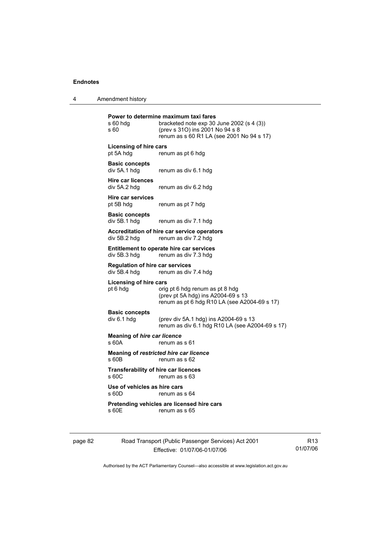4 Amendment history

| s 60 hdg<br>s 60                                       | Power to determine maximum taxi fares<br>bracketed note $exp 30$ June 2002 (s 4 (3))<br>(prev s 310) ins 2001 No 94 s 8<br>renum as s 60 R1 LA (see 2001 No 94 s 17) |
|--------------------------------------------------------|----------------------------------------------------------------------------------------------------------------------------------------------------------------------|
| <b>Licensing of hire cars</b><br>pt 5A hdg             | renum as pt 6 hdg                                                                                                                                                    |
| <b>Basic concepts</b><br>div 5A.1 hdg                  | renum as div 6.1 hdg                                                                                                                                                 |
| <b>Hire car licences</b><br>div 5A.2 hdg               | renum as div 6.2 hdg                                                                                                                                                 |
| <b>Hire car services</b><br>pt 5B hdg                  | renum as pt 7 hdg                                                                                                                                                    |
| <b>Basic concepts</b><br>div 5B.1 hdg                  | renum as div 7.1 hdg                                                                                                                                                 |
| div 5B.2 hdg                                           | Accreditation of hire car service operators<br>renum as div 7.2 hdg                                                                                                  |
| div 5B.3 hdg                                           | Entitlement to operate hire car services<br>renum as div 7.3 hdg                                                                                                     |
| <b>Regulation of hire car services</b><br>div 5B.4 hdg | renum as div 7.4 hdg                                                                                                                                                 |
| <b>Licensing of hire cars</b><br>pt 6 hdg              | orig pt 6 hdg renum as pt 8 hdg<br>(prev pt 5A hdg) ins A2004-69 s 13<br>renum as pt 6 hdg R10 LA (see A2004-69 s 17)                                                |
| <b>Basic concepts</b><br>div 6.1 hdg                   | (prev div 5A.1 hdg) ins A2004-69 s 13<br>renum as div 6.1 hdg R10 LA (see A2004-69 s 17)                                                                             |
| <b>Meaning of hire car licence</b><br>s 60A            | renum as s 61                                                                                                                                                        |
| s 60B                                                  | Meaning of restricted hire car licence<br>renum as s 62                                                                                                              |
| <b>Transferability of hire car licences</b><br>s 60C   | renum as s 63                                                                                                                                                        |
| Use of vehicles as hire cars<br>s 60D                  | renum as s 64                                                                                                                                                        |
| s 60E                                                  | Pretending vehicles are licensed hire cars<br>renum as s 65                                                                                                          |
|                                                        |                                                                                                                                                                      |

page 82 Road Transport (Public Passenger Services) Act 2001 Effective: 01/07/06-01/07/06

R13 01/07/06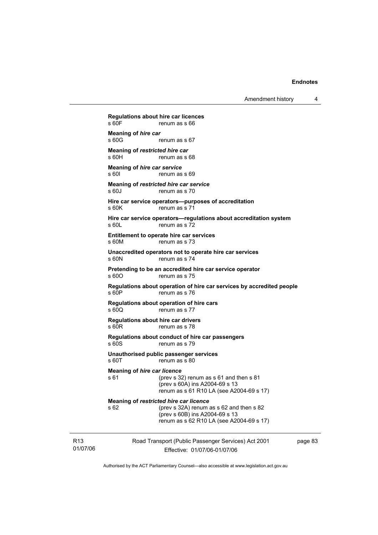Amendment history 4

01/07/06 Road Transport (Public Passenger Services) Act 2001 **Regulations about hire car licences**  renum as s 66 **Meaning of** *hire car*<br>**s** 60G renum as s 67 **Meaning of** *restricted hire car* **s** 60H **renum as s** renum as s 68 **Meaning of** *hire car service*  s 60I renum as s 69 **Meaning of** *restricted hire car service*  s 60J renum as s 70 **Hire car service operators—purposes of accreditation**  s 60K renum as s 71 **Hire car service operators—regulations about accreditation system**  s 60L renum as s 72 **Entitlement to operate hire car services**  s 60M renum as s 73 **Unaccredited operators not to operate hire car services**  s 60N renum as s 74 **Pretending to be an accredited hire car service operator**  s 60O renum as s 75 **Regulations about operation of hire car services by accredited people**  s 60P renum as s 76 **Regulations about operation of hire cars**  s 60Q renum as s 77 **Regulations about hire car drivers**  s 60R renum as s 78 **Regulations about conduct of hire car passengers**  s 60S renum as s 79 **Unauthorised public passenger services**  s 60T renum as s 80 **Meaning of** *hire car licence*  s 61 (prev s 32) renum as s 61 and then s 81 (prev s 60A) ins A2004-69 s 13 renum as s 61 R10 LA (see A2004-69 s 17) **Meaning of** *restricted hire car licence*  s 62 (prev s 32A) renum as s 62 and then s 82 (prev s 60B) ins A2004-69 s 13 renum as s 62 R10 LA (see A2004-69 s 17)

page 83

Authorised by the ACT Parliamentary Counsel—also accessible at www.legislation.act.gov.au

Effective: 01/07/06-01/07/06

R13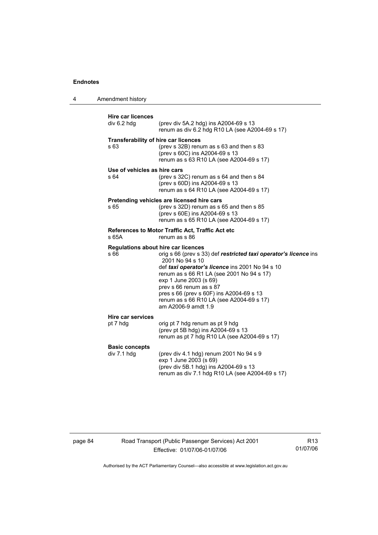4 Amendment history

| <b>Hire car licences</b><br>div 6.2 hdg             | (prev div 5A.2 hdg) ins A2004-69 s 13<br>renum as div 6.2 hdg R10 LA (see A2004-69 s 17)                                                                                                                                                                                                                                                                                                       |
|-----------------------------------------------------|------------------------------------------------------------------------------------------------------------------------------------------------------------------------------------------------------------------------------------------------------------------------------------------------------------------------------------------------------------------------------------------------|
| <b>Transferability of hire car licences</b><br>s 63 | (prev s 32B) renum as s 63 and then s 83<br>(prev s 60C) ins A2004-69 s 13<br>renum as s 63 R10 LA (see A2004-69 s 17)                                                                                                                                                                                                                                                                         |
| Use of vehicles as hire cars<br>s 64                | (prev s 32C) renum as s 64 and then s 84<br>(prev s 60D) ins A2004-69 s 13<br>renum as s 64 R10 LA (see A2004-69 s 17)                                                                                                                                                                                                                                                                         |
| s 65                                                | Pretending vehicles are licensed hire cars<br>(prev s 32D) renum as s 65 and then s 85<br>(prev s 60E) ins A2004-69 s 13<br>renum as s 65 R10 LA (see A2004-69 s 17)                                                                                                                                                                                                                           |
| s 65A                                               | References to Motor Traffic Act, Traffic Act etc<br>renum as s 86                                                                                                                                                                                                                                                                                                                              |
| s 66                                                | Regulations about hire car licences<br>orig s 66 (prev s 33) def restricted taxi operator's licence ins<br>2001 No 94 s 10<br>def taxi operator's licence ins 2001 No 94 s 10<br>renum as s 66 R1 LA (see 2001 No 94 s 17)<br>exp 1 June 2003 (s 69)<br>prev s 66 renum as s 87<br>pres s 66 (prev s 60F) ins A2004-69 s 13<br>renum as s 66 R10 LA (see A2004-69 s 17)<br>am A2006-9 amdt 1.9 |
| <b>Hire car services</b><br>pt 7 hdg                | orig pt 7 hdg renum as pt 9 hdg<br>(prev pt 5B hdg) ins A2004-69 s 13<br>renum as pt 7 hdg R10 LA (see A2004-69 s 17)                                                                                                                                                                                                                                                                          |
| <b>Basic concepts</b><br>div 7.1 hdg                | (prev div 4.1 hdg) renum 2001 No 94 s 9<br>exp 1 June 2003 (s 69)<br>(prev div 5B.1 hdg) ins A2004-69 s 13<br>renum as div 7.1 hdg R10 LA (see A2004-69 s 17)                                                                                                                                                                                                                                  |

# page 84 Road Transport (Public Passenger Services) Act 2001 Effective: 01/07/06-01/07/06

R13 01/07/06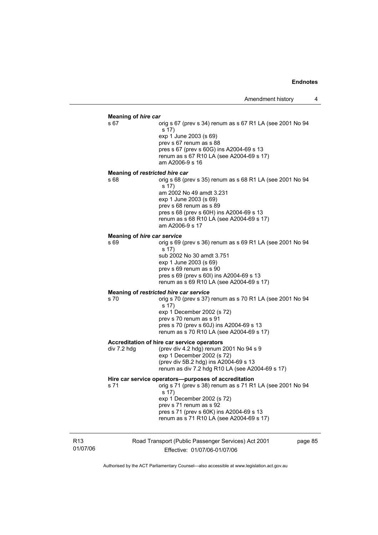### **Meaning of** *hire car*

s 67 orig s 67 (prev s 34) renum as s 67 R1 LA (see 2001 No 94 s 17) exp 1 June 2003 (s 69) prev s 67 renum as s 88 pres s 67 (prev s 60G) ins A2004-69 s 13 renum as s 67 R10 LA (see A2004-69 s 17) am A2006-9 s 16

### **Meaning of** *restricted hire car*

s 68 orig s 68 (prev s 35) renum as s 68 R1 LA (see 2001 No 94 s 17) am 2002 No 49 amdt 3.231 exp 1 June 2003 (s 69) prev s 68 renum as s 89 pres s 68 (prev s 60H) ins A2004-69 s 13 renum as s 68 R10 LA (see A2004-69 s 17) am A2006-9 s 17

### **Meaning of** *hire car service*

s 69 orig s 69 (prev s 36) renum as s 69 R1 LA (see 2001 No 94 s 17) sub 2002 No 30 amdt 3.751 exp 1 June 2003 (s 69) prev s 69 renum as s 90 pres s 69 (prev s 60I) ins A2004-69 s 13 renum as s 69 R10 LA (see A2004-69 s 17)

## **Meaning of** *restricted hire car service*

s 70 orig s 70 (prev s 37) renum as s 70 R1 LA (see 2001 No 94 s 17) exp 1 December 2002 (s 72) prev s 70 renum as s 91 pres s 70 (prev s 60J) ins A2004-69 s 13 renum as s 70 R10 LA (see A2004-69 s 17)

#### **Accreditation of hire car service operators**

div 7.2 hdg (prev div 4.2 hdg) renum 2001 No 94 s 9 exp 1 December 2002 (s 72) (prev div 5B.2 hdg) ins A2004-69 s 13 renum as div 7.2 hdg R10 LA (see A2004-69 s 17)

### **Hire car service operators—purposes of accreditation**

s 71 orig s 71 (prev s 38) renum as s 71 R1 LA (see 2001 No 94 s 17) exp 1 December 2002 (s 72) prev s 71 renum as s 92

 pres s 71 (prev s 60K) ins A2004-69 s 13 renum as s 71 R10 LA (see A2004-69 s 17)

R13 01/07/06 Road Transport (Public Passenger Services) Act 2001 Effective: 01/07/06-01/07/06 page 85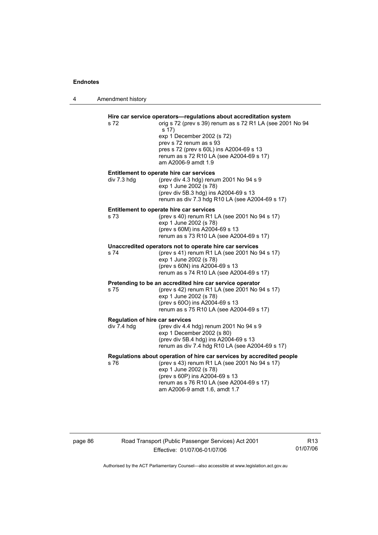4 Amendment history

| s 72                                                  | Hire car service operators-regulations about accreditation system<br>orig s 72 (prev s 39) renum as s 72 R1 LA (see 2001 No 94<br>s 17)<br>exp 1 December 2002 (s 72)<br>prev s 72 renum as s 93<br>pres s 72 (prev s 60L) ins A2004-69 s 13<br>renum as s 72 R10 LA (see A2004-69 s 17)<br>am A2006-9 amdt 1.9 |
|-------------------------------------------------------|-----------------------------------------------------------------------------------------------------------------------------------------------------------------------------------------------------------------------------------------------------------------------------------------------------------------|
| div 7.3 hdg                                           | Entitlement to operate hire car services<br>(prev div 4.3 hdg) renum 2001 No 94 s 9<br>exp 1 June 2002 (s 78)<br>(prev div 5B.3 hdg) ins A2004-69 s 13<br>renum as div 7.3 hdg R10 LA (see A2004-69 s 17)                                                                                                       |
| s 73                                                  | Entitlement to operate hire car services<br>(prev s 40) renum R1 LA (see 2001 No 94 s 17)<br>exp 1 June 2002 (s 78)<br>(prev s 60M) ins A2004-69 s 13<br>renum as s 73 R10 LA (see A2004-69 s 17)                                                                                                               |
| s 74                                                  | Unaccredited operators not to operate hire car services<br>(prev s 41) renum R1 LA (see 2001 No 94 s 17)<br>exp 1 June 2002 (s 78)<br>(prev s 60N) ins A2004-69 s 13<br>renum as s 74 R10 LA (see A2004-69 s 17)                                                                                                |
| s 75                                                  | Pretending to be an accredited hire car service operator<br>(prev s 42) renum R1 LA (see 2001 No 94 s 17)<br>exp 1 June 2002 (s 78)<br>(prev s 600) ins A2004-69 s 13<br>renum as s 75 R10 LA (see A2004-69 s 17)                                                                                               |
| <b>Regulation of hire car services</b><br>div 7.4 hdg | (prev div 4.4 hdg) renum 2001 No 94 s 9<br>exp 1 December 2002 (s 80)<br>(prev div 5B.4 hdg) ins A2004-69 s 13<br>renum as div 7.4 hdg R10 LA (see A2004-69 s 17)                                                                                                                                               |
| s 76                                                  | Regulations about operation of hire car services by accredited people<br>(prev s 43) renum R1 LA (see 2001 No 94 s 17)<br>exp 1 June 2002 (s 78)<br>(prev s 60P) ins A2004-69 s 13<br>renum as s 76 R10 LA (see A2004-69 s 17)<br>am A2006-9 amdt 1.6, amdt 1.7                                                 |

# page 86 Road Transport (Public Passenger Services) Act 2001 Effective: 01/07/06-01/07/06

R13 01/07/06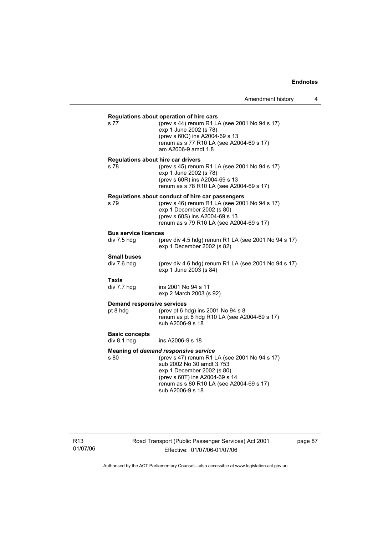|                                               | Regulations about operation of hire cars                                                                                                                                                                                                           |
|-----------------------------------------------|----------------------------------------------------------------------------------------------------------------------------------------------------------------------------------------------------------------------------------------------------|
| s 77                                          | (prev s 44) renum R1 LA (see 2001 No 94 s 17)<br>exp 1 June 2002 (s 78)<br>(prev s 60Q) ins A2004-69 s 13<br>renum as s 77 R10 LA (see A2004-69 s 17)<br>am A2006-9 amdt 1.8                                                                       |
| Regulations about hire car drivers<br>s 78    | (prev s 45) renum R1 LA (see 2001 No 94 s 17)<br>exp 1 June 2002 (s 78)<br>(prev s 60R) ins A2004-69 s 13<br>renum as s 78 R10 LA (see A2004-69 s 17)                                                                                              |
| s 79                                          | Regulations about conduct of hire car passengers<br>(prev s 46) renum R1 LA (see 2001 No 94 s 17)<br>exp 1 December 2002 (s 80)<br>(prev s 60S) ins A2004-69 s 13<br>renum as s 79 R10 LA (see A2004-69 s 17)                                      |
| <b>Bus service licences</b><br>div 7.5 hdg    | (prev div 4.5 hdg) renum R1 LA (see 2001 No 94 s 17)<br>exp 1 December 2002 (s 82)                                                                                                                                                                 |
| <b>Small buses</b><br>div 7.6 hdg             | (prev div 4.6 hdg) renum R1 LA (see 2001 No 94 s 17)<br>exp 1 June 2003 (s 84)                                                                                                                                                                     |
| Taxis<br>div 7.7 hdg                          | ins 2001 No 94 s 11<br>exp 2 March 2003 (s 92)                                                                                                                                                                                                     |
| <b>Demand responsive services</b><br>pt 8 hdg | (prev pt 6 hdg) ins 2001 No 94 s 8<br>renum as pt 8 hdg R10 LA (see A2004-69 s 17)<br>sub A2006-9 s 18                                                                                                                                             |
| <b>Basic concepts</b><br>div 8.1 hdg          | ins A2006-9 s 18                                                                                                                                                                                                                                   |
| s 80                                          | Meaning of demand responsive service<br>(prev s 47) renum R1 LA (see 2001 No 94 s 17)<br>sub 2002 No 30 amdt 3.753<br>exp 1 December 2002 (s 80)<br>(prev s 60T) ins A2004-69 s 14<br>renum as s 80 R10 LA (see A2004-69 s 17)<br>sub A2006-9 s 18 |

R13 01/07/06 Road Transport (Public Passenger Services) Act 2001 Effective: 01/07/06-01/07/06

page 87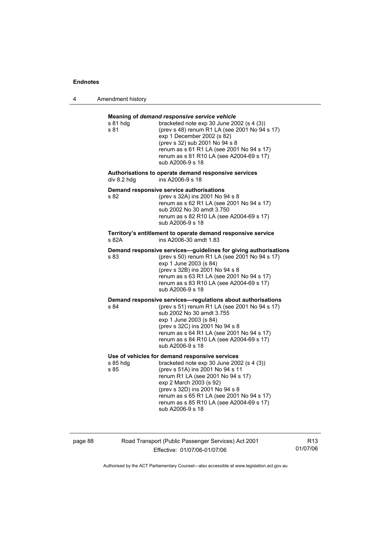4 Amendment history

| s 81 hda<br>s 81 | Meaning of demand responsive service vehicle<br>bracketed note $exp 30$ June 2002 (s 4 (3))<br>(prev s 48) renum R1 LA (see 2001 No 94 s 17)<br>exp 1 December 2002 (s 82)<br>(prev s 32) sub 2001 No 94 s 8<br>renum as s 61 R1 LA (see 2001 No 94 s 17)<br>renum as s 81 R10 LA (see A2004-69 s 17)<br>sub A2006-9 s 18                       |
|------------------|-------------------------------------------------------------------------------------------------------------------------------------------------------------------------------------------------------------------------------------------------------------------------------------------------------------------------------------------------|
| div 8.2 hdg      | Authorisations to operate demand responsive services<br>ins A2006-9 s 18                                                                                                                                                                                                                                                                        |
| s 82             | Demand responsive service authorisations<br>(prev s 32A) ins 2001 No 94 s 8<br>renum as s 62 R1 LA (see 2001 No 94 s 17)<br>sub 2002 No 30 amdt 3.750<br>renum as s 82 R10 LA (see A2004-69 s 17)<br>sub A2006-9 s 18                                                                                                                           |
| s 82A            | Territory's entitlement to operate demand responsive service<br>ins A2006-30 amdt 1.83                                                                                                                                                                                                                                                          |
| s 83             | Demand responsive services-guidelines for giving authorisations<br>(prev s 50) renum R1 LA (see 2001 No 94 s 17)<br>exp 1 June 2003 (s 84)<br>(prev s 32B) ins 2001 No 94 s 8<br>renum as s 63 R1 LA (see 2001 No 94 s 17)<br>renum as s 83 R10 LA (see A2004-69 s 17)<br>sub A2006-9 s 18                                                      |
| s 84             | Demand responsive services-regulations about authorisations<br>(prev s 51) renum R1 LA (see 2001 No 94 s 17)<br>sub 2002 No 30 amdt 3.755<br>exp 1 June 2003 (s 84)<br>(prev s 32C) ins 2001 No 94 s 8<br>renum as s 64 R1 LA (see 2001 No 94 s 17)<br>renum as s 84 R10 LA (see A2004-69 s 17)<br>sub A2006-9 s 18                             |
| s 85 hdg<br>s 85 | Use of vehicles for demand responsive services<br>bracketed note exp 30 June 2002 (s 4 (3))<br>(prev s 51A) ins 2001 No 94 s 11<br>renum R1 LA (see 2001 No 94 s 17)<br>exp 2 March 2003 (s 92)<br>(prev s 32D) ins 2001 No 94 s 8<br>renum as s 65 R1 LA (see 2001 No 94 s 17)<br>renum as s 85 R10 LA (see A2004-69 s 17)<br>sub A2006-9 s 18 |

page 88 Road Transport (Public Passenger Services) Act 2001 Effective: 01/07/06-01/07/06

R13 01/07/06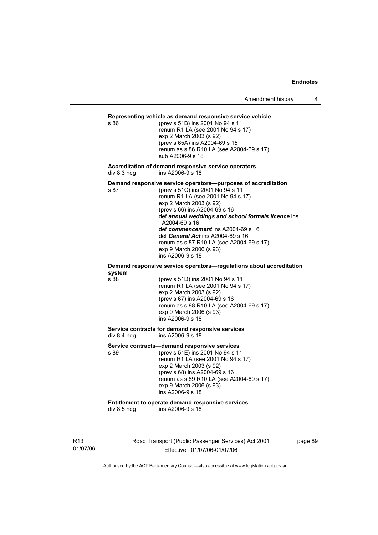# **Representing vehicle as demand responsive service vehicle**

(prev s 51B) ins 2001 No 94 s 11 renum R1 LA (see 2001 No 94 s 17) exp 2 March 2003 (s 92) (prev s 65A) ins A2004-69 s 15 renum as s 86 R10 LA (see A2004-69 s 17) sub A2006-9 s 18

**Accreditation of demand responsive service operators**  div 8.3 hdg ins A2006-9 s 18

**Demand responsive service operators—purposes of accreditation** 

s 87 (prev s 51C) ins 2001 No 94 s 11 renum R1 LA (see 2001 No 94 s 17) exp 2 March 2003 (s 92) (prev s 66) ins A2004-69 s 16 def *annual weddings and school formals licence* ins A2004-69 s 16 def *commencement* ins A2004-69 s 16 def *General Act* ins A2004-69 s 16 renum as s 87 R10 LA (see A2004-69 s 17) exp 9 March 2006 (s 93) ins A2006-9 s 18

#### **Demand responsive service operators—regulations about accreditation system**

s 88 (prev s 51D) ins 2001 No 94 s 11 renum R1 LA (see 2001 No 94 s 17) exp 2 March 2003 (s 92) (prev s 67) ins A2004-69 s 16 renum as s 88 R10 LA (see A2004-69 s 17) exp 9 March 2006 (s 93) ins A2006-9 s 18

#### **Service contracts for demand responsive services**   $div 8.4$  hdg ins A2006-9 s  $18$

**Service contracts—demand responsive services** 

s 89 (prev s 51E) ins 2001 No 94 s 11 renum R1 LA (see 2001 No 94 s 17) exp 2 March 2003 (s 92) (prev s 68) ins A2004-69 s 16 renum as s 89 R10 LA (see A2004-69 s 17) exp 9 March 2006 (s 93) ins A2006-9 s 18

# **Entitlement to operate demand responsive services**

ins A2006-9 s  $18^{1}$ 

R13 01/07/06 Road Transport (Public Passenger Services) Act 2001 Effective: 01/07/06-01/07/06

page 89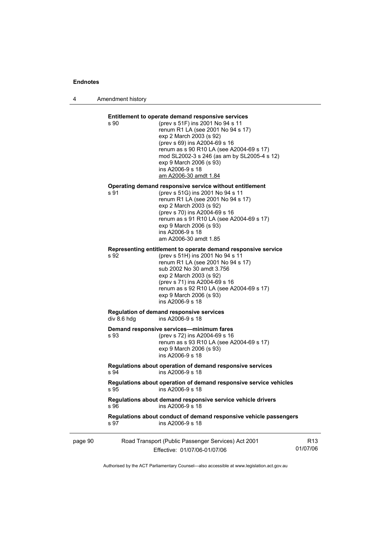4 Amendment history

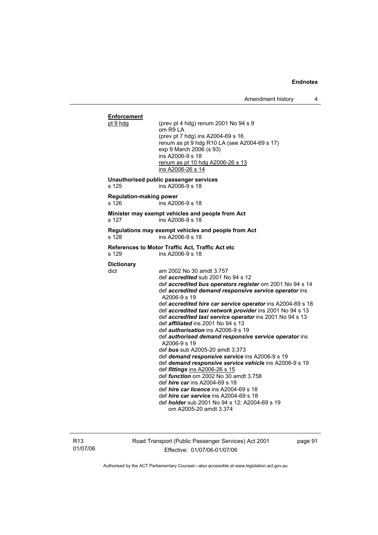## **Enforcement**<br>pt 9 hdg (prev pt 4 hdg) renum 2001 No  $94 s 9$  om R9 LA (prev pt 7 hdg) ins A2004-69 s 16 renum as pt  $\frac{9}{9}$  hdg R10 LA (see A2004-69 s 17) exp 9 March 2006 (s 93) ins A2006-9 s 18 renum as pt 10 hdg A2006-26 s 13 ins A2006-26 s 14 **Unauthorised public passenger services**   $ins$  A2006-9 s 18 **Regulation-making power**  s 126 ins A2006-9 s 18 **Minister may exempt vehicles and people from Act**  s 127 ins A2006-9 s 18 **Regulations may exempt vehicles and people from Act**  s 128 ins A2006-9 s 18 **References to Motor Traffic Act, Traffic Act etc**<br>s 129 **ins A2006-9 s** 18  $ins A2006-9 s 18$ **Dictionary**  dict am 2002 No 30 amdt 3.757 def *accredited* sub 2001 No 94 s 12 def *accredited bus operators register* om 2001 No 94 s 14 def *accredited demand responsive service operator* ins A2006-9 s 19 def *accredited hire car service operator* ins A2004-69 s 18 def *accredited taxi network provider* ins 2001 No 94 s 13 def *accredited taxi service operator* ins 2001 No 94 s 13 def *affiliated* ins 2001 No 94 s 13 def *authorisation* ins A2006-9 s 19 def *authorised demand responsive service operator* ins A2006-9 s 19 def *bus* sub A2005-20 amdt 3.373 def *demand responsive service* ins A2006-9 s 19 def *demand responsive service vehicle* ins A2006-9 s 19 def *fittings* ins A2006-26 s 15 def *function* om 2002 No 30 amdt 3.758 def *hire car* ins A2004-69 s 18 def *hire car licence* ins A2004-69 s 18 def *hire car service* ins A2004-69 s 18 def *holder* sub 2001 No 94 s 12; A2004-69 s 19 om A2005-20 amdt 3.374

R13 01/07/06 Road Transport (Public Passenger Services) Act 2001 Effective: 01/07/06-01/07/06

page 91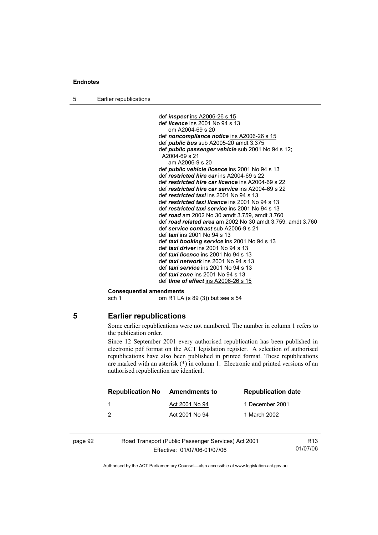5 Earlier republications

 def *inspect* ins A2006-26 s 15 def *licence* ins 2001 No 94 s 13 om A2004-69 s 20 def *noncompliance notice* ins A2006-26 s 15 def *public bus* sub A2005-20 amdt 3.375 def *public passenger vehicle* sub 2001 No 94 s 12; A2004-69 s 21 am A2006-9 s 20 def *public vehicle licence* ins 2001 No 94 s 13 def *restricted hire car* ins A2004-69 s 22 def *restricted hire car licence* ins A2004-69 s 22 def *restricted hire car service* ins A2004-69 s 22 def *restricted taxi* ins 2001 No 94 s 13 def *restricted taxi licence* ins 2001 No 94 s 13 def *restricted taxi service* ins 2001 No 94 s 13 def *road* am 2002 No 30 amdt 3.759, amdt 3.760 def *road related area* am 2002 No 30 amdt 3.759, amdt 3.760 def *service contract* sub A2006-9 s 21 def *taxi* ins 2001 No 94 s 13 def *taxi booking service* ins 2001 No 94 s 13 def *taxi driver* ins 2001 No 94 s 13 def *taxi licence* ins 2001 No 94 s 13 def *taxi network* ins 2001 No 94 s 13 def *taxi service* ins 2001 No 94 s 13 def *taxi zone* ins 2001 No 94 s 13 def *time of effect* ins A2006-26 s 15

#### **Consequential amendments**

sch 1 om R1 LA (s 89 (3)) but see s 54

## **5 Earlier republications**

Some earlier republications were not numbered. The number in column 1 refers to the publication order.

Since 12 September 2001 every authorised republication has been published in electronic pdf format on the ACT legislation register. A selection of authorised republications have also been published in printed format. These republications are marked with an asterisk (\*) in column 1. Electronic and printed versions of an authorised republication are identical.

|         | <b>Republication No</b> | Amendments to                                       | <b>Republication date</b> |                 |
|---------|-------------------------|-----------------------------------------------------|---------------------------|-----------------|
|         |                         | Act 2001 No 94                                      | 1 December 2001           |                 |
|         | 2                       | Act 2001 No 94                                      | 1 March 2002              |                 |
| page 92 |                         | Road Transport (Public Passenger Services) Act 2001 |                           | R <sub>13</sub> |

Effective: 01/07/06-01/07/06

01/07/06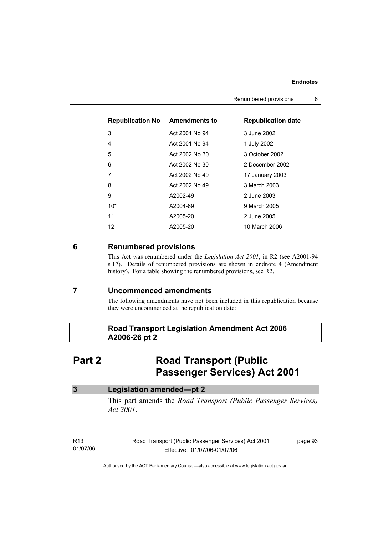| <b>Republication No Amendments to</b> |                | <b>Republication date</b> |
|---------------------------------------|----------------|---------------------------|
| 3                                     | Act 2001 No 94 | 3 June 2002               |
| 4                                     | Act 2001 No 94 | 1 July 2002               |
| 5                                     | Act 2002 No 30 | 3 October 2002            |
| 6                                     | Act 2002 No 30 | 2 December 2002           |
| 7                                     | Act 2002 No 49 | 17 January 2003           |
| 8                                     | Act 2002 No 49 | 3 March 2003              |
| 9                                     | A2002-49       | 2 June 2003               |
| $10*$                                 | A2004-69       | 9 March 2005              |
| 11                                    | A2005-20       | 2 June 2005               |
| 12                                    | A2005-20       | 10 March 2006             |

# **6 Renumbered provisions**

This Act was renumbered under the *Legislation Act 2001*, in R2 (see A2001-94 s 17). Details of renumbered provisions are shown in endnote 4 (Amendment history). For a table showing the renumbered provisions, see R2.

# **7 Uncommenced amendments**

The following amendments have not been included in this republication because they were uncommenced at the republication date:

# **Road Transport Legislation Amendment Act 2006 A2006-26 pt 2**

# **Part 2 Road Transport (Public ) Passenger Services) Act 2001**

| Legislation amended-pt 2                                                                   |
|--------------------------------------------------------------------------------------------|
| This part amends the <i>Road Transport (Public Passenger Services)</i><br><i>Act 2001.</i> |

| R13      | Road Transport (Public Passenger Services) Act 2001 | page 93 |
|----------|-----------------------------------------------------|---------|
| 01/07/06 | Effective: 01/07/06-01/07/06                        |         |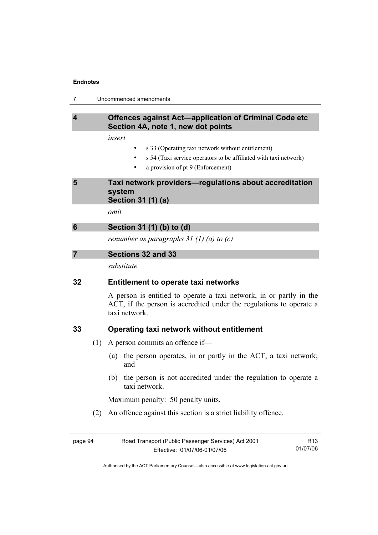# **4 Offences against Act—application of Criminal Code etc Section 4A, note 1, new dot points**

*insert* 

- s 33 (Operating taxi network without entitlement)
- s 54 (Taxi service operators to be affiliated with taxi network)
- a provision of pt 9 (Enforcement)

# **5 Taxi network providers—regulations about accreditation system Section 31 (1) (a)**

*omit* 

*renumber as paragraphs 31 (1) (a) to (c)* 

| Sections 32 and 33 |  |
|--------------------|--|
|--------------------|--|

*substitute* 

# **32 Entitlement to operate taxi networks**

A person is entitled to operate a taxi network, in or partly in the ACT, if the person is accredited under the regulations to operate a taxi network.

# **33 Operating taxi network without entitlement**

- (1) A person commits an offence if—
	- (a) the person operates, in or partly in the ACT, a taxi network; and
	- (b) the person is not accredited under the regulation to operate a taxi network.

Maximum penalty: 50 penalty units.

(2) An offence against this section is a strict liability offence.

| page 94 | Road Transport (Public Passenger Services) Act 2001 | R13      |
|---------|-----------------------------------------------------|----------|
|         | Effective: 01/07/06-01/07/06                        | 01/07/06 |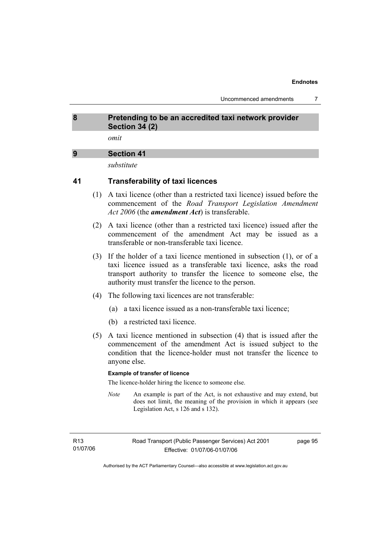# **8 Pretending to be an accredited taxi network provider Section 34 (2)**

*omit* 

# **9 Section 41**

*substitute* 

# **41 Transferability of taxi licences**

- (1) A taxi licence (other than a restricted taxi licence) issued before the commencement of the *Road Transport Legislation Amendment Act 2006* (the *amendment Act*) is transferable.
- (2) A taxi licence (other than a restricted taxi licence) issued after the commencement of the amendment Act may be issued as a transferable or non-transferable taxi licence.
- (3) If the holder of a taxi licence mentioned in subsection (1), or of a taxi licence issued as a transferable taxi licence, asks the road transport authority to transfer the licence to someone else, the authority must transfer the licence to the person.
- (4) The following taxi licences are not transferable:
	- (a) a taxi licence issued as a non-transferable taxi licence;
	- (b) a restricted taxi licence.
- (5) A taxi licence mentioned in subsection (4) that is issued after the commencement of the amendment Act is issued subject to the condition that the licence-holder must not transfer the licence to anyone else.

## **Example of transfer of licence**

The licence-holder hiring the licence to someone else.

*Note* An example is part of the Act, is not exhaustive and may extend, but does not limit, the meaning of the provision in which it appears (see Legislation Act, s 126 and s 132).

page 95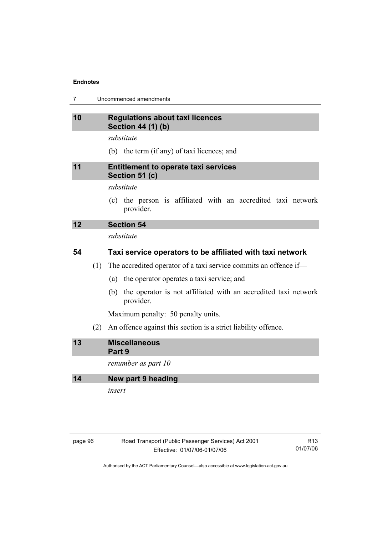7 Uncommenced amendments

# **10 Regulations about taxi licences Section 44 (1) (b)**

*substitute* 

(b) the term (if any) of taxi licences; and

# **11 Entitlement to operate taxi services Section 51 (c)**

## *substitute*

 (c) the person is affiliated with an accredited taxi network provider.

# **12 Section 54**

*substitute* 

# **54 Taxi service operators to be affiliated with taxi network**

- (1) The accredited operator of a taxi service commits an offence if—
	- (a) the operator operates a taxi service; and
	- (b) the operator is not affiliated with an accredited taxi network provider.

Maximum penalty: 50 penalty units.

(2) An offence against this section is a strict liability offence.

| 13 | <b>Miscellaneous</b> |
|----|----------------------|
|    | Part 9               |

*renumber as part 10* 

**14 New part 9 heading** 

*insert* 

# page 96 Road Transport (Public Passenger Services) Act 2001 Effective: 01/07/06-01/07/06

R13 01/07/06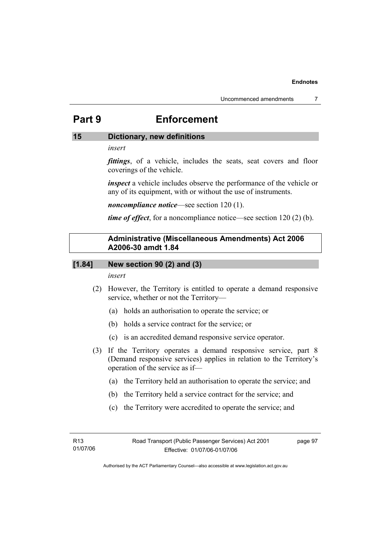# **Part 9 Enforcement**

# **15 Dictionary, new definitions**

## *insert*

*fittings*, of a vehicle, includes the seats, seat covers and floor coverings of the vehicle.

*inspect* a vehicle includes observe the performance of the vehicle or any of its equipment, with or without the use of instruments.

*noncompliance notice*—see section 120 (1).

*time of effect*, for a noncompliance notice—see section 120 (2) (b).

# **Administrative (Miscellaneous Amendments) Act 2006 A2006-30 amdt 1.84**

# **[1.84] New section 90 (2) and (3)**

*insert* 

- (2) However, the Territory is entitled to operate a demand responsive service, whether or not the Territory—
	- (a) holds an authorisation to operate the service; or
	- (b) holds a service contract for the service; or
	- (c) is an accredited demand responsive service operator.
- (3) If the Territory operates a demand responsive service, part 8 (Demand responsive services) applies in relation to the Territory's operation of the service as if—
	- (a) the Territory held an authorisation to operate the service; and
	- (b) the Territory held a service contract for the service; and
	- (c) the Territory were accredited to operate the service; and

page 97